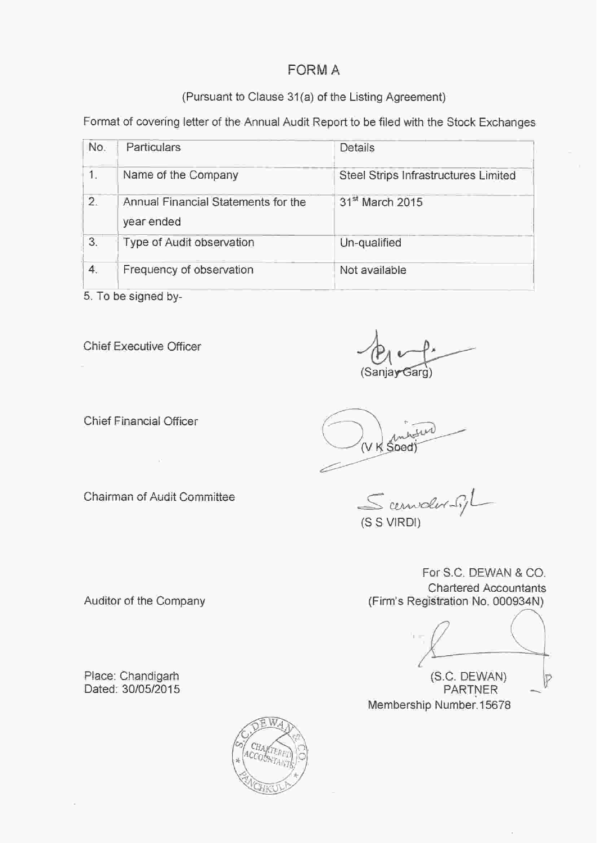# **FORM A**

# (Pursuant to Clause 31(a) of the Listing Agreement)

Format of covering letter of the Annual Audit Report to be filed with the Stock Exchanges

| No. | <b>Particulars</b>                                | Details                              |
|-----|---------------------------------------------------|--------------------------------------|
| 1.  | Name of the Company                               | Steel Strips Infrastructures Limited |
| 2.  | Annual Financial Statements for the<br>year ended | 31 <sup>st</sup> March 2015          |
| 3.  | Type of Audit observation                         | Un-qualified                         |
| 4.  | Frequency of observation                          | Not available                        |

5. To be signed by-

Chief Executive Officer

(Sanjay Garg)

**Chief Financial Officer** 

Chairman of Audit Committee

Scenwde

(S S VIRDI)

V K Sood

For S.C. DEWAN & CO. **Chartered Accountants** (Firm's Registration No. 000934N)

(S.C. DEWAN) Ď **PARTNER** Membership Number 15678

Auditor of the Company

Place: Chandigarh Dated: 30/05/2015

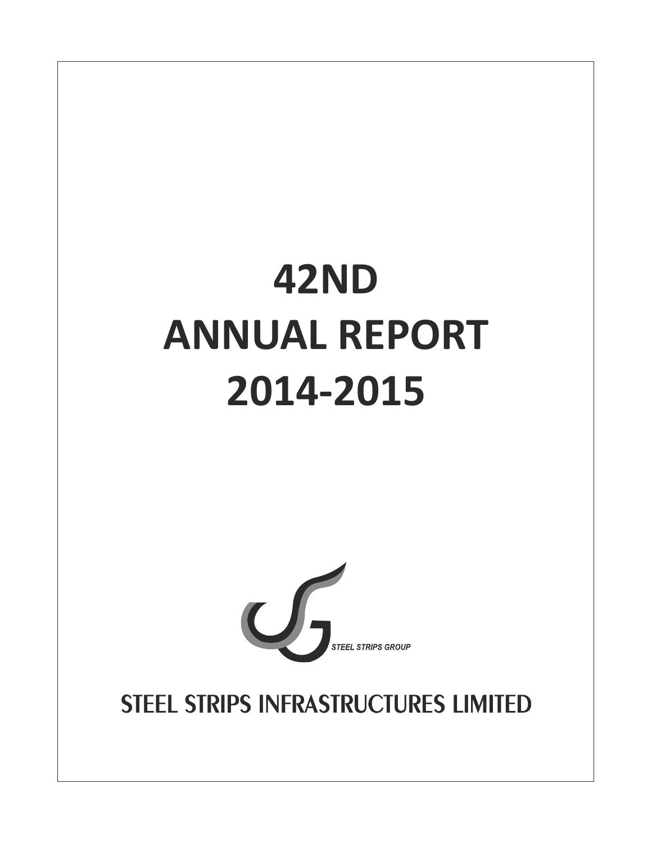# **42ND ANNUAL REPORT 2014-2015**



STEEL STRIPS INFRASTRUCTURES LIMITED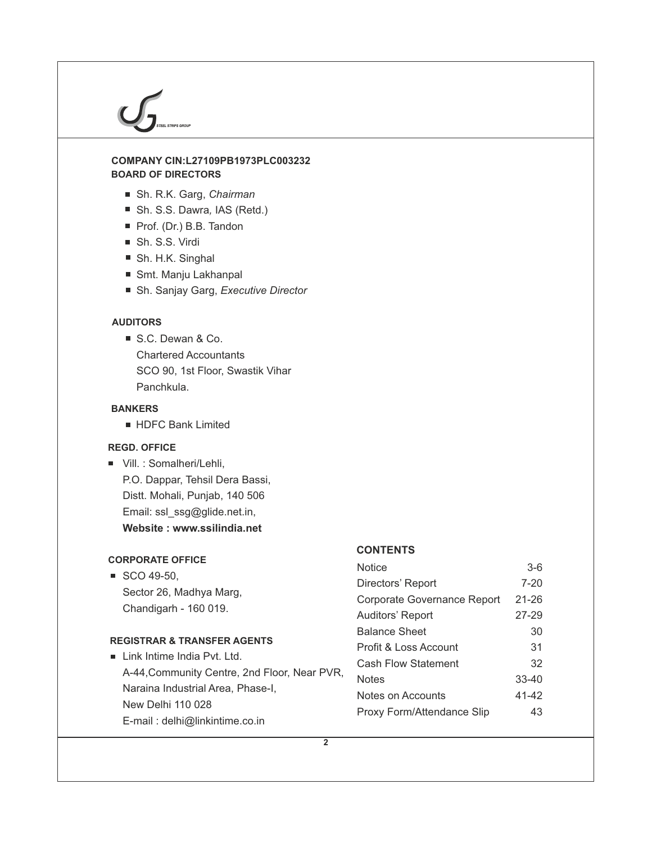# **BOARD OF DIRECTORS COMPANY CIN:L27109PB1973PLC003232**

- Sh. R.K. Garg, *Chairman*
- Sh. S.S. Dawra, IAS (Retd.)
- Prof. (Dr.) B.B. Tandon
- Sh. S.S. Virdi
- Sh. H.K. Singhal
- Smt. Manju Lakhanpal
- Sh. Sanjay Garg, *Executive Director*

# **AUDITORS**

S.C. Dewan & Co. Chartered Accountants SCO 90, 1st Floor, Swastik Vihar Panchkula.

# **BANKERS**

**HDFC Bank Limited** 

# **REGD. OFFICE**

Vill. : Somalheri/Lehli, P.O. Dappar, Tehsil Dera Bassi, Distt. Mohali, Punjab, 140 506 Email: ssl\_ssg@glide.net.in, **Website : www.ssilindia.net**

# **CORPORATE OFFICE**

 $\blacksquare$  SCO 49-50, Sector 26, Madhya Marg, Chandigarh - 160 019.

# **REGISTRAR & TRANSFER AGENTS**

| $\blacksquare$ Link Intime India Pvt. Ltd.   |  |
|----------------------------------------------|--|
| A-44, Community Centre, 2nd Floor, Near PVR, |  |
| Naraina Industrial Area, Phase-I.            |  |
| New Delhi 110 028                            |  |
| E-mail: delhi@linkintime.co.in               |  |

# **CONTENTS**

| Notice                      | $3-6$     |
|-----------------------------|-----------|
| Directors' Report           | $7 - 20$  |
| Corporate Governance Report | $21 - 26$ |
| Auditors' Report            | $27 - 29$ |
| <b>Balance Sheet</b>        | 30        |
| Profit & Loss Account       | 31        |
| Cash Flow Statement         | 32        |
| Notes                       | $33 - 40$ |
| Notes on Accounts           | 41-42     |
| Proxy Form/Attendance Slip  | 43        |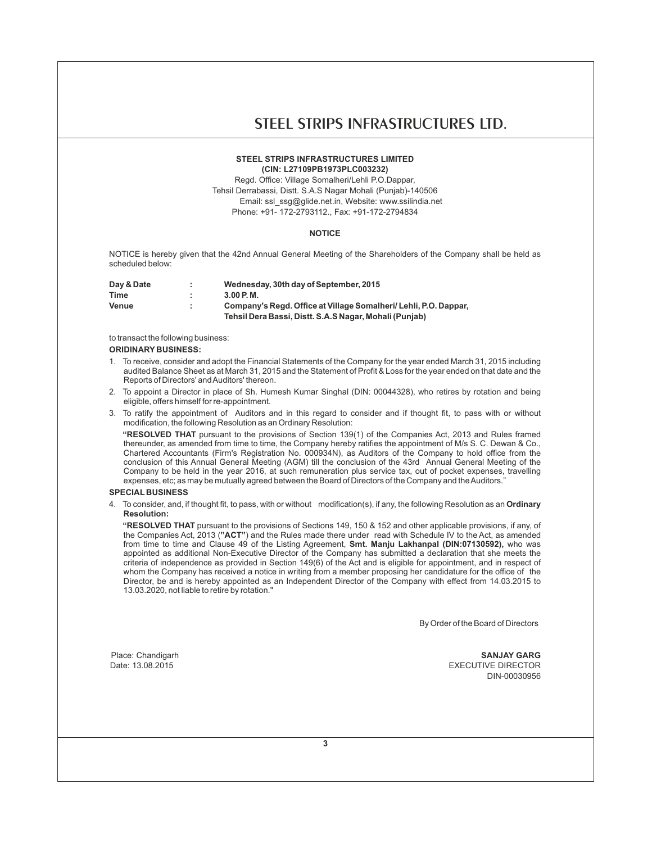# **STEEL STRIPS INFRASTRUCTURES LIMITED (CIN: L27109PB1973PLC003232)**

Regd. Office: Village Somalheri/Lehli P.O.Dappar, Tehsil Derrabassi, Distt. S.A.S Nagar Mohali (Punjab)-140506 Email: ssl\_ssg@glide.net.in, Website: www.ssilindia.net Phone: +91- 172-2793112., Fax: +91-172-2794834

# **NOTICE**

NOTICE is hereby given that the 42nd Annual General Meeting of the Shareholders of the Company shall be held as scheduled below:

| Day & Date | Wednesday, 30th day of September, 2015                          |
|------------|-----------------------------------------------------------------|
| Time       | 3.00P.M.                                                        |
| Venue      | Company's Regd. Office at Village Somalheri/Lehli, P.O. Dappar. |
|            | Tehsil Dera Bassi, Distt. S.A.S Nagar, Mohali (Punjab)          |

to transact the following business:

## **ORIDINARY BUSINESS:**

- 1. To receive, consider and adopt the Financial Statements of the Company for the year ended March 31, 2015 including audited Balance Sheet as at March 31, 2015 and the Statement of Profit & Loss for the year ended on that date and the Reports of Directors' and Auditors' thereon.
- 2. To appoint a Director in place of Sh. Humesh Kumar Singhal (DIN: 00044328), who retires by rotation and being eligible, offers himself for re-appointment.
- 3. To ratify the appointment of Auditors and in this regard to consider and if thought fit, to pass with or without modification, the following Resolution as an Ordinary Resolution:

**"RESOLVED THAT** pursuant to the provisions of Section 139(1) of the Companies Act, 2013 and Rules framed thereunder, as amended from time to time, the Company hereby ratifies the appointment of M/s S. C. Dewan & Co., Chartered Accountants (Firm's Registration No. 000934N), as Auditors of the Company to hold office from the conclusion of this Annual General Meeting (AGM) till the conclusion of the 43rd Annual General Meeting of the Company to be held in the year 2016, at such remuneration plus service tax, out of pocket expenses, travelling expenses, etc; as may be mutually agreed between the Board of Directors of the Company and the Auditors."

# **SPECIAL BUSINESS**

4. To consider, and, if thought fit, to pass, with or without modification(s), if any, the following Resolution as an **Ordinary Resolution:**

**"RESOLVED THAT** pursuant to the provisions of Sections 149, 150 & 152 and other applicable provisions, if any, of the Companies Act, 2013 (**"ACT"**) and the Rules made there under read with Schedule IV to the Act, as amended from time to time and Clause 49 of the Listing Agreement, **Smt. Manju Lakhanpal (DIN:07130592),** who was appointed as additional Non-Executive Director of the Company has submitted a declaration that she meets the criteria of independence as provided in Section 149(6) of the Act and is eligible for appointment, and in respect of whom the Company has received a notice in writing from a member proposing her candidature for the office of the Director, be and is hereby appointed as an Independent Director of the Company with effect from 14.03.2015 to 13.03.2020, not liable to retire by rotation."

By Order of the Board of Directors

Place: Chandigarh **SANJAY GARG** Date: 13.08.2015 EXECUTIVE DIRECTOR DIN-00030956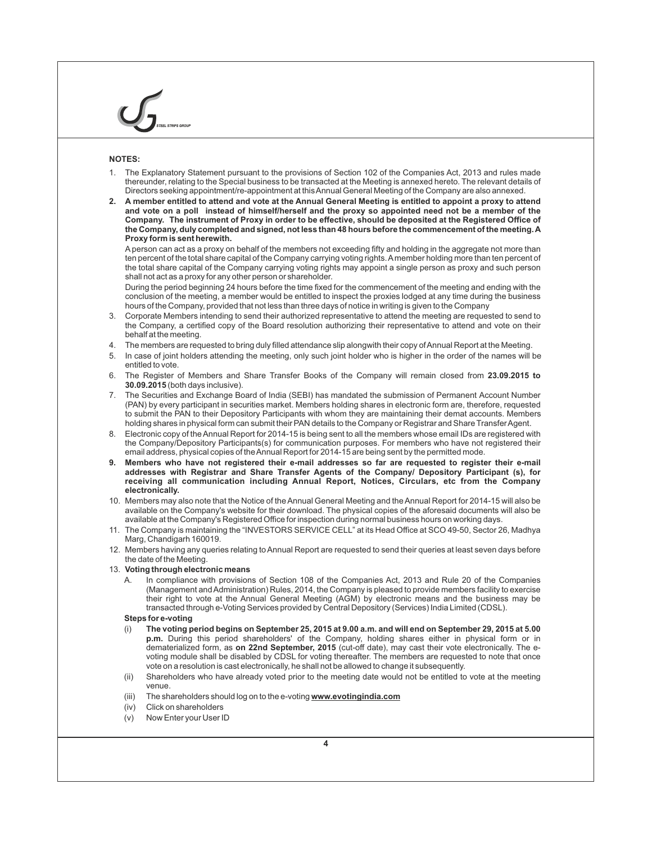# **NOTES:**

- 1. The Explanatory Statement pursuant to the provisions of Section 102 of the Companies Act, 2013 and rules made thereunder, relating to the Special business to be transacted at the Meeting is annexed hereto. The relevant details of Directors seeking appointment/re-appointment at this Annual General Meeting of the Company are also annexed.
- **2. A member entitled to attend and vote at the Annual General Meeting is entitled to appoint a proxy to attend and vote on a poll instead of himself/herself and the proxy so appointed need not be a member of the Company. The instrument of Proxy in order to be effective, should be deposited at the Registered Office of the Company, duly completed and signed, not less than 48 hours before the commencement of the meeting. A Proxy form is sent herewith.**

Aperson can act as a proxy on behalf of the members not exceeding fifty and holding in the aggregate not more than ten percent of the total share capital of the Company carrying voting rights. Amember holding more than ten percent of the total share capital of the Company carrying voting rights may appoint a single person as proxy and such person shall not act as a proxy for any other person or shareholder.

During the period beginning 24 hours before the time fixed for the commencement of the meeting and ending with the conclusion of the meeting, a member would be entitled to inspect the proxies lodged at any time during the business hours of the Company, provided that not less than three days of notice in writing is given to the Company

- 3. Corporate Members intending to send their authorized representative to attend the meeting are requested to send to the Company, a certified copy of the Board resolution authorizing their representative to attend and vote on their behalf at the meeting.
- 4. The members are requested to bring duly filled attendance slip alongwith their copy of Annual Report at the Meeting.
- 5. In case of joint holders attending the meeting, only such joint holder who is higher in the order of the names will be entitled to vote.
- 6. The Register of Members and Share Transfer Books of the Company will remain closed from **23.09.2015 to 30.09.2015** (both days inclusive).
- 7. The Securities and Exchange Board of India (SEBI) has mandated the submission of Permanent Account Number (PAN) by every participant in securities market. Members holding shares in electronic form are, therefore, requested to submit the PAN to their Depository Participants with whom they are maintaining their demat accounts. Members holding shares in physical form can submit their PAN details to the Company or Registrar and Share Transfer Agent.
- 8. Electronic copy of the Annual Report for 2014-15 is being sent to all the members whose email IDs are registered with the Company/Depository Participants(s) for communication purposes. For members who have not registered their email address, physical copies of the Annual Report for 2014-15 are being sent by the permitted mode.
- **9. Members who have not registered their e-mail addresses so far are requested to register their e-mail addresses with Registrar and Share Transfer Agents of the Company/ Depository Participant (s), for receiving all communication including Annual Report, Notices, Circulars, etc from the Company electronically.**
- 10. Members may also note that the Notice of the Annual General Meeting and the Annual Report for 2014-15 will also be available on the Company's website for their download. The physical copies of the aforesaid documents will also be available at the Company's Registered Office for inspection during normal business hours on working days.
- 11. The Company is maintaining the "INVESTORS SERVICE CELL" at its Head Office at SCO 49-50, Sector 26, Madhya Marg, Chandigarh 160019.
- 12. Members having any queries relating to Annual Report are requested to send their queries at least seven days before the date of the Meeting.
- 13. **Voting through electronic means**
	- A. In compliance with provisions of Section 108 of the Companies Act, 2013 and Rule 20 of the Companies (Management and Administration) Rules, 2014, the Company is pleased to provide members facility to exercise their right to vote at the Annual General Meeting (AGM) by electronic means and the business may be transacted through e-Voting Services provided by Central Depository (Services) India Limited (CDSL).

#### **Steps for e-voting**

- (i) **The voting period begins on September 25, 2015 at 9.00 a.m. and will end on September 29, 2015 at 5.00 p.m.** During this period shareholders' of the Company, holding shares either in physical form or in dematerialized form, as **on 22nd September, 2015** (cut-off date), may cast their vote electronically. The evoting module shall be disabled by CDSL for voting thereafter. The members are requested to note that once vote on a resolution is cast electronically, he shall not be allowed to change it subsequently.
- (ii) Shareholders who have already voted prior to the meeting date would not be entitled to vote at the meeting venue.
- (iii) The shareholders should log on to the e-voting **www.evotingindia.com**
- (iv) Click on shareholders
- (v) Now Enter your User ID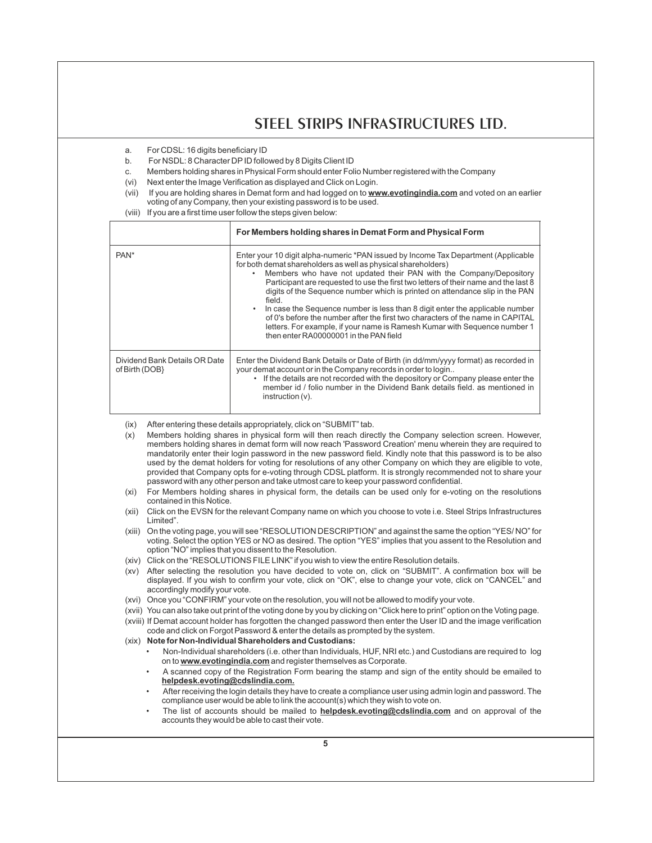- a. For CDSL: 16 digits beneficiary ID
- b. For NSDL: 8 Character DPID followed by 8 Digits Client ID
- c. Members holding shares in Physical Form should enter Folio Number registered with the Company
- (vi) Next enter the Image Verification as displayed and Click on Login.
- (vii) If you are holding shares in Demat form and had logged on to **www.evotingindia.com** and voted on an earlier voting of any Company, then your existing password is to be used.
- (viii) If you are a first time user follow the steps given below:

|                                                 | For Members holding shares in Demat Form and Physical Form                                                                                                                                                                                                                                                                                                                                                                                                                                                                                                                                                                                                                                          |
|-------------------------------------------------|-----------------------------------------------------------------------------------------------------------------------------------------------------------------------------------------------------------------------------------------------------------------------------------------------------------------------------------------------------------------------------------------------------------------------------------------------------------------------------------------------------------------------------------------------------------------------------------------------------------------------------------------------------------------------------------------------------|
| PAN <sup>*</sup>                                | Enter your 10 digit alpha-numeric *PAN issued by Income Tax Department (Applicable<br>for both demat shareholders as well as physical shareholders)<br>Members who have not updated their PAN with the Company/Depository<br>Participant are requested to use the first two letters of their name and the last 8<br>digits of the Sequence number which is printed on attendance slip in the PAN<br>field.<br>In case the Sequence number is less than 8 digit enter the applicable number<br>of 0's before the number after the first two characters of the name in CAPITAL<br>letters. For example, if your name is Ramesh Kumar with Sequence number 1<br>then enter RA00000001 in the PAN field |
| Dividend Bank Details OR Date<br>of Birth (DOB) | Enter the Dividend Bank Details or Date of Birth (in dd/mm/yyyy format) as recorded in<br>your demat account or in the Company records in order to login<br>If the details are not recorded with the depository or Company please enter the<br>member id / folio number in the Dividend Bank details field, as mentioned in<br>instruction (v).                                                                                                                                                                                                                                                                                                                                                     |

- (ix) After entering these details appropriately, click on "SUBMIT" tab.
- (x) Members holding shares in physical form will then reach directly the Company selection screen. However, members holding shares in demat form will now reach 'Password Creation' menu wherein they are required to mandatorily enter their login password in the new password field. Kindly note that this password is to be also used by the demat holders for voting for resolutions of any other Company on which they are eligible to vote, provided that Company opts for e-voting through CDSL platform. It is strongly recommended not to share your password with any other person and take utmost care to keep your password confidential.
- (xi) For Members holding shares in physical form, the details can be used only for e-voting on the resolutions contained in this Notice.
- (xii) Click on the EVSN for the relevant Company name on which you choose to vote i.e. Steel Strips Infrastructures Limited".
- (xiii) On the voting page, you will see "RESOLUTION DESCRIPTION" and against the same the option "YES/ NO" for voting. Select the option YES or NO as desired. The option "YES" implies that you assent to the Resolution and option "NO" implies that you dissent to the Resolution.
- (xiv) Click on the "RESOLUTIONS FILE LINK" if you wish to view the entire Resolution details.
- (xv) After selecting the resolution you have decided to vote on, click on "SUBMIT". A confirmation box will be displayed. If you wish to confirm your vote, click on "OK", else to change your vote, click on "CANCEL" and accordingly modify your vote.
- (xvi) Once you "CONFIRM" your vote on the resolution, you will not be allowed to modify your vote.
- (xvii) You can also take out print of the voting done by you by clicking on "Click here to print" option on the Voting page. (xviii) If Demat account holder has forgotten the changed password then enter the User ID and the image verification code and click on Forgot Password & enter the details as prompted by the system.
- (xix) **Note for Non-Individual Shareholders and Custodians:**
	- Non-Individual shareholders (i.e. other than Individuals, HUF, NRI etc.) and Custodians are required to log on to **www.evotingindia.com** and register themselves as Corporate.
	- A scanned copy of the Registration Form bearing the stamp and sign of the entity should be emailed to **helpdesk.evoting@cdslindia.com.**
	- After receiving the login details they have to create a compliance user using admin login and password. The compliance user would be able to link the account(s) which they wish to vote on.
	- The list of accounts should be mailed to **helpdesk.evoting@cdslindia.com** and on approval of the accounts they would be able to cast their vote.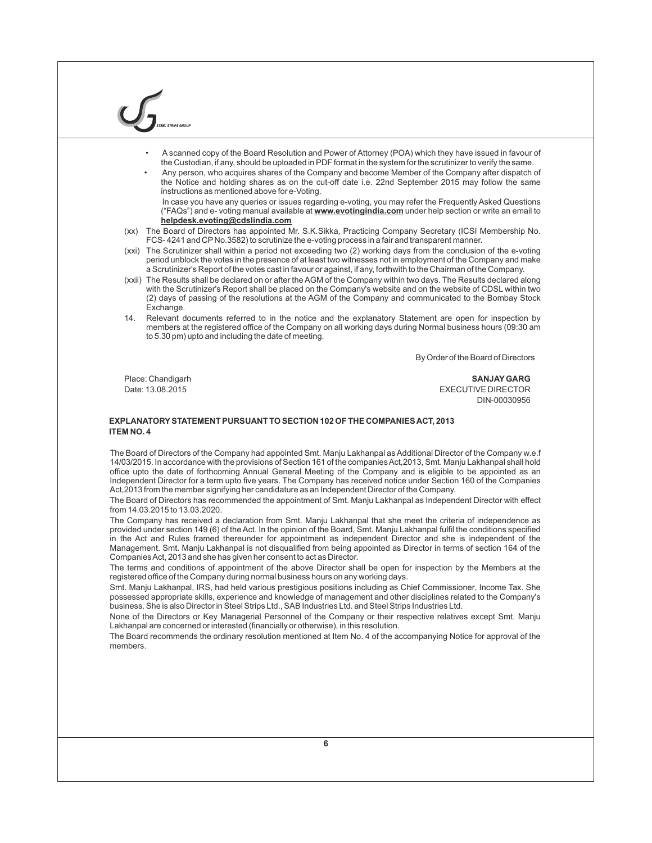- A scanned copy of the Board Resolution and Power of Attorney (POA) which they have issued in favour of the Custodian, if any, should be uploaded in PDF format in the system for the scrutinizer to verify the same.
- Any person, who acquires shares of the Company and become Member of the Company after dispatch of the Notice and holding shares as on the cut-off date i.e. 22nd September 2015 may follow the same instructions as mentioned above for e-Voting.

In case you have any queries or issues regarding e-voting, you may refer the Frequently Asked Questions ("FAQs") and e- voting manual available at **www.evotingindia.com** under help section or write an email to **helpdesk.evoting@cdslindia.com**

- (xx) The Board of Directors has appointed Mr. S.K.Sikka, Practicing Company Secretary (ICSI Membership No. FCS- 4241 and CP No.3582) to scrutinize the e-voting process in a fair and transparent manner.
- (xxi) The Scrutinizer shall within a period not exceeding two (2) working days from the conclusion of the e-voting period unblock the votes in the presence of at least two witnesses not in employment of the Company and make a Scrutinizer's Report of the votes cast in favour or against, if any, forthwith to the Chairman of the Company.
- (xxii) The Results shall be declared on or after the AGM of the Company within two days. The Results declared along with the Scrutinizer's Report shall be placed on the Company's website and on the website of CDSL within two (2) days of passing of the resolutions at the AGM of the Company and communicated to the Bombay Stock Exchange.
- 14. Relevant documents referred to in the notice and the explanatory Statement are open for inspection by members at the registered office of the Company on all working days during Normal business hours (09:30 am to 5.30 pm) upto and including the date of meeting.

By Order of the Board of Directors

Place: Chandigarh **SANJAYGARG** Date: 13.08.2015 EXECUTIVE DIRECTOR DIN-00030956

# **EXPLANATORYSTATEMENT PURSUANT TO SECTION 102 OF THE COMPANIES ACT, 2013 ITEM NO. 4**

The Board of Directors of the Company had appointed Smt. Manju Lakhanpal as Additional Director of the Company w.e.f 14/03/2015. In accordance with the provisions of Section 161 of the companies Act,2013, Smt. Manju Lakhanpal shall hold office upto the date of forthcoming Annual General Meeting of the Company and is eligible to be appointed as an Independent Director for a term upto five years. The Company has received notice under Section 160 of the Companies Act,2013 from the member signifying her candidature as an Independent Director of the Company.

The Board of Directors has recommended the appointment of Smt. Manju Lakhanpal as Independent Director with effect from 14.03.2015 to 13.03.2020.

The Company has received a declaration from Smt. Manju Lakhanpal that she meet the criteria of independence as provided under section 149 (6) of the Act. In the opinion of the Board, Smt. Manju Lakhanpal fulfil the conditions specified in the Act and Rules framed thereunder for appointment as independent Director and she is independent of the Management. Smt. Manju Lakhanpal is not disqualified from being appointed as Director in terms of section 164 of the Companies Act, 2013 and she has given her consent to act as Director.

The terms and conditions of appointment of the above Director shall be open for inspection by the Members at the registered office of the Company during normal business hours on any working days.

Smt. Manju Lakhanpal, IRS, had held various prestigious positions including as Chief Commissioner, Income Tax. She possessed appropriate skills, experience and knowledge of management and other disciplines related to the Company's business. She is also Director in Steel Strips Ltd., SAB Industries Ltd. and Steel Strips Industries Ltd.

None of the Directors or Key Managerial Personnel of the Company or their respective relatives except Smt. Manju Lakhanpal are concerned or interested (financially or otherwise), in this resolution.

The Board recommends the ordinary resolution mentioned at Item No. 4 of the accompanying Notice for approval of the members.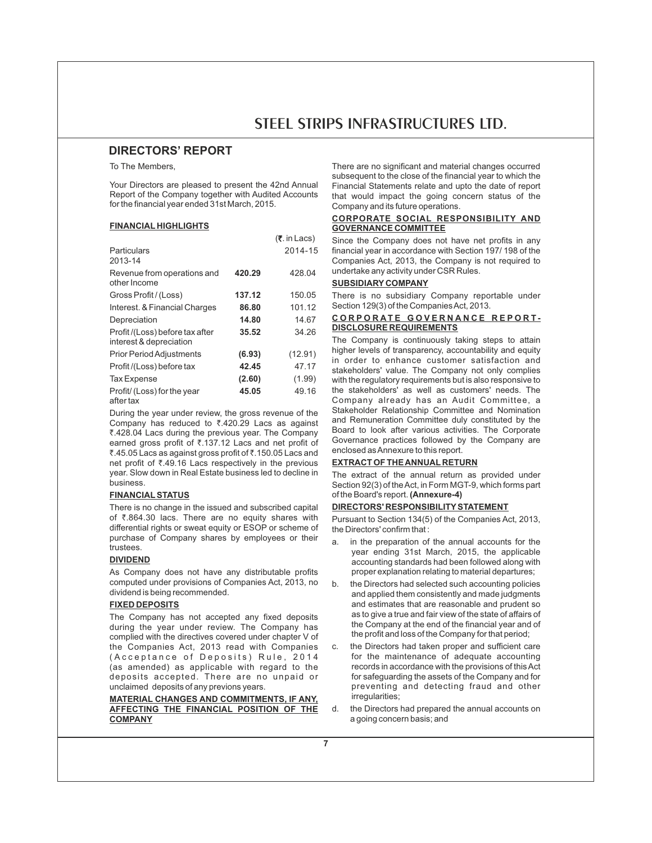# **DIRECTORS' REPORT**

To The Members,

Your Directors are pleased to present the 42nd Annual Report of the Company together with Audited Accounts for the financial year ended 31st March, 2015.

 $(\bar{z}$  in Lacs)

## **FINANCIAL HIGHLIGHTS**

|                                                           |        | 11.111 - 400 <i>1</i> |
|-----------------------------------------------------------|--------|-----------------------|
| Particulars<br>2013-14                                    |        | 2014-15               |
| Revenue from operations and<br>other Income               | 420.29 | 428.04                |
| Gross Profit / (Loss)                                     | 137.12 | 150.05                |
| Interest. & Financial Charges                             | 86.80  | 101.12                |
| Depreciation                                              | 14.80  | 14.67                 |
| Profit/(Loss) before tax after<br>interest & depreciation | 35.52  | 34.26                 |
| <b>Prior Period Adjustments</b>                           | (6.93) | (12.91)               |
| Profit/(Loss) before tax                                  | 42.45  | 47.17                 |
| <b>Tax Expense</b>                                        | (2.60) | (1.99)                |
| Profit/ (Loss) for the year<br>oftor toy                  | 45.05  | 49.16                 |

after tax

During the year under review, the gross revenue of the Company has reduced to  $\overline{3}$ .420.29 Lacs as against ₹.428.04 Lacs during the previous year. The Company earned gross profit of  $\overline{\tau}$ .137.12 Lacs and net profit of ₹.45.05 Lacs as against gross profit of ₹.150.05 Lacs and net profit of  $\overline{\zeta}$ .49.16 Lacs respectively in the previous year. Slow down in Real Estate business led to decline in business.

# **FINANCIALSTATUS**

There is no change in the issued and subscribed capital of  $\bar{\zeta}$ .864.30 lacs. There are no equity shares with differential rights or sweat equity or ESOP or scheme of purchase of Company shares by employees or their trustees.

# **DIVIDEND**

As Company does not have any distributable profits computed under provisions of Companies Act, 2013, no dividend is being recommended.

# **FIXED DEPOSITS**

The Company has not accepted any fixed deposits during the year under review. The Company has complied with the directives covered under chapter V of the Companies Act, 2013 read with Companies (Acceptance of Deposits) Rule, 2014 (as amended) as applicable with regard to the deposits accepted. There are no unpaid or unclaimed deposits of any previons years.

**MATERIAL CHANGES AND COMMITMENTS, IF ANY, AFFECTING THE FINANCIAL POSITION OF THE COMPANY**

There are no significant and material changes occurred subsequent to the close of the financial year to which the Financial Statements relate and upto the date of report that would impact the going concern status of the Company and its future operations.

# **CORPORATE SOCIAL RESPONSIBILITY AND GOVERNANCE COMMITTEE**

Since the Company does not have net profits in any financial year in accordance with Section 197/ 198 of the Companies Act, 2013, the Company is not required to undertake any activity under CSR Rules.

# **SUBSIDIARY COMPANY**

There is no subsidiary Company reportable under Section 129(3) of the Companies Act, 2013.

# CORPORATE GOVERNANCE REPORT-**DISCLOSURE REQUIREMENTS**

The Company is continuously taking steps to attain higher levels of transparency, accountability and equity in order to enhance customer satisfaction and stakeholders' value. The Company not only complies with the regulatory requirements but is also responsive to the stakeholders' as well as customers' needs. The Company already has an Audit Committee, a Stakeholder Relationship Committee and Nomination and Remuneration Committee duly constituted by the Board to look after various activities. The Corporate Governance practices followed by the Company are enclosed as Annexure to this report.

# **EXTRACT OF THE ANNUAL RETURN**

The extract of the annual return as provided under Section 92(3) of the Act, in Form MGT-9, which forms part of the Board's report. **(Annexure-4)**

# **DIRECTORS' RESPONSIBILITYSTATEMENT**

Pursuant to Section 134(5) of the Companies Act, 2013, the Directors' confirm that :

- a. in the preparation of the annual accounts for the year ending 31st March, 2015, the applicable accounting standards had been followed along with proper explanation relating to material departures;
- b. the Directors had selected such accounting policies and applied them consistently and made judgments and estimates that are reasonable and prudent so as to give a true and fair view of the state of affairs of the Company at the end of the financial year and of the profit and loss of the Company for that period;
- c. the Directors had taken proper and sufficient care for the maintenance of adequate accounting records in accordance with the provisions of this Act for safeguarding the assets of the Company and for preventing and detecting fraud and other irregularities;
- d. the Directors had prepared the annual accounts on a going concern basis; and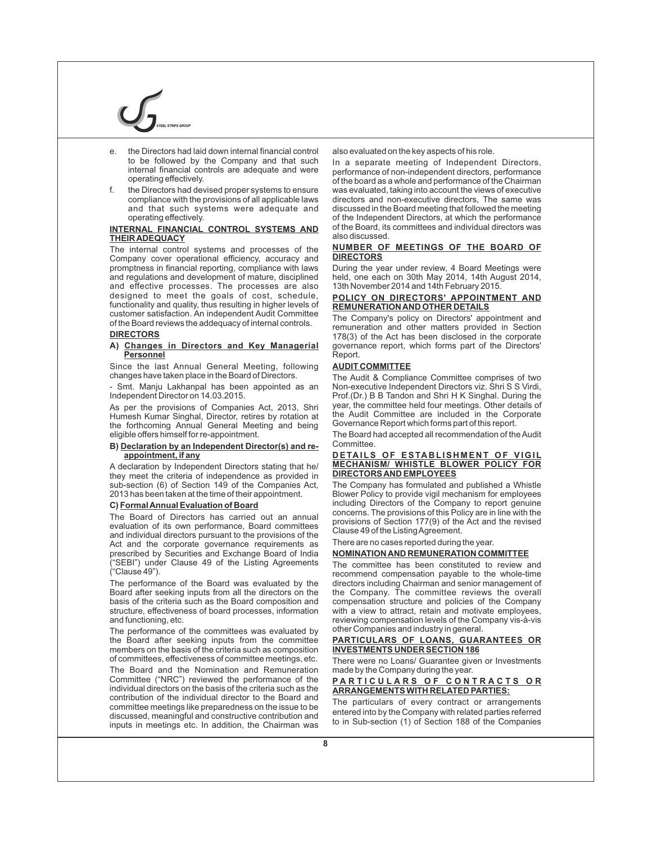- the Directors had laid down internal financial control to be followed by the Company and that such internal financial controls are adequate and were operating effectively.
- f. the Directors had devised proper systems to ensure compliance with the provisions of all applicable laws and that such systems were adequate and operating effectively.

# **INTERNAL FINANCIAL CONTROL SYSTEMS AND THEIR ADEQUACY**

The internal control systems and processes of the Company cover operational efficiency, accuracy and promptness in financial reporting, compliance with laws and regulations and development of mature, disciplined and effective processes. The processes are also designed to meet the goals of cost, schedule, functionality and quality, thus resulting in higher levels of customer satisfaction. An independent Audit Committee of the Board reviews the addequacy of internal controls.

# **DIRECTORS**

#### **A) Changes in Directors and Key Managerial Personnel**

Since the last Annual General Meeting, following changes have taken place in the Board of Directors.

Smt. Manju Lakhanpal has been appointed as an Independent Director on 14.03.2015.

As per the provisions of Companies Act, 2013, Shri Humesh Kumar Singhal, Director, retires by rotation at the forthcoming Annual General Meeting and being eligible offers himself for re-appointment.

#### **B) Declaration by an Independent Director(s) and reappointment, if any**

A declaration by Independent Directors stating that he/ they meet the criteria of independence as provided in sub-section (6) of Section 149 of the Companies Act, 2013 has been taken at the time of their appointment.

# **C) Formal Annual Evaluation of Board**

The Board of Directors has carried out an annual evaluation of its own performance, Board committees and individual directors pursuant to the provisions of the Act and the corporate governance requirements as prescribed by Securities and Exchange Board of India ("SEBI") under Clause 49 of the Listing Agreements ("Clause 49").

The performance of the Board was evaluated by the Board after seeking inputs from all the directors on the basis of the criteria such as the Board composition and structure, effectiveness of board processes, information and functioning, etc.

The performance of the committees was evaluated by the Board after seeking inputs from the committee members on the basis of the criteria such as composition of committees, effectiveness of committee meetings, etc. The Board and the Nomination and Remuneration Committee ("NRC") reviewed the performance of the individual directors on the basis of the criteria such as the contribution of the individual director to the Board and committee meetings like preparedness on the issue to be discussed, meaningful and constructive contribution and inputs in meetings etc. In addition, the Chairman was

also evaluated on the key aspects of his role.

In a separate meeting of Independent Directors, performance of non-independent directors, performance of the board as a whole and performance of the Chairman was evaluated, taking into account the views of executive directors and non-executive directors, The same was discussed in the Board meeting that followed the meeting of the Independent Directors, at which the performance of the Board, its committees and individual directors was also discussed.

#### **NUMBER OF MEETINGS OF THE BOARD OF DIRECTORS**

During the year under review, 4 Board Meetings were held, one each on 30th May 2014, 14th August 2014, 13th November 2014 and 14th February 2015.

#### **POLICY ON DIRECTORS' APPOINTMENT AND REMUNERATION AND OTHER DETAILS**

The Company's policy on Directors' appointment and remuneration and other matters provided in Section 178(3) of the Act has been disclosed in the corporate governance report, which forms part of the Directors' Report.

# **AUDIT COMMITTEE**

The Audit & Compliance Committee comprises of two Non-executive Independent Directors viz. Shri S S Virdi, Prof.(Dr.) B B Tandon and Shri H K Singhal. During the year, the committee held four meetings. Other details of the Audit Committee are included in the Corporate Governance Report which forms part of this report.

The Board had accepted all recommendation of the Audit Committee.

#### **D ETA ILS OF ESTA B LIS H M E N T OF VIGIL MECHANISM/ WHISTLE BLOWER POLICY FOR DIRECTORS AND EMPLOYEES**

The Company has formulated and published a Whistle Blower Policy to provide vigil mechanism for employees including Directors of the Company to report genuine concerns. The provisions of this Policy are in line with the provisions of Section 177(9) of the Act and the revised Clause 49 of the Listing Agreement.

There are no cases reported during the year.

## **NOMINATION AND REMUNERATION COMMITTEE**

The committee has been constituted to review and recommend compensation payable to the whole-time directors including Chairman and senior management of the Company. The committee reviews the overall compensation structure and policies of the Company with a view to attract, retain and motivate employees, reviewing compensation levels of the Company vis-à-vis other Companies and industry in general.

#### **PARTICULARS OF LOANS, GUARANTEES OR INVESTMENTS UNDER SECTION 186**

There were no Loans/ Guarantee given or Investments made by the Company during the year.

# **P A R T I C U L A R S O F C O N T R A C T S O R ARRANGEMENTS WITH RELATED PARTIES:**

The particulars of every contract or arrangements entered into by the Company with related parties referred to in Sub-section (1) of Section 188 of the Companies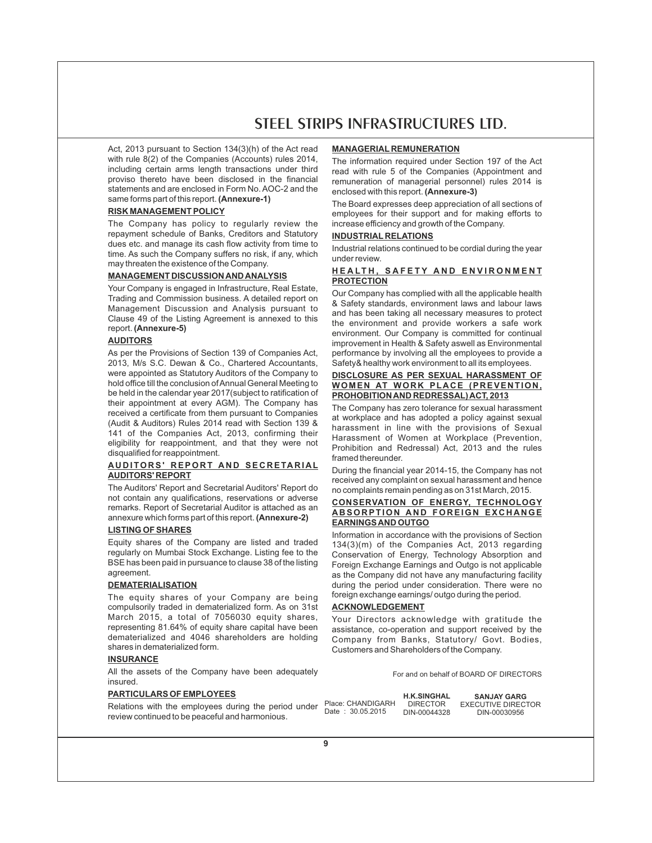Act, 2013 pursuant to Section 134(3)(h) of the Act read with rule 8(2) of the Companies (Accounts) rules 2014, including certain arms length transactions under third proviso thereto have been disclosed in the financial statements and are enclosed in Form No. AOC-2 and the same forms part of this report. **(Annexure-1)**

# **RISK MANAGEMENT POLICY**

The Company has policy to regularly review the repayment schedule of Banks, Creditors and Statutory dues etc. and manage its cash flow activity from time to time. As such the Company suffers no risk, if any, which may threaten the existence of the Company.

# **MANAGEMENT DISCUSSION AND ANALYSIS**

Your Company is engaged in Infrastructure, Real Estate, Trading and Commission business. A detailed report on Management Discussion and Analysis pursuant to Clause 49 of the Listing Agreement is annexed to this report. **(Annexure-5)**

# **AUDITORS**

As per the Provisions of Section 139 of Companies Act, 2013, M/s S.C. Dewan & Co., Chartered Accountants, were appointed as Statutory Auditors of the Company to hold office till the conclusion of Annual General Meeting to be held in the calendar year 2017(subject to ratification of their appointment at every AGM). The Company has received a certificate from them pursuant to Companies (Audit & Auditors) Rules 2014 read with Section 139 & 141 of the Companies Act, 2013, confirming their eligibility for reappointment, and that they were not disqualified for reappointment.

# **A U D ITOR S' R EPOR T A N D SE C R ETA R I A L AUDITORS' REPORT**

The Auditors' Report and Secretarial Auditors' Report do not contain any qualifications, reservations or adverse remarks. Report of Secretarial Auditor is attached as an annexure which forms part of this report. **(Annexure-2)**

# **LISTING OF SHARES**

Equity shares of the Company are listed and traded regularly on Mumbai Stock Exchange. Listing fee to the BSE has been paid in pursuance to clause 38 of the listing agreement.

# **DEMATERIALISATION**

The equity shares of your Company are being compulsorily traded in dematerialized form. As on 31st March 2015, a total of 7056030 equity shares, representing 81.64% of equity share capital have been dematerialized and 4046 shareholders are holding shares in dematerialized form.

# **INSURANCE**

All the assets of the Company have been adequately insured.

# **PARTICULARS OF EMPLOYEES**

Relations with the employees during the period under review continued to be peaceful and harmonious.

## **MANAGERIAL REMUNERATION**

The information required under Section 197 of the Act read with rule 5 of the Companies (Appointment and remuneration of managerial personnel) rules 2014 is enclosed with this report. **(Annexure-3)**

The Board expresses deep appreciation of all sections of employees for their support and for making efforts to increase efficiency and growth of the Company.

# **INDUSTRIAL RELATIONS**

Industrial relations continued to be cordial during the year under review.

# HEALTH, SAFETY AND ENVIRONMENT **PROTECTION**

Our Company has complied with all the applicable health & Safety standards, environment laws and labour laws and has been taking all necessary measures to protect the environment and provide workers a safe work environment. Our Company is committed for continual improvement in Health & Safety aswell as Environmental performance by involving all the employees to provide a Safety& healthy work environment to all its employees.

# **DISCLOSURE AS PER SEXUAL HARASSMENT OF WOMEN AT WORK PLACE (PREVENTION, PROHOBITION AND REDRESSAL) ACT, 2013**

The Company has zero tolerance for sexual harassment at workplace and has adopted a policy against sexual harassment in line with the provisions of Sexual Harassment of Women at Workplace (Prevention, Prohibition and Redressal) Act, 2013 and the rules framed thereunder.

During the financial year 2014-15, the Company has not received any complaint on sexual harassment and hence no complaints remain pending as on 31st March, 2015.

# **CONSERVATION OF ENERGY, TECHNOLOGY A B SOR PTION A N D FOR EIGN EX C H A NGE EARNINGS AND OUTGO**

Information in accordance with the provisions of Section 134(3)(m) of the Companies Act, 2013 regarding Conservation of Energy, Technology Absorption and Foreign Exchange Earnings and Outgo is not applicable as the Company did not have any manufacturing facility during the period under consideration. There were no foreign exchange earnings/ outgo during the period.

#### **ACKNOWLEDGEMENT**

Your Directors acknowledge with gratitude the assistance, co-operation and support received by the Company from Banks, Statutory/ Govt. Bodies, Customers and Shareholders of the Company.

For and on behalf of BOARD OF DIRECTORS

Place: CHANDIGARH Date : 30.05.2015 **H.K.SINGHAL**  DIRECTOR DIN-00044328

**SANJAY GARG** EXECUTIVE DIRECTOR DIN-00030956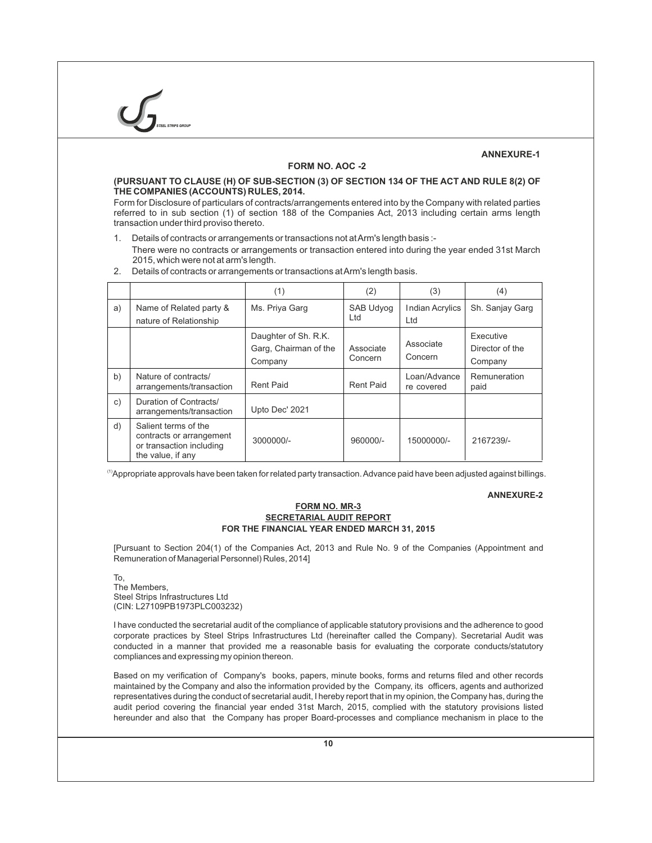# **ANNEXURE-1**

# **FORM NO. AOC -2**

# **(PURSUANT TO CLAUSE (H) OF SUB-SECTION (3) OF SECTION 134 OF THE ACT AND RULE 8(2) OF THE COMPANIES (ACCOUNTS) RULES, 2014.**

Form for Disclosure of particulars of contracts/arrangements entered into by the Company with related parties referred to in sub section (1) of section 188 of the Companies Act, 2013 including certain arms length transaction under third proviso thereto.

1. Details of contracts or arrangements or transactions not at Arm's length basis :- There were no contracts or arrangements or transaction entered into during the year ended 31st March 2015, which were not at arm's length.

|                |                                                                                                   | (1)                                                      | (2)                     | (3)                           | (4)                                     |
|----------------|---------------------------------------------------------------------------------------------------|----------------------------------------------------------|-------------------------|-------------------------------|-----------------------------------------|
| a)             | Name of Related party &<br>nature of Relationship                                                 | Ms. Priya Garg                                           | <b>SAB Udyog</b><br>Ltd | <b>Indian Acrylics</b><br>Ltd | Sh. Sanjay Garg                         |
|                |                                                                                                   | Daughter of Sh. R.K.<br>Garg, Chairman of the<br>Company | Associate<br>Concern    | Associate<br>Concern          | Executive<br>Director of the<br>Company |
| b)             | Nature of contracts/<br>arrangements/transaction                                                  | Rent Paid                                                | <b>Rent Paid</b>        | Loan/Advance<br>re covered    | Remuneration<br>paid                    |
| $\mathsf{C}$ ) | Duration of Contracts/<br>arrangements/transaction                                                | Upto Dec' 2021                                           |                         |                               |                                         |
| d)             | Salient terms of the<br>contracts or arrangement<br>or transaction including<br>the value, if any | 3000000/-                                                | 960000/-                | 15000000/-                    | 2167239/-                               |

2. Details of contracts or arrangements or transactions at Arm's length basis.

 $\rm ^{(1)}$ Appropriate approvals have been taken for related party transaction. Advance paid have been adjusted against billings.

# **ANNEXURE-2**

# **FORM NO. MR-3 SECRETARIAL AUDIT REPORT FOR THE FINANCIAL YEAR ENDED MARCH 31, 2015**

[Pursuant to Section 204(1) of the Companies Act, 2013 and Rule No. 9 of the Companies (Appointment and Remuneration of Managerial Personnel) Rules, 2014]

To, The Members, Steel Strips Infrastructures Ltd (CIN: L27109PB1973PLC003232)

I have conducted the secretarial audit of the compliance of applicable statutory provisions and the adherence to good corporate practices by Steel Strips Infrastructures Ltd (hereinafter called the Company). Secretarial Audit was conducted in a manner that provided me a reasonable basis for evaluating the corporate conducts/statutory compliances and expressing my opinion thereon.

Based on my verification of Company's books, papers, minute books, forms and returns filed and other records maintained by the Company and also the information provided by the Company, its officers, agents and authorized representatives during the conduct of secretarial audit, I hereby report that in my opinion, the Company has, during the audit period covering the financial year ended 31st March, 2015, complied with the statutory provisions listed hereunder and also that the Company has proper Board-processes and compliance mechanism in place to the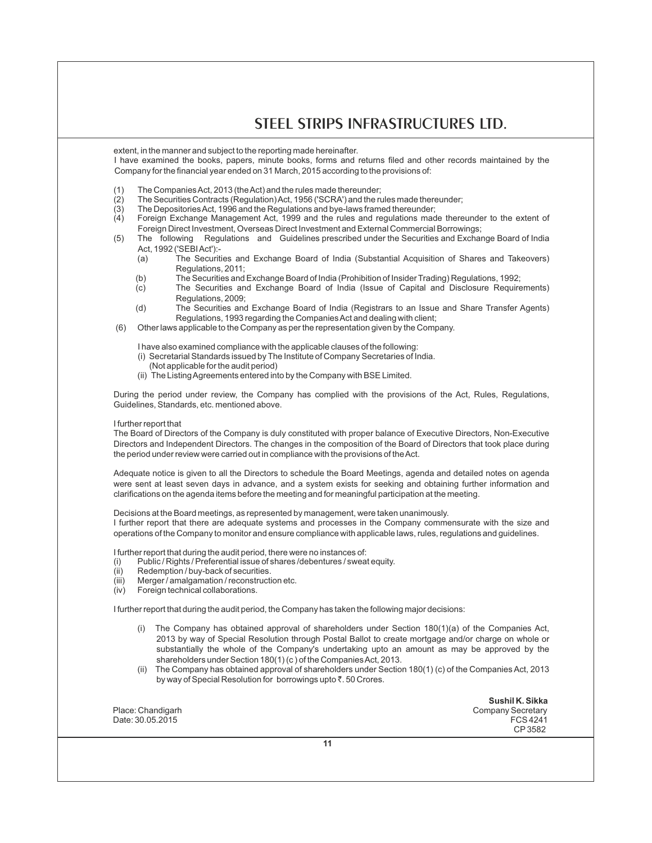extent, in the manner and subject to the reporting made hereinafter.

I have examined the books, papers, minute books, forms and returns filed and other records maintained by the Company for the financial year ended on 31 March, 2015 according to the provisions of:

- (1) The Companies Act, 2013 (the Act) and the rules made thereunder;
- $(2)$  The Securities Contracts (Regulation) Act, 1956 ('SCRA') and the rules made thereunder;<br>(3) The Depositories Act, 1996 and the Regulations and bye-laws framed thereunder:
- The Depositories Act, 1996 and the Regulations and bye-laws framed thereunder;
- (4) Foreign Exchange Management Act, 1999 and the rules and regulations made thereunder to the extent of Foreign Direct Investment, Overseas Direct Investment and External Commercial Borrowings;
- (5) The following Regulations and Guidelines prescribed under the Securities and Exchange Board of India Act, 1992 ('SEBIAct'):-
	- (a) The Securities and Exchange Board of India (Substantial Acquisition of Shares and Takeovers) Regulations, 2011;
	- (b) The Securities and Exchange Board of India (Prohibition of Insider Trading) Regulations, 1992;
	- (c) The Securities and Exchange Board of India (Issue of Capital and Disclosure Requirements) Regulations, 2009;
	- (d) The Securities and Exchange Board of India (Registrars to an Issue and Share Transfer Agents) Regulations, 1993 regarding the Companies Act and dealing with client;

(6) Other laws applicable to the Company as per the representation given by the Company.

I have also examined compliance with the applicable clauses of the following:

- (i) Secretarial Standards issued by The Institute of Company Secretaries of India.
- (Not applicable for the audit period)
- (ii) The Listing Agreements entered into by the Company with BSELimited.

During the period under review, the Company has complied with the provisions of the Act, Rules, Regulations, Guidelines, Standards, etc. mentioned above.

I further report that

The Board of Directors of the Company is duly constituted with proper balance of Executive Directors, Non-Executive Directors and Independent Directors. The changes in the composition of the Board of Directors that took place during the period under review were carried out in compliance with the provisions of the Act.

Adequate notice is given to all the Directors to schedule the Board Meetings, agenda and detailed notes on agenda were sent at least seven days in advance, and a system exists for seeking and obtaining further information and clarifications on the agenda items before the meeting and for meaningful participation at the meeting.

Decisions at the Board meetings, as represented by management, were taken unanimously.

I further report that there are adequate systems and processes in the Company commensurate with the size and operations of the Company to monitor and ensure compliance with applicable laws, rules, regulations and guidelines.

I further report that during the audit period, there were no instances of:

- (i) Public / Rights / Preferential issue of shares / debentures / sweat equity.<br>(ii) Redemption / buv-back of securities.
- Redemption / buy-back of securities.
- (iii) Merger / amalgamation / reconstruction etc.<br>(iv) Foreign technical collaborations.
- Foreign technical collaborations.

I further report that during the audit period, the Company has taken the following major decisions:

- (i) The Company has obtained approval of shareholders under Section 180(1)(a) of the Companies Act, 2013 by way of Special Resolution through Postal Ballot to create mortgage and/or charge on whole or substantially the whole of the Company's undertaking upto an amount as may be approved by the shareholders under Section 180(1) (c ) of the Companies Act, 2013.
- The Company has obtained approval of shareholders under Section 180(1) (c) of the Companies Act, 2013 by way of Special Resolution for borrowings upto ₹. 50 Crores.

|                   | Sushil K. Sikka   |
|-------------------|-------------------|
| Place: Chandigarh | Company Secretary |
| Date: 30.05.2015  | FCS4241           |
|                   | CP 3582           |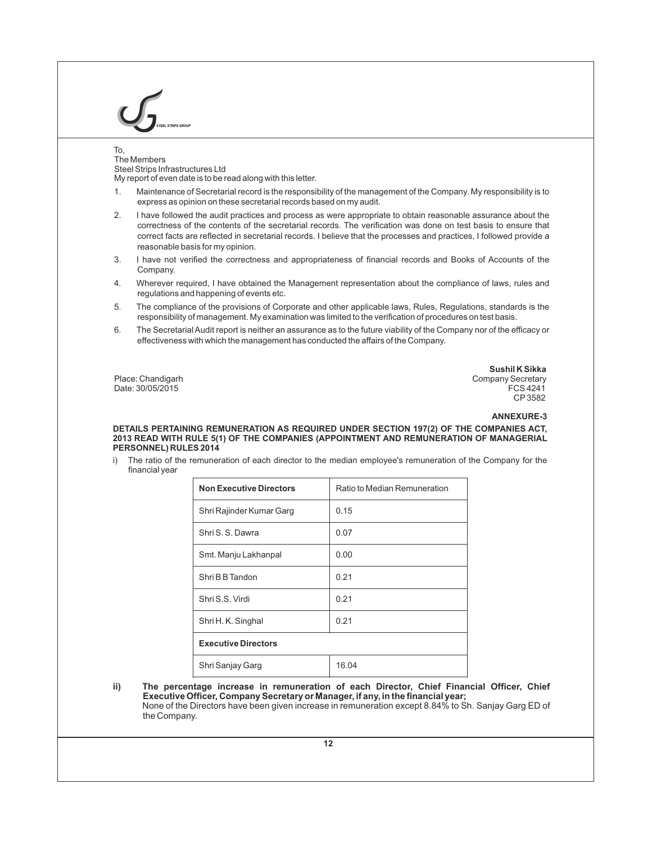# To,

The Members Steel Strips Infrastructures Ltd My report of even date is to be read along with this letter.

- 
- 1. Maintenance of Secretarial record is the responsibility of the management of the Company. My responsibility is to express as opinion on these secretarial records based on my audit.
- 2. I have followed the audit practices and process as were appropriate to obtain reasonable assurance about the correctness of the contents of the secretarial records. The verification was done on test basis to ensure that correct facts are reflected in secretarial records. I believe that the processes and practices, I followed provide a reasonable basis for my opinion.
- 3. I have not verified the correctness and appropriateness of financial records and Books of Accounts of the Company.
- 4. Wherever required, I have obtained the Management representation about the compliance of laws, rules and regulations and happening of events etc.
- 5. The compliance of the provisions of Corporate and other applicable laws, Rules, Regulations, standards is the responsibility of management. My examination was limited to the verification of procedures on test basis.
- 6. The Secretarial Audit report is neither an assurance as to the future viability of the Company nor of the efficacy or effectiveness with which the management has conducted the affairs of the Company.

Date: 30/05/2015

**Sushil K Sikka**<br>Place: Chandigarh **Sikka**<br>Company Secretary Company Secretary<br>FCS 4241 CP3582

**ANNEXURE-3**

**DETAILS PERTAINING REMUNERATION AS REQUIRED UNDER SECTION 197(2) OF THE COMPANIES ACT, 2013 READ WITH RULE 5(1) OF THE COMPANIES (APPOINTMENT AND REMUNERATION OF MANAGERIAL PERSONNEL) RULES 2014**

i) The ratio of the remuneration of each director to the median employee's remuneration of the Company for the financial year

| <b>Non Executive Directors</b> | Ratio to Median Remuneration |  |
|--------------------------------|------------------------------|--|
| Shri Rajinder Kumar Garg       | 0.15                         |  |
| Shri S. S. Dawra               | 0.07                         |  |
| Smt. Manju Lakhanpal           | 0.00                         |  |
| Shri B B Tandon                | 0.21                         |  |
| Shri S.S. Virdi                | 0.21                         |  |
| Shri H. K. Singhal             | 0.21                         |  |
| <b>Executive Directors</b>     |                              |  |
| Shri Sanjay Garg               | 16.04                        |  |

ii) The percentage increase in remuneration of each Director, Chief Financial Officer, Chief **Executive Officer, Company Secretary or Manager, if any, in the financial year;** None of the Directors have been given increase in remuneration except 8.84% to Sh. Sanjay Garg ED of the Company.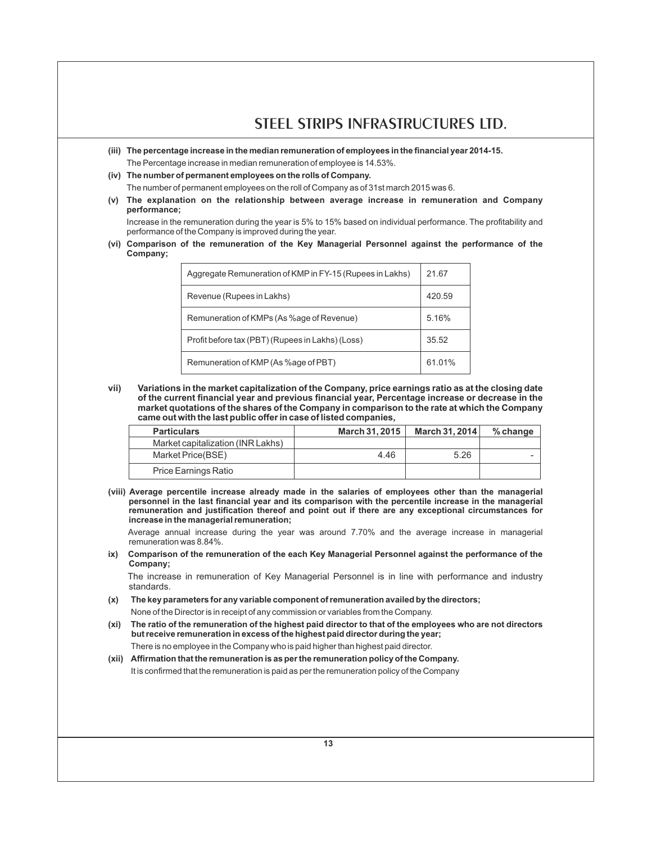- **(iii) The percentage increase in the median remuneration of employees in the financial year 2014-15.**  The Percentage increase in median remuneration of employee is 14.53%.
- **(iv) The number of permanent employees on the rolls of Company.**
- The number of permanent employees on the roll of Company as of 31st march 2015 was 6.
- **(v) The explanation on the relationship between average increase in remuneration and Company performance;**

Increase in the remuneration during the year is 5% to 15% based on individual performance. The profitability and performance of the Company is improved during the year.

**(vi) Comparison of the remuneration of the Key Managerial Personnel against the performance of the Company;**

| Aggregate Remuneration of KMP in FY-15 (Rupees in Lakhs) | 21.67  |
|----------------------------------------------------------|--------|
| Revenue (Rupees in Lakhs)                                | 420.59 |
| Remuneration of KMPs (As %age of Revenue)                | 5.16%  |
| Profit before tax (PBT) (Rupees in Lakhs) (Loss)         | 35.52  |
| Remuneration of KMP (As %age of PBT)                     | 61.01% |

**vii) Variations in the market capitalization of the Company, price earnings ratio as at the closing date**  of the current financial year and previous financial year, Percentage increase or decrease in the **market quotations of the shares of the Company in comparison to the rate at which the Company came out with the last public offer in case of listed companies,**

| <b>Particulars</b>                | March 31, 2015 | March 31, 2014 | $%$ change |
|-----------------------------------|----------------|----------------|------------|
| Market capitalization (INR Lakhs) |                |                |            |
| Market Price(BSE)                 | 4.46           | 5.26           |            |
| Price Earnings Ratio              |                |                |            |

**(viii) Average percentile increase already made in the salaries of employees other than the managerial personnel in the last financial year and its comparison with the percentile increase in the managerial remuneration and justification thereof and point out if there are any exceptional circumstances for increase in the managerial remuneration;**

Average annual increase during the year was around 7.70% and the average increase in managerial remuneration was 8.84%.

**ix) Comparison of the remuneration of the each Key Managerial Personnel against the performance of the Company;**

The increase in remuneration of Key Managerial Personnel is in line with performance and industry standards.

- **(x) The key parameters for any variable component of remuneration availed by the directors;** None of the Director is in receipt of any commission or variables from the Company.
- **(xi) The ratio of the remuneration of the highest paid director to that of the employees who are not directors but receive remuneration in excess of the highest paid director during the year;**  There is no employee in the Company who is paid higher than highest paid director.
- **(xii) Affirmation that the remuneration is as per the remuneration policy of the Company.** It is confirmed that the remuneration is paid as per the remuneration policy of the Company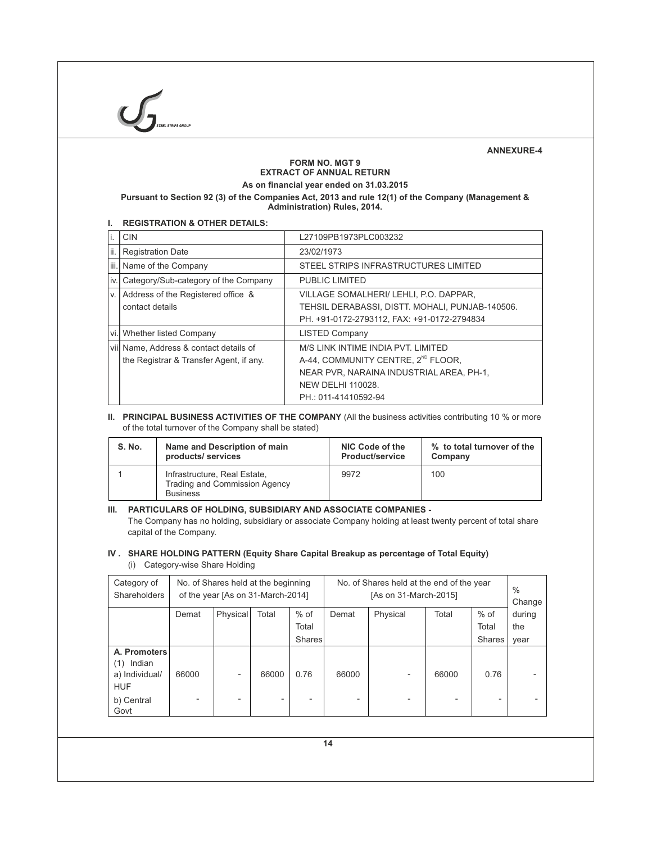# **ANNEXURE-4**

# **FORM NO. MGT 9 EXTRACT OF ANNUAL RETURN**

**As on financial year ended on 31.03.2015**

**Pursuant to Section 92 (3) of the Companies Act, 2013 and rule 12(1) of the Company (Management & Administration) Rules, 2014.**

# **I. REGISTRATION & OTHER DETAILS:**

| li.  | <b>CIN</b>                                                                         | L27109PB1973PLC003232                                                                                                                                                               |
|------|------------------------------------------------------------------------------------|-------------------------------------------------------------------------------------------------------------------------------------------------------------------------------------|
| lii. | <b>Registration Date</b>                                                           | 23/02/1973                                                                                                                                                                          |
|      | iii. Name of the Company                                                           | STEEL STRIPS INFRASTRUCTURES LIMITED                                                                                                                                                |
| iv.  | Category/Sub-category of the Company                                               | <b>PUBLIC LIMITED</b>                                                                                                                                                               |
| V.   | Address of the Registered office &<br>contact details                              | VILLAGE SOMALHERI/ LEHLI, P.O. DAPPAR,<br>TEHSIL DERABASSI, DISTT. MOHALI, PUNJAB-140506.<br>PH. +91-0172-2793112, FAX: +91-0172-2794834                                            |
| vi.  | Whether listed Company                                                             | <b>LISTED Company</b>                                                                                                                                                               |
|      | viil Name, Address & contact details of<br>the Registrar & Transfer Agent, if any. | M/S LINK INTIME INDIA PVT. LIMITED<br>A-44, COMMUNITY CENTRE, 2 <sup>ND</sup> FLOOR.<br>NEAR PVR, NARAINA INDUSTRIAL AREA, PH-1,<br><b>NEW DELHI 110028.</b><br>PH: 011-41410592-94 |

# **II. PRINCIPAL BUSINESS ACTIVITIES OF THE COMPANY** (All the business activities contributing 10 % or more of the total turnover of the Company shall be stated)

| <b>S. No.</b> | Name and Description of main                                                            | NIC Code of the        | % to total turnover of the |  |
|---------------|-----------------------------------------------------------------------------------------|------------------------|----------------------------|--|
|               | products/services                                                                       | <b>Product/service</b> | Company                    |  |
|               | Infrastructure, Real Estate,<br><b>Trading and Commission Agency</b><br><b>Business</b> | 9972                   | 100                        |  |

# **III. PARTICULARS OF HOLDING, SUBSIDIARY AND ASSOCIATE COMPANIES -**

The Company has no holding, subsidiary or associate Company holding at least twenty percent of total share capital of the Company.

# **IV . SHARE HOLDING PATTERN (Equity Share Capital Breakup as percentage of Total Equity)** (i) Category-wise Share Holding

| Category of<br>Shareholders                                                         |       | No. of Shares held at the beginning<br>of the year [As on 31-March-2014] |       |                                  |            | No. of Shares held at the end of the year<br>[As on 31-March-2015] |       |           |                |
|-------------------------------------------------------------------------------------|-------|--------------------------------------------------------------------------|-------|----------------------------------|------------|--------------------------------------------------------------------|-------|-----------|----------------|
|                                                                                     | Demat | Physical                                                                 | Total | $%$ of                           | Demat      | Physical                                                           | Total | $%$ of    | during         |
|                                                                                     |       |                                                                          |       | Total                            |            |                                                                    |       | Total     | the            |
|                                                                                     |       |                                                                          |       | Shares                           |            |                                                                    |       | Shares    | year           |
| A. Promoters<br>Indian<br>(1)<br>a) Individual/<br><b>HUF</b><br>b) Central<br>Govt | 66000 | $\overline{\phantom{a}}$<br>$\overline{\phantom{0}}$                     | 66000 | 0.76<br>$\overline{\phantom{0}}$ | 66000<br>٠ |                                                                    | 66000 | 0.76<br>- | $\blacksquare$ |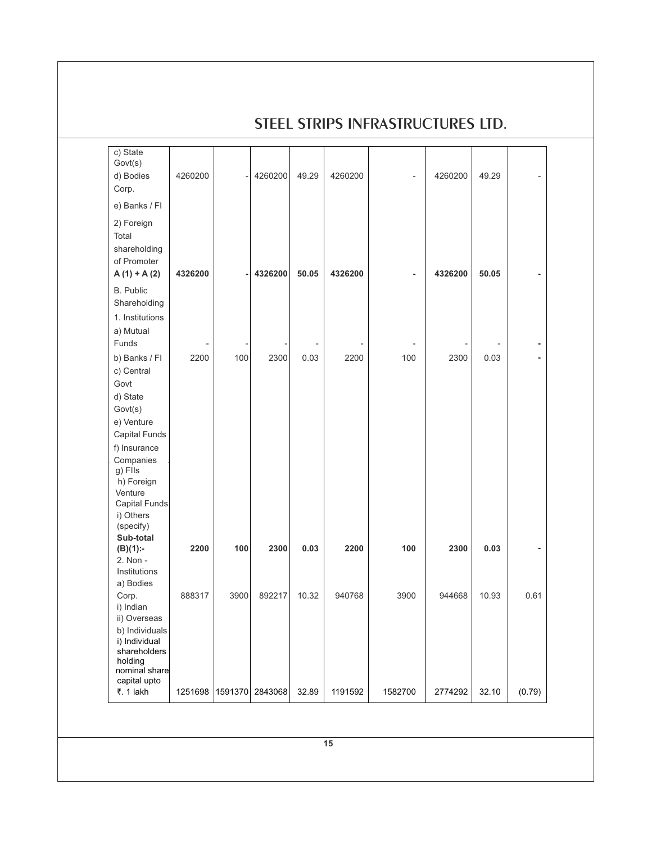|                                                                                                                              |            |         |         |           |         | SIEEL SIRIPS INFRASIRUCIURES LID. |         |       |        |
|------------------------------------------------------------------------------------------------------------------------------|------------|---------|---------|-----------|---------|-----------------------------------|---------|-------|--------|
| c) State<br>Govt(s)<br>d) Bodies<br>Corp.                                                                                    | 4260200    |         | 4260200 | 49.29     | 4260200 |                                   | 4260200 | 49.29 |        |
| e) Banks / FI                                                                                                                |            |         |         |           |         |                                   |         |       |        |
| 2) Foreign<br>Total<br>shareholding<br>of Promoter<br>$A(1) + A(2)$                                                          | 4326200    |         | 4326200 | 50.05     | 4326200 |                                   | 4326200 | 50.05 |        |
| B. Public<br>Shareholding<br>1. Institutions<br>a) Mutual                                                                    |            |         |         |           |         |                                   |         |       |        |
| Funds<br>b) Banks / Fl<br>c) Central<br>Govt<br>d) State<br>Govt(s)<br>e) Venture<br>Capital Funds                           | ÷,<br>2200 | 100     | 2300    | ٠<br>0.03 | 2200    | 100                               | 2300    | 0.03  |        |
| f) Insurance<br>Companies<br>g) Flls<br>h) Foreign<br>Venture<br><b>Capital Funds</b><br>i) Others<br>(specify)<br>Sub-total |            |         |         |           |         |                                   |         |       |        |
| $(B)(1)$ :-<br>2. Non -<br>Institutions<br>a) Bodies                                                                         | 2200       | 100     | 2300    | 0.03      | 2200    | 100                               | 2300    | 0.03  |        |
| Corp.<br>i) Indian<br>ii) Overseas<br>b) Individuals<br>i) Individual<br>shareholders<br>holding<br>nominal share            | 888317     | 3900    | 892217  | 10.32     | 940768  | 3900                              | 944668  | 10.93 | 0.61   |
| capital upto<br>₹. 1 lakh                                                                                                    | 1251698    | 1591370 | 2843068 | 32.89     | 1191592 | 1582700                           | 2774292 | 32.10 | (0.79) |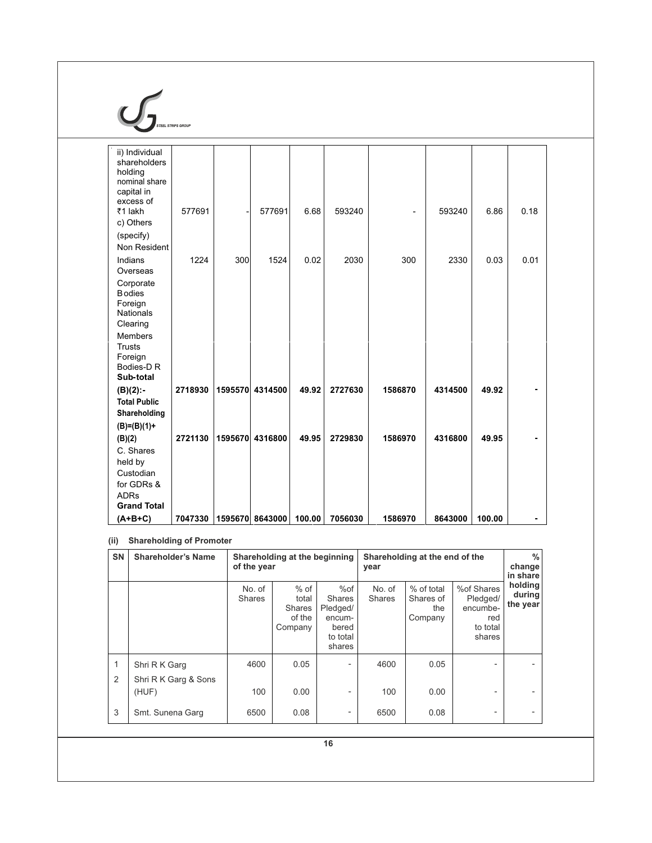# $\mathcal{G}_{\text{max}}$

| ii) Individual<br>shareholders<br>holding<br>nominal share<br>capital in<br>excess of |         |         |                 |        |         |                              |         |        |                |  |
|---------------------------------------------------------------------------------------|---------|---------|-----------------|--------|---------|------------------------------|---------|--------|----------------|--|
| ₹1 lakh                                                                               | 577691  |         | 577691          | 6.68   | 593240  | $\qquad \qquad \blacksquare$ | 593240  | 6.86   | 0.18           |  |
| c) Others                                                                             |         |         |                 |        |         |                              |         |        |                |  |
| (specify)                                                                             |         |         |                 |        |         |                              |         |        |                |  |
| Non Resident                                                                          |         |         |                 |        |         |                              |         |        |                |  |
| Indians                                                                               | 1224    | 300     | 1524            | 0.02   | 2030    | 300                          | 2330    | 0.03   | 0.01           |  |
| Overseas                                                                              |         |         |                 |        |         |                              |         |        |                |  |
| Corporate<br><b>Bodies</b>                                                            |         |         |                 |        |         |                              |         |        |                |  |
| Foreign<br><b>Nationals</b>                                                           |         |         |                 |        |         |                              |         |        |                |  |
| Clearing                                                                              |         |         |                 |        |         |                              |         |        |                |  |
| <b>Members</b>                                                                        |         |         |                 |        |         |                              |         |        |                |  |
| <b>Trusts</b>                                                                         |         |         |                 |        |         |                              |         |        |                |  |
| Foreign                                                                               |         |         |                 |        |         |                              |         |        |                |  |
| Bodies-D R                                                                            |         |         |                 |        |         |                              |         |        |                |  |
| Sub-total                                                                             |         |         |                 |        |         |                              |         |        |                |  |
| $(B)(2)$ :                                                                            | 2718930 |         | 1595570 4314500 | 49.92  | 2727630 | 1586870                      | 4314500 | 49.92  | $\blacksquare$ |  |
| <b>Total Public</b>                                                                   |         |         |                 |        |         |                              |         |        |                |  |
| Shareholding                                                                          |         |         |                 |        |         |                              |         |        |                |  |
| $(B)=(B)(1)+$                                                                         |         |         |                 |        |         |                              |         |        |                |  |
| (B)(2)                                                                                | 2721130 | 1595670 | 4316800         | 49.95  | 2729830 | 1586970                      | 4316800 | 49.95  | $\blacksquare$ |  |
| C. Shares                                                                             |         |         |                 |        |         |                              |         |        |                |  |
| held by                                                                               |         |         |                 |        |         |                              |         |        |                |  |
| Custodian                                                                             |         |         |                 |        |         |                              |         |        |                |  |
| for GDRs &<br><b>ADRs</b>                                                             |         |         |                 |        |         |                              |         |        |                |  |
| <b>Grand Total</b>                                                                    |         |         |                 |        |         |                              |         |        |                |  |
| $(A+B+C)$                                                                             | 7047330 |         | 1595670 8643000 | 100.00 | 7056030 | 1586970                      | 8643000 | 100.00 | ۰              |  |

# **(ii) Shareholding of Promoter**

| <b>SN</b> | <b>Shareholder's Name</b>             |                         | Shareholding at the beginning<br>of the year          |                                                                           |                         | Shareholding at the end of the<br>year    |                                                                 |                               |  |
|-----------|---------------------------------------|-------------------------|-------------------------------------------------------|---------------------------------------------------------------------------|-------------------------|-------------------------------------------|-----------------------------------------------------------------|-------------------------------|--|
|           |                                       | No. of<br><b>Shares</b> | $%$ of<br>total<br><b>Shares</b><br>of the<br>Company | %of<br><b>Shares</b><br>Pledged/<br>encum-<br>bered<br>to total<br>shares | No. of<br><b>Shares</b> | % of total<br>Shares of<br>the<br>Company | %of Shares<br>Pledged/<br>encumbe-<br>red<br>to total<br>shares | holding<br>during<br>the year |  |
| 1<br>2    | Shri R K Garg<br>Shri R K Garg & Sons | 4600                    | 0.05                                                  |                                                                           | 4600                    | 0.05                                      |                                                                 |                               |  |
|           | (HUF)                                 | 100                     | 0.00                                                  |                                                                           | 100                     | 0.00                                      | ۳                                                               |                               |  |
| 3         | Smt. Sunena Garg                      | 6500                    | 0.08                                                  | $\overline{\phantom{0}}$                                                  | 6500                    | 0.08                                      | $\overline{\phantom{0}}$                                        |                               |  |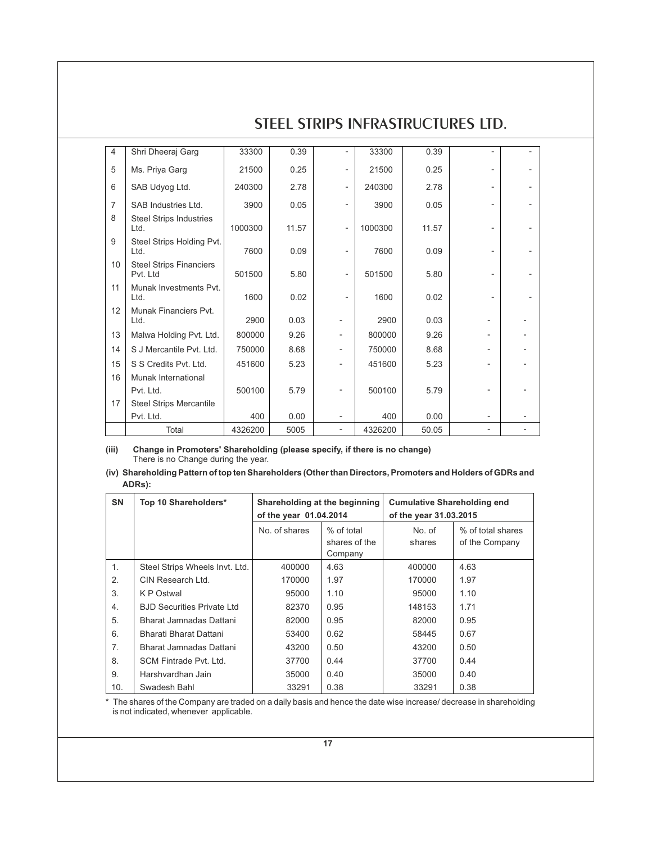| 4              |                                            |         |       |                          |         |       |   |  |
|----------------|--------------------------------------------|---------|-------|--------------------------|---------|-------|---|--|
|                | Shri Dheeraj Garg                          | 33300   | 0.39  |                          | 33300   | 0.39  |   |  |
| 5              | Ms. Priya Garg                             | 21500   | 0.25  |                          | 21500   | 0.25  |   |  |
| 6              | SAB Udyog Ltd.                             | 240300  | 2.78  | $\overline{\phantom{a}}$ | 240300  | 2.78  |   |  |
| $\overline{7}$ | SAB Industries Ltd.                        | 3900    | 0.05  | $\overline{\phantom{a}}$ | 3900    | 0.05  | - |  |
| 8              | <b>Steel Strips Industries</b><br>Ltd.     | 1000300 | 11.57 | $\overline{\phantom{a}}$ | 1000300 | 11.57 |   |  |
| 9              | Steel Strips Holding Pvt.<br>Ltd.          | 7600    | 0.09  |                          | 7600    | 0.09  |   |  |
| 10             | <b>Steel Strips Financiers</b><br>Pvt. Ltd | 501500  | 5.80  |                          | 501500  | 5.80  |   |  |
| 11             | Munak Investments Pvt.<br>Ltd.             | 1600    | 0.02  |                          | 1600    | 0.02  |   |  |
| 12             | Munak Financiers Pvt.<br>Ltd.              | 2900    | 0.03  |                          | 2900    | 0.03  |   |  |
| 13             | Malwa Holding Pvt. Ltd.                    | 800000  | 9.26  | $\overline{\phantom{0}}$ | 800000  | 9.26  |   |  |
| 14             | S J Mercantile Pvt. Ltd.                   | 750000  | 8.68  |                          | 750000  | 8.68  |   |  |
| 15             | S S Credits Pvt. Ltd.                      | 451600  | 5.23  |                          | 451600  | 5.23  |   |  |
| 16             | Munak International                        |         |       |                          |         |       |   |  |
|                | Pvt. Ltd.                                  | 500100  | 5.79  |                          | 500100  | 5.79  |   |  |
| 17             | <b>Steel Strips Mercantile</b>             |         |       |                          |         |       |   |  |
|                | Pvt. Ltd.                                  | 400     | 0.00  |                          | 400     | 0.00  |   |  |
|                | Total                                      | 4326200 | 5005  | $\overline{\phantom{0}}$ | 4326200 | 50.05 |   |  |

**(iii) Change in Promoters' Shareholding (please specify, if there is no change)**  There is no Change during the year.

| (iv) Shareholding Pattern of top ten Shareholders (Other than Directors, Promoters and Holders of GDRs and |
|------------------------------------------------------------------------------------------------------------|
| ADRs):                                                                                                     |

| <b>SN</b> | Top 10 Shareholders*              | Shareholding at the beginning<br>of the year 01.04.2014 |                                        | <b>Cumulative Shareholding end</b><br>of the year 31.03.2015 |                                     |
|-----------|-----------------------------------|---------------------------------------------------------|----------------------------------------|--------------------------------------------------------------|-------------------------------------|
|           |                                   | No. of shares                                           | % of total<br>shares of the<br>Company | No. of<br>shares                                             | % of total shares<br>of the Company |
| 1.        | Steel Strips Wheels Invt. Ltd.    | 400000                                                  | 4.63                                   | 400000                                                       | 4.63                                |
| 2.        | CIN Research Ltd.                 | 170000                                                  | 1.97                                   | 170000                                                       | 1.97                                |
| 3.        | K P Ostwal                        | 95000                                                   | 1.10                                   | 95000                                                        | 1.10                                |
| 4.        | <b>BJD Securities Private Ltd</b> | 82370                                                   | 0.95                                   | 148153                                                       | 1.71                                |
| 5.        | Bharat Jamnadas Dattani           | 82000                                                   | 0.95                                   | 82000                                                        | 0.95                                |
| 6.        | Bharati Bharat Dattani            | 53400                                                   | 0.62                                   | 58445                                                        | 0.67                                |
| 7.        | Bharat Jamnadas Dattani           | 43200                                                   | 0.50                                   | 43200                                                        | 0.50                                |
| 8.        | SCM Fintrade Pvt. Ltd.            | 37700                                                   | 0.44                                   | 37700                                                        | 0.44                                |
| 9.        | Harshvardhan Jain                 | 35000                                                   | 0.40                                   | 35000                                                        | 0.40                                |
| 10.       | Swadesh Bahl                      | 33291                                                   | 0.38                                   | 33291                                                        | 0.38                                |

\* The shares of the Company are traded on a daily basis and hence the date wise increase/ decrease in shareholding is not indicated, whenever applicable.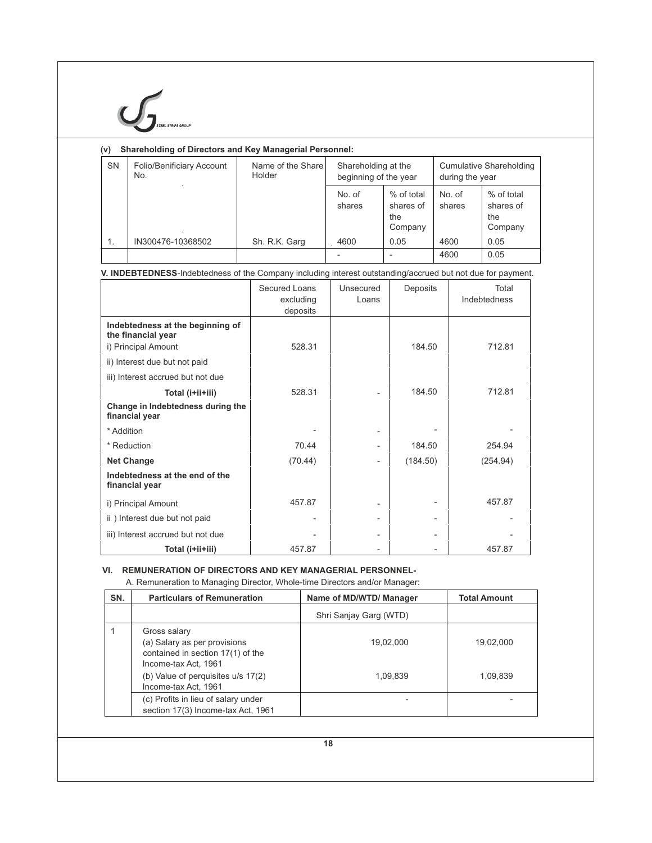| <b>STEEL STRIPS GROU</b> |
|--------------------------|

# **(v) Shareholding of Directors and Key Managerial Personnel:**

| <b>SN</b>     | Folio/Benificiary Account<br>No. | Name of the Share<br>Holder | Shareholding at the<br>beginning of the year |                                           | <b>Cumulative Shareholding</b><br>during the year |                                           |  |
|---------------|----------------------------------|-----------------------------|----------------------------------------------|-------------------------------------------|---------------------------------------------------|-------------------------------------------|--|
|               |                                  |                             | No. of<br>shares                             | % of total<br>shares of<br>the<br>Company | No. of<br>shares                                  | % of total<br>shares of<br>the<br>Company |  |
| $\mathbf 1$ . | IN300476-10368502                | Sh. R.K. Garg               | 4600                                         | 0.05                                      | 4600                                              | 0.05                                      |  |
|               |                                  |                             |                                              |                                           | 4600                                              | 0.05                                      |  |

# **V. INDEBTEDNESS**-Indebtedness of the Company including interest outstanding/accrued but not due for payment.

|                                                        | Secured Loans<br>excluding<br>deposits | Unsecured<br>Loans       | Deposits | Total<br>Indebtedness |
|--------------------------------------------------------|----------------------------------------|--------------------------|----------|-----------------------|
| Indebtedness at the beginning of<br>the financial year |                                        |                          |          |                       |
| i) Principal Amount                                    | 528.31                                 |                          | 184.50   | 712.81                |
| ii) Interest due but not paid                          |                                        |                          |          |                       |
| iii) Interest accrued but not due                      |                                        |                          |          |                       |
| Total (i+ii+iii)                                       | 528.31                                 |                          | 184.50   | 712.81                |
| Change in Indebtedness during the<br>financial year    |                                        |                          |          |                       |
| * Addition                                             |                                        | $\overline{\phantom{a}}$ |          |                       |
| * Reduction                                            | 70.44                                  | $\overline{a}$           | 184.50   | 254.94                |
| <b>Net Change</b>                                      | (70.44)                                | $\overline{\phantom{a}}$ | (184.50) | (254.94)              |
| Indebtedness at the end of the<br>financial year       |                                        |                          |          |                       |
| i) Principal Amount                                    | 457.87                                 |                          |          | 457.87                |
| ii) Interest due but not paid                          |                                        | -                        |          |                       |
| iii) Interest accrued but not due                      |                                        |                          |          |                       |
| Total (i+ii+iii)                                       | 457.87                                 |                          |          | 457.87                |

# **VI. REMUNERATION OF DIRECTORS AND KEY MANAGERIAL PERSONNEL-**

A. Remuneration to Managing Director, Whole-time Directors and/or Manager:

| SN. | <b>Particulars of Remuneration</b>                                                                                                                                      | Name of MD/WTD/ Manager | <b>Total Amount</b>   |
|-----|-------------------------------------------------------------------------------------------------------------------------------------------------------------------------|-------------------------|-----------------------|
|     |                                                                                                                                                                         | Shri Sanjay Garg (WTD)  |                       |
|     | Gross salary<br>(a) Salary as per provisions<br>contained in section 17(1) of the<br>Income-tax Act, 1961<br>(b) Value of perquisites u/s 17(2)<br>Income-tax Act, 1961 | 19,02,000<br>1,09,839   | 19,02,000<br>1,09,839 |
|     | (c) Profits in lieu of salary under<br>section 17(3) Income-tax Act, 1961                                                                                               |                         |                       |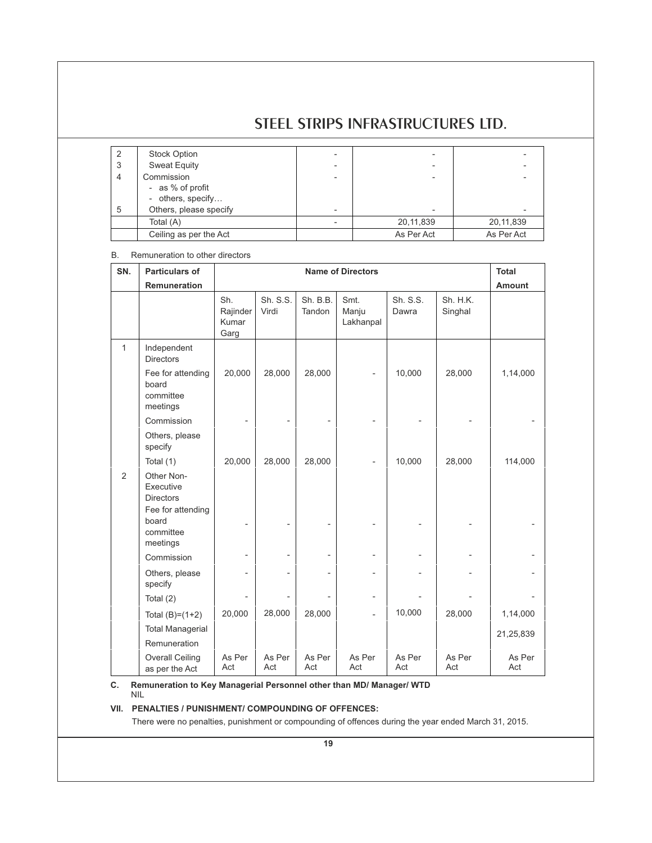| 2              | Stock Option           |            |            |
|----------------|------------------------|------------|------------|
| 3              | <b>Sweat Equity</b>    |            |            |
| $\overline{4}$ | Commission             |            |            |
|                | - as % of profit       |            |            |
|                | - others, specify      |            |            |
| 5              | Others, please specify |            |            |
|                | Total (A)              | 20,11,839  | 20,11,839  |
|                | Ceiling as per the Act | As Per Act | As Per Act |

# B. Remuneration to other directors

| SN.          | <b>Particulars of</b>                                            | <b>Name of Directors</b>         |                   |                    |                            |                   | <b>Total</b>        |               |
|--------------|------------------------------------------------------------------|----------------------------------|-------------------|--------------------|----------------------------|-------------------|---------------------|---------------|
|              | Remuneration                                                     |                                  |                   |                    |                            |                   |                     | <b>Amount</b> |
|              |                                                                  | Sh.<br>Rajinder<br>Kumar<br>Garg | Sh. S.S.<br>Virdi | Sh. B.B.<br>Tandon | Smt.<br>Manju<br>Lakhanpal | Sh. S.S.<br>Dawra | Sh. H.K.<br>Singhal |               |
| $\mathbf{1}$ | Independent<br><b>Directors</b>                                  |                                  |                   |                    |                            |                   |                     |               |
|              | Fee for attending<br>board<br>committee<br>meetings              | 20,000                           | 28,000            | 28,000             |                            | 10,000            | 28,000              | 1,14,000      |
|              | Commission                                                       |                                  |                   |                    |                            |                   |                     |               |
|              | Others, please<br>specify                                        |                                  |                   |                    |                            |                   |                     |               |
|              | Total (1)                                                        | 20,000                           | 28,000            | 28,000             |                            | 10,000            | 28,000              | 114,000       |
| 2            | Other Non-<br>Executive<br><b>Directors</b><br>Fee for attending |                                  |                   |                    |                            |                   |                     |               |
|              | board<br>committee<br>meetings                                   |                                  |                   |                    |                            |                   |                     |               |
|              | Commission                                                       |                                  |                   |                    |                            |                   |                     |               |
|              | Others, please<br>specify                                        |                                  |                   |                    | $\overline{\phantom{0}}$   |                   |                     |               |
|              | Total $(2)$                                                      |                                  |                   |                    | $\overline{\phantom{0}}$   |                   |                     |               |
|              | Total $(B)=(1+2)$                                                | 20,000                           | 28,000            | 28,000             | $\overline{a}$             | 10,000            | 28,000              | 1,14,000      |
|              | <b>Total Managerial</b>                                          |                                  |                   |                    |                            |                   |                     | 21,25,839     |
|              | Remuneration                                                     |                                  |                   |                    |                            |                   |                     |               |
|              | <b>Overall Ceiling</b><br>as per the Act                         | As Per<br>Act                    | As Per<br>Act     | As Per<br>Act      | As Per<br>Act              | As Per<br>Act     | As Per<br>Act       | As Per<br>Act |

**C. Remuneration to Key Managerial Personnel other than MD/ Manager/ WTD**  NIL

# **VII. PENALTIES / PUNISHMENT/ COMPOUNDING OF OFFENCES:**

There were no penalties, punishment or compounding of offences during the year ended March 31, 2015.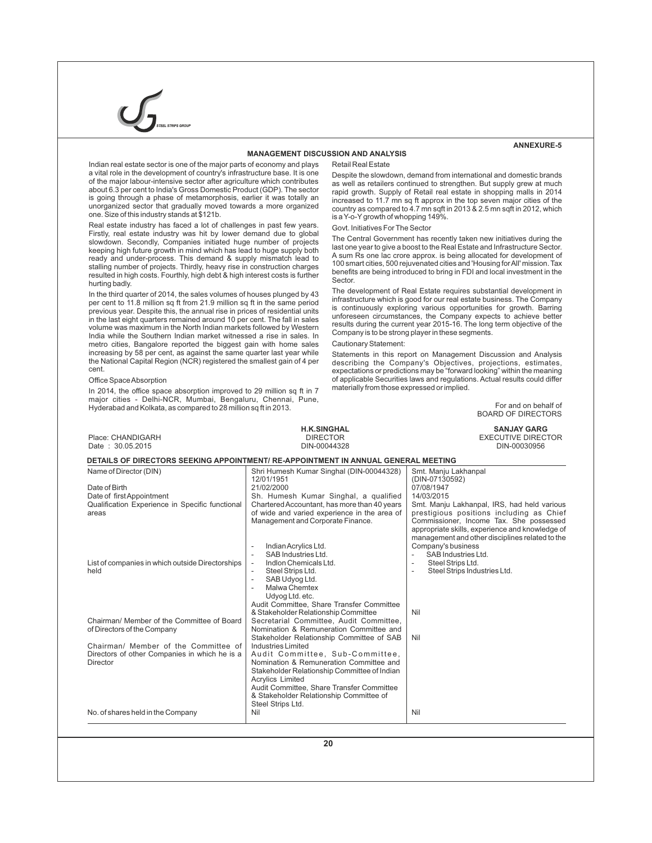

#### **MANAGEMENT DISCUSSION AND ANALYSIS**

# **ANNEXURE-5**

Indian real estate sector is one of the major parts of economy and plays a vital role in the development of country's infrastructure base. It is one of the major labour-intensive sector after agriculture which contributes about 6.3 per cent to India's Gross Domestic Product (GDP). The sector is going through a phase of metamorphosis, earlier it was totally an unorganized sector that gradually moved towards a more organized one. Size of this industry stands at \$121b.

Real estate industry has faced a lot of challenges in past few years. Firstly, real estate industry was hit by lower demand due to global slowdown. Secondly, Companies initiated huge number of projects keeping high future growth in mind which has lead to huge supply both ready and under-process. This demand & supply mismatch lead to stalling number of projects. Thirdly, heavy rise in construction charges resulted in high costs. Fourthly, high debt & high interest costs is further hurting badly.

In the third quarter of 2014, the sales volumes of houses plunged by 43 per cent to 11.8 million sq ft from 21.9 million sq ft in the same period previous year. Despite this, the annual rise in prices of residential units in the last eight quarters remained around 10 per cent. The fall in sales volume was maximum in the North Indian markets followed by Western India while the Southern Indian market witnessed a rise in sales. In metro cities, Bangalore reported the biggest gain with home sales increasing by 58 per cent, as against the same quarter last year while the National Capital Region (NCR) registered the smallest gain of 4 per cent.

#### Office Space Absorption

In 2014, the office space absorption improved to 29 million sq ft in 7 major cities - Delhi-NCR, Mumbai, Bengaluru, Chennai, Pune, Hyderabad and Kolkata, as compared to 28 million sq ft in 2013.

#### Retail Real Estate

Despite the slowdown, demand from international and domestic brands as well as retailers continued to strengthen. But supply grew at much rapid growth. Supply of Retail real estate in shopping malls in 2014 increased to 11.7 mn sq ft approx in the top seven major cities of the country as compared to 4.7 mn sqft in 2013 & 2.5 mn sqft in 2012, which is a Y-o-Ygrowth of whopping 149%.

#### Govt. Initiatives For The Sector

The Central Government has recently taken new initiatives during the last one year to give a boost to the Real Estate and Infrastructure Sector. A sum Rs one lac crore approx. is being allocated for development of 100 smart cities, 500 rejuvenated cities and 'Housing for All' mission. Tax benefits are being introduced to bring in FDI and local investment in the Sector.

The development of Real Estate requires substantial development in infrastructure which is good for our real estate business. The Company is continuously exploring various opportunities for growth. Barring unforeseen circumstances, the Company expects to achieve better results during the current year 2015-16. The long term objective of the Company is to be strong player in these segments.

# Cautionary Statement:

Statements in this report on Management Discussion and Analysis describing the Company's Objectives, projections, estimates, expectations or predictions may be "forward looking" within the meaning of applicable Securities laws and regulations. Actual results could differ materially from those expressed or implied.

> For and on behalf of BOARD OF DIRECTORS

| Place: CHANDIGARH                                                         | <b>H.K.SINGHAL</b><br><b>DIRECTOR</b>                                              | <b>SANJAY GARG</b><br><b>EXECUTIVE DIRECTOR</b> |
|---------------------------------------------------------------------------|------------------------------------------------------------------------------------|-------------------------------------------------|
| Date: 30.05.2015                                                          | DIN-00044328                                                                       | DIN-00030956                                    |
|                                                                           | DETAILS OF DIRECTORS SEEKING APPOINTMENT/ RE-APPOINTMENT IN ANNUAL GENERAL MEETING |                                                 |
| Name of Director (DIN)                                                    | Shri Humesh Kumar Singhal (DIN-00044328)                                           | Smt. Manju Lakhanpal                            |
| Date of Birth                                                             | 12/01/1951<br>21/02/2000                                                           | (DIN-07130592)<br>07/08/1947                    |
| Date of first Appointment                                                 | Sh. Humesh Kumar Singhal, a qualified                                              | 14/03/2015                                      |
| Qualification Experience in Specific functional                           | Chartered Accountant, has more than 40 years                                       | Smt. Manju Lakhanpal, IRS, had held various     |
| areas                                                                     | of wide and varied experience in the area of                                       | prestigious positions including as Chief        |
|                                                                           | Management and Corporate Finance.                                                  | Commissioner, Income Tax. She possessed         |
|                                                                           |                                                                                    | appropriate skills, experience and knowledge of |
|                                                                           |                                                                                    | management and other disciplines related to the |
|                                                                           | Indian Acrylics Ltd.<br>$\overline{\phantom{a}}$                                   | Company's business                              |
| List of companies in which outside Directorships                          | SAB Industries Ltd.<br>Indion Chemicals Ltd.<br>$\overline{\phantom{a}}$           | SAB Industries Ltd.<br>Steel Strips Ltd.<br>÷,  |
| held                                                                      | Steel Strips Ltd.                                                                  | Steel Strips Industries Ltd.<br>÷,              |
|                                                                           | SAB Udyog Ltd.<br>$\sim$                                                           |                                                 |
|                                                                           | Malwa Chemtex<br>$\sim$                                                            |                                                 |
|                                                                           | Udyog Ltd. etc.                                                                    |                                                 |
|                                                                           | Audit Committee, Share Transfer Committee                                          |                                                 |
|                                                                           | & Stakeholder Relationship Committee                                               | Nil                                             |
| Chairman/ Member of the Committee of Board<br>of Directors of the Company | Secretarial Committee, Audit Committee,<br>Nomination & Remuneration Committee and |                                                 |
|                                                                           | Stakeholder Relationship Committee of SAB                                          | Nil                                             |
| Chairman/ Member of the Committee of                                      | Industries Limited                                                                 |                                                 |
| Directors of other Companies in which he is a                             | Audit Committee. Sub-Committee.                                                    |                                                 |
| Director                                                                  | Nomination & Remuneration Committee and                                            |                                                 |
|                                                                           | Stakeholder Relationship Committee of Indian                                       |                                                 |
|                                                                           | <b>Acrylics Limited</b>                                                            |                                                 |
|                                                                           | Audit Committee, Share Transfer Committee                                          |                                                 |
|                                                                           | & Stakeholder Relationship Committee of<br>Steel Strips Ltd.                       |                                                 |
| No. of shares held in the Company                                         | Nil                                                                                | Nil                                             |
|                                                                           |                                                                                    |                                                 |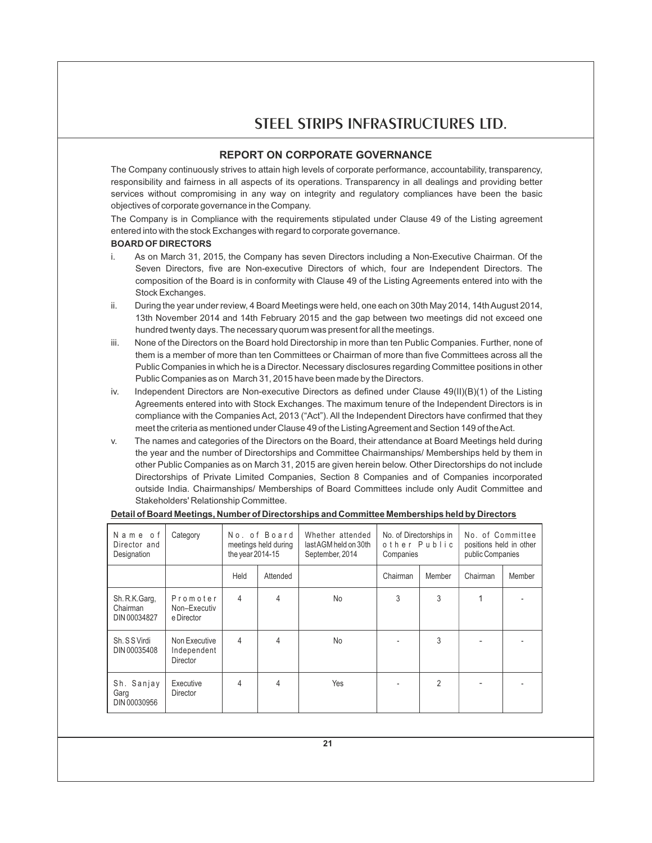# **REPORT ON CORPORATE GOVERNANCE**

The Company continuously strives to attain high levels of corporate performance, accountability, transparency, responsibility and fairness in all aspects of its operations. Transparency in all dealings and providing better services without compromising in any way on integrity and regulatory compliances have been the basic objectives of corporate governance in the Company.

The Company is in Compliance with the requirements stipulated under Clause 49 of the Listing agreement entered into with the stock Exchanges with regard to corporate governance.

# **BOARD OF DIRECTORS**

- i. As on March 31, 2015, the Company has seven Directors including a Non-Executive Chairman. Of the Seven Directors, five are Non-executive Directors of which, four are Independent Directors. The composition of the Board is in conformity with Clause 49 of the Listing Agreements entered into with the Stock Exchanges.
- ii. During the year under review, 4 Board Meetings were held, one each on 30th May 2014, 14th August 2014, 13th November 2014 and 14th February 2015 and the gap between two meetings did not exceed one hundred twenty days. The necessary quorum was present for all the meetings.
- iii. None of the Directors on the Board hold Directorship in more than ten Public Companies. Further, none of them is a member of more than ten Committees or Chairman of more than five Committees across all the Public Companies in which he is a Director. Necessary disclosures regarding Committee positions in other Public Companies as on March 31, 2015 have been made by the Directors.
- iv. Independent Directors are Non-executive Directors as defined under Clause 49(II)(B)(1) of the Listing Agreements entered into with Stock Exchanges. The maximum tenure of the Independent Directors is in compliance with the Companies Act, 2013 ("Act"). All the Independent Directors have confirmed that they meet the criteria as mentioned under Clause 49 of the Listing Agreement and Section 149 of the Act.
- v. The names and categories of the Directors on the Board, their attendance at Board Meetings held during the year and the number of Directorships and Committee Chairmanships/ Memberships held by them in other Public Companies as on March 31, 2015 are given herein below. Other Directorships do not include Directorships of Private Limited Companies, Section 8 Companies and of Companies incorporated outside India. Chairmanships/ Memberships of Board Committees include only Audit Committee and Stakeholders' Relationship Committee.

| Name of<br>Director and<br>Designation     | Category                                        | No. of Board<br>meetings held during<br>the year 2014-15 |                | Whether attended<br>last AGM held on 30th<br>September, 2014 | No. of Directorships in<br>other Public<br>Companies |                | No. of Committee<br>positions held in other<br>public Companies |        |
|--------------------------------------------|-------------------------------------------------|----------------------------------------------------------|----------------|--------------------------------------------------------------|------------------------------------------------------|----------------|-----------------------------------------------------------------|--------|
|                                            |                                                 | Held                                                     | Attended       |                                                              | Chairman                                             | Member         | Chairman                                                        | Member |
| Sh. R.K. Garg,<br>Chairman<br>DIN 00034827 | Promoter<br>Non-Executiv<br>e Director          | 4                                                        |                | <b>No</b>                                                    | 3                                                    | 3              |                                                                 |        |
| Sh. S S Virdi<br>DIN 00035408              | Non Executive<br>Independent<br><b>Director</b> | $\overline{4}$                                           | $\overline{4}$ | <b>No</b>                                                    |                                                      | 3              |                                                                 |        |
| Sh. Sanjay<br>Garg<br>DIN 00030956         | Executive<br>Director                           | 4                                                        | 4              | Yes                                                          |                                                      | $\overline{2}$ |                                                                 |        |

# **Detail of Board Meetings, Number of Directorships and Committee Memberships held by Directors**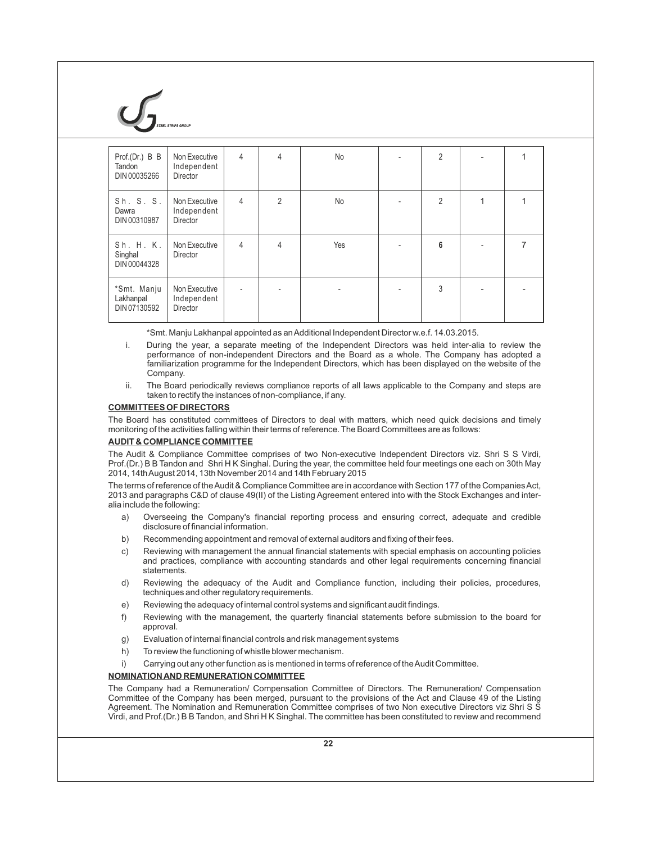

| Prof.(Dr.) B B<br>Tandon<br>DIN 00035266 | Non Executive<br>Independent<br>Director | $\overline{4}$ | 4              | No  | 2              |   |
|------------------------------------------|------------------------------------------|----------------|----------------|-----|----------------|---|
| Sh. S. S.<br>Dawra<br>DIN 00310987       | Non Executive<br>Independent<br>Director | $\overline{4}$ | $\overline{2}$ | No  | $\overline{2}$ |   |
| Sh. H. K.<br>Singhal<br>DIN 00044328     | Non Executive<br>Director                | $\overline{4}$ | 4              | Yes | 6              | 7 |
| *Smt. Manju<br>Lakhanpal<br>DIN 07130592 | Non Executive<br>Independent<br>Director | ٠              |                |     | 3              |   |

\*Smt. Manju Lakhanpal appointed as an Additional Independent Director w.e.f. 14.03.2015.

- i. During the year, a separate meeting of the Independent Directors was held inter-alia to review the performance of non-independent Directors and the Board as a whole. The Company has adopted a familiarization programme for the Independent Directors, which has been displayed on the website of the Company.
- ii. The Board periodically reviews compliance reports of all laws applicable to the Company and steps are taken to rectify the instances of non-compliance, if any.

# **COMMITTEES OF DIRECTORS**

The Board has constituted committees of Directors to deal with matters, which need quick decisions and timely monitoring of the activities falling within their terms of reference. The Board Committees are as follows:

## **AUDIT & COMPLIANCE COMMITTEE**

The Audit & Compliance Committee comprises of two Non-executive Independent Directors viz. Shri S S Virdi, Prof.(Dr.) B B Tandon and Shri H K Singhal. During the year, the committee held four meetings one each on 30th May 2014, 14th August 2014, 13th November 2014 and 14th February 2015

The terms of reference of the Audit & Compliance Committee are in accordance with Section 177 of the Companies Act, 2013 and paragraphs C&D of clause 49(II) of the Listing Agreement entered into with the Stock Exchanges and interalia include the following:

- a) Overseeing the Company's financial reporting process and ensuring correct, adequate and credible disclosure of financial information.
- b) Recommending appointment and removal of external auditors and fixing of their fees.
- c) Reviewing with management the annual financial statements with special emphasis on accounting policies and practices, compliance with accounting standards and other legal requirements concerning financial statements.
- d) Reviewing the adequacy of the Audit and Compliance function, including their policies, procedures, techniques and other regulatory requirements.
- e) Reviewing the adequacy of internal control systems and significant audit findings.
- f) Reviewing with the management, the quarterly financial statements before submission to the board for approval.
- g) Evaluation of internal financial controls and risk management systems
- h) To review the functioning of whistle blower mechanism.
- i) Carrying out any other function as is mentioned in terms of reference of the Audit Committee.

# **NOMINATION AND REMUNERATION COMMITTEE**

The Company had a Remuneration/ Compensation Committee of Directors. The Remuneration/ Compensation Committee of the Company has been merged, pursuant to the provisions of the Act and Clause 49 of the Listing Agreement. The Nomination and Remuneration Committee comprises of two Non executive Directors viz Shri S S Virdi, and Prof.(Dr.) B B Tandon, and Shri H K Singhal. The committee has been constituted to review and recommend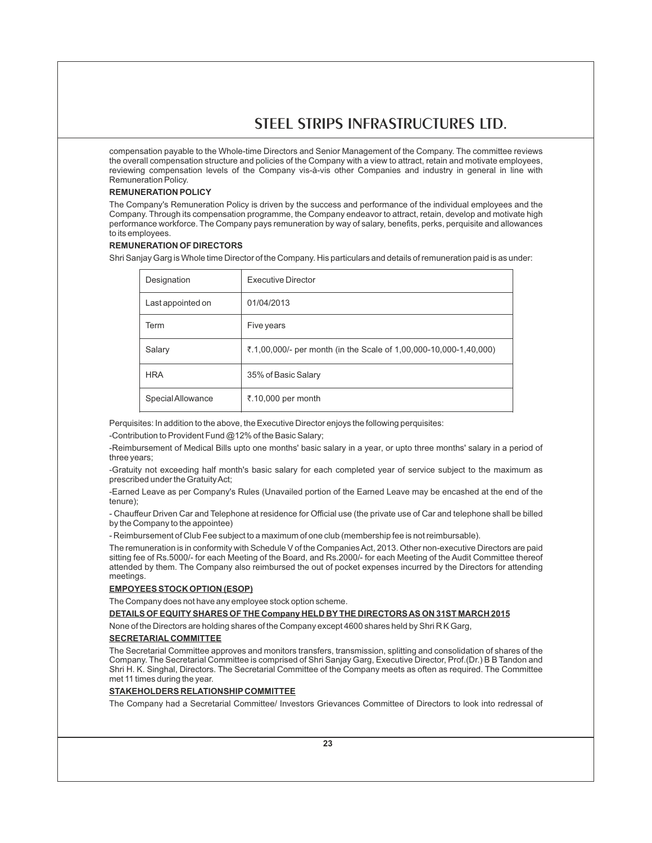compensation payable to the Whole-time Directors and Senior Management of the Company. The committee reviews the overall compensation structure and policies of the Company with a view to attract, retain and motivate employees, reviewing compensation levels of the Company vis-à-vis other Companies and industry in general in line with Remuneration Policy.

# **REMUNERATION POLICY**

The Company's Remuneration Policy is driven by the success and performance of the individual employees and the Company. Through its compensation programme, the Company endeavor to attract, retain, develop and motivate high performance workforce. The Company pays remuneration by way of salary, benefits, perks, perquisite and allowances to its employees.

# **REMUNERATION OF DIRECTORS**

Shri Sanjay Garg is Whole time Director of the Company. His particulars and details of remuneration paid is as under:

| Designation       | <b>Executive Director</b>                                         |
|-------------------|-------------------------------------------------------------------|
| Last appointed on | 01/04/2013                                                        |
| Term              | Five years                                                        |
| Salary            | ₹.1,00,000/- per month (in the Scale of 1,00,000-10,000-1,40,000) |
| <b>HRA</b>        | 35% of Basic Salary                                               |
| Special Allowance | ₹.10,000 per month                                                |

Perquisites: In addition to the above, the Executive Director enjoys the following perquisites:

-Contribution to Provident Fund @12% of the Basic Salary;

-Reimbursement of Medical Bills upto one months' basic salary in a year, or upto three months' salary in a period of three years;

-Gratuity not exceeding half month's basic salary for each completed year of service subject to the maximum as prescribed under the Gratuity Act;

-Earned Leave as per Company's Rules (Unavailed portion of the Earned Leave may be encashed at the end of the tenure);

- Chauffeur Driven Car and Telephone at residence for Official use (the private use of Car and telephone shall be billed by the Company to the appointee)

- Reimbursement of Club Fee subject to a maximum of one club (membership fee is not reimbursable).

The remuneration is in conformity with Schedule V of the Companies Act, 2013. Other non-executive Directors are paid sitting fee of Rs.5000/- for each Meeting of the Board, and Rs.2000/- for each Meeting of the Audit Committee thereof attended by them. The Company also reimbursed the out of pocket expenses incurred by the Directors for attending meetings.

# **EMPOYEES STOCK OPTION (ESOP)**

The Company does not have any employee stock option scheme.

**DETAILS OF EQUITYSHARES OF THE Company HELD BYTHE DIRECTORS AS ON 31ST MARCH 2015**

None of the Directors are holding shares of the Company except 4600 shares held by Shri R K Garg,

# **SECRETARIAL COMMITTEE**

The Secretarial Committee approves and monitors transfers, transmission, splitting and consolidation of shares of the Company. The Secretarial Committee is comprised of Shri Sanjay Garg, Executive Director, Prof.(Dr.) B B Tandon and Shri H. K. Singhal, Directors. The Secretarial Committee of the Company meets as often as required. The Committee met 11 times during the year.

# **STAKEHOLDERS RELATIONSHIP COMMITTEE**

The Company had a Secretarial Committee/ Investors Grievances Committee of Directors to look into redressal of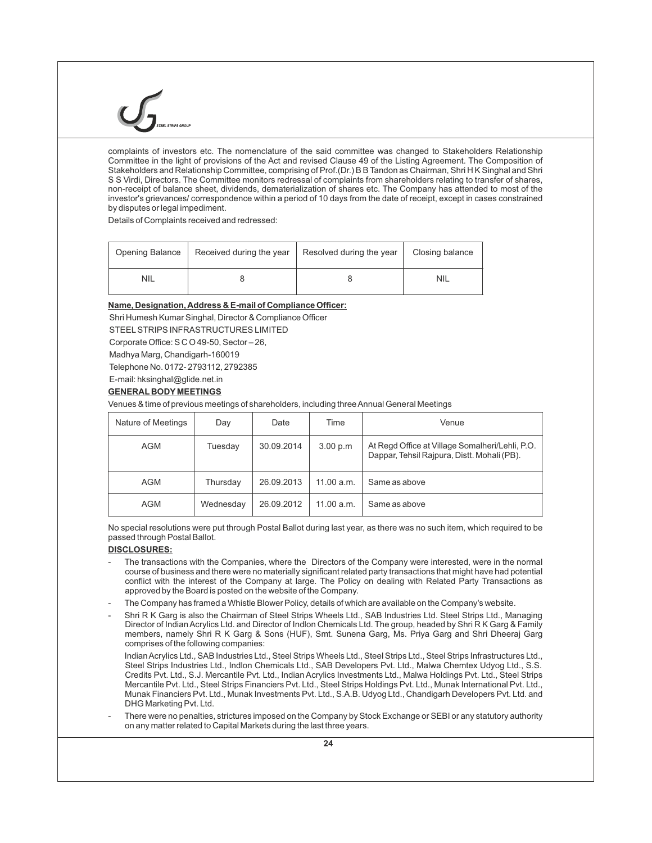complaints of investors etc. The nomenclature of the said committee was changed to Stakeholders Relationship Committee in the light of provisions of the Act and revised Clause 49 of the Listing Agreement. The Composition of Stakeholders and Relationship Committee, comprising of Prof.(Dr.) B B Tandon as Chairman, Shri H K Singhal and Shri S S Virdi, Directors. The Committee monitors redressal of complaints from shareholders relating to transfer of shares, non-receipt of balance sheet, dividends, dematerialization of shares etc. The Company has attended to most of the investor's grievances/ correspondence within a period of 10 days from the date of receipt, except in cases constrained by disputes or legal impediment.

Details of Complaints received and redressed:

| Opening Balance | Received during the year | Resolved during the year | Closing balance |  |
|-----------------|--------------------------|--------------------------|-----------------|--|
| <b>NIL</b>      |                          |                          | <b>NIL</b>      |  |

# **Name, Designation, Address & E-mail of Compliance Officer:**

Shri Humesh Kumar Singhal, Director & Compliance Officer

STEELSTRIPS INFRASTRUCTURES LIMITED

Corporate Office: S C O 49-50, Sector – 26,

Madhya Marg, Chandigarh-160019

Telephone No. 0172- 2793112, 2792385

E-mail: hksinghal@glide.net.in

# **GENERAL BODY MEETINGS**

Venues & time of previous meetings of shareholders, including three Annual General Meetings

| Nature of Meetings | Day       | Date       | Time       | Venue                                                                                          |
|--------------------|-----------|------------|------------|------------------------------------------------------------------------------------------------|
| AGM                | Tuesday   | 30.09.2014 | 3.00 p.m   | At Regd Office at Village Somalheri/Lehli, P.O.<br>Dappar, Tehsil Rajpura, Distt. Mohali (PB). |
| <b>AGM</b>         | Thursday  | 26.09.2013 | 11.00 a.m. | Same as above                                                                                  |
| <b>AGM</b>         | Wednesday | 26.09.2012 | 11.00 a.m. | Same as above                                                                                  |

No special resolutions were put through Postal Ballot during last year, as there was no such item, which required to be passed through Postal Ballot.

# **DISCLOSURES:**

- The transactions with the Companies, where the Directors of the Company were interested, were in the normal course of business and there were no materially significant related party transactions that might have had potential conflict with the interest of the Company at large. The Policy on dealing with Related Party Transactions as approved by the Board is posted on the website of the Company.
- The Company has framed a Whistle Blower Policy, details of which are available on the Company's website.
- Shri R K Garg is also the Chairman of Steel Strips Wheels Ltd., SAB Industries Ltd. Steel Strips Ltd., Managing Director of Indian Acrylics Ltd. and Director of Indlon Chemicals Ltd. The group, headed by Shri R K Garg & Family members, namely Shri R K Garg & Sons (HUF), Smt. Sunena Garg, Ms. Priya Garg and Shri Dheeraj Garg comprises of the following companies:

Indian Acrylics Ltd., SAB Industries Ltd., Steel Strips Wheels Ltd., Steel Strips Ltd., Steel Strips Infrastructures Ltd., Steel Strips Industries Ltd., Indlon Chemicals Ltd., SAB Developers Pvt. Ltd., Malwa Chemtex Udyog Ltd., S.S. Credits Pvt. Ltd., S.J. Mercantile Pvt. Ltd., Indian Acrylics Investments Ltd., Malwa Holdings Pvt. Ltd., Steel Strips Mercantile Pvt. Ltd., Steel Strips Financiers Pvt. Ltd., Steel Strips Holdings Pvt. Ltd., Munak International Pvt. Ltd., Munak Financiers Pvt. Ltd., Munak Investments Pvt. Ltd., S.A.B. Udyog Ltd., Chandigarh Developers Pvt. Ltd. and DHG Marketing Pvt. Ltd.

There were no penalties, strictures imposed on the Company by Stock Exchange or SEBI or any statutory authority on any matter related to Capital Markets during the last three years.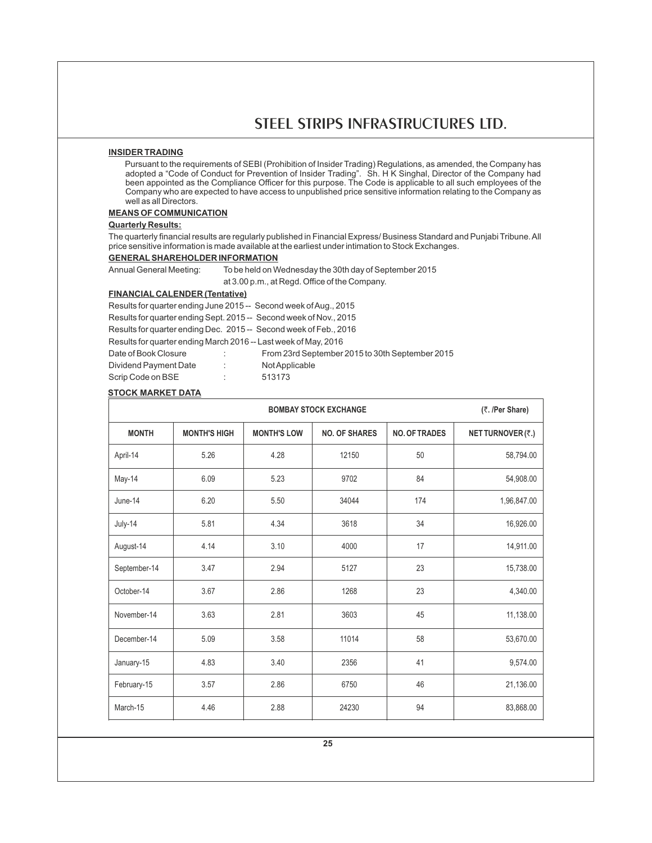# **INSIDER TRADING**

Pursuant to the requirements of SEBI (Prohibition of Insider Trading) Regulations, as amended, the Company has adopted a "Code of Conduct for Prevention of Insider Trading". Sh. H K Singhal, Director of the Company had been appointed as the Compliance Officer for this purpose. The Code is applicable to all such employees of the Company who are expected to have access to unpublished price sensitive information relating to the Company as well as all Directors.

#### **MEANS OF COMMUNICATION**

## **Quarterly Results:**

The quarterly financial results are regularly published in Financial Express/ Business Standard and Punjabi Tribune. All price sensitive information is made available at the earliest under intimation to Stock Exchanges.

**GENERALSHAREHOLDER INFORMATION**

Annual General Meeting: To be held on Wednesday the 30th day of September 2015

at 3.00 p.m., at Regd. Office of the Company.

# **FINANCIAL CALENDER (Tentative)**

Results for quarter ending June 2015 -- Second week of Aug., 2015 Results for quarter ending Sept. 2015 -- Second week of Nov., 2015 Results for quarter ending Dec. 2015 -- Second week of Feb., 2016

Results for quarter ending March 2016 -- Last week of May, 2016

| Date of Book Closure  |  |
|-----------------------|--|
| Dividend Payment Date |  |

From 23rd September 2015 to 30th September 2015 Not Applicable Scrip Code on BSE : 513173

# **STOCK MARKET DATA**

|              | <b>BOMBAY STOCK EXCHANGE</b> |                    |                      |                      |                   |  |  |
|--------------|------------------------------|--------------------|----------------------|----------------------|-------------------|--|--|
| <b>MONTH</b> | <b>MONTH'S HIGH</b>          | <b>MONTH'S LOW</b> | <b>NO. OF SHARES</b> | <b>NO. OF TRADES</b> | NET TURNOVER (₹.) |  |  |
| April-14     | 5.26                         | 4.28               | 12150                | 50                   | 58,794.00         |  |  |
| May-14       | 6.09                         | 5.23               | 9702                 | 84                   | 54,908.00         |  |  |
| June-14      | 6.20                         | 5.50               | 34044                | 174                  | 1,96,847.00       |  |  |
| July-14      | 5.81                         | 4.34               | 3618                 | 34                   | 16,926.00         |  |  |
| August-14    | 4.14                         | 3.10               | 4000                 | 17                   | 14,911.00         |  |  |
| September-14 | 3.47                         | 2.94               | 5127                 | 23                   | 15,738.00         |  |  |
| October-14   | 3.67                         | 2.86               | 1268                 | 23                   | 4,340.00          |  |  |
| November-14  | 3.63                         | 2.81               | 3603                 | 45                   | 11,138.00         |  |  |
| December-14  | 5.09                         | 3.58               | 11014                | 58                   | 53,670.00         |  |  |
| January-15   | 4.83                         | 3.40               | 2356                 | 41                   | 9,574.00          |  |  |
| February-15  | 3.57                         | 2.86               | 6750                 | 46                   | 21,136.00         |  |  |
| March-15     | 4.46                         | 2.88               | 24230                | 94                   | 83,868.00         |  |  |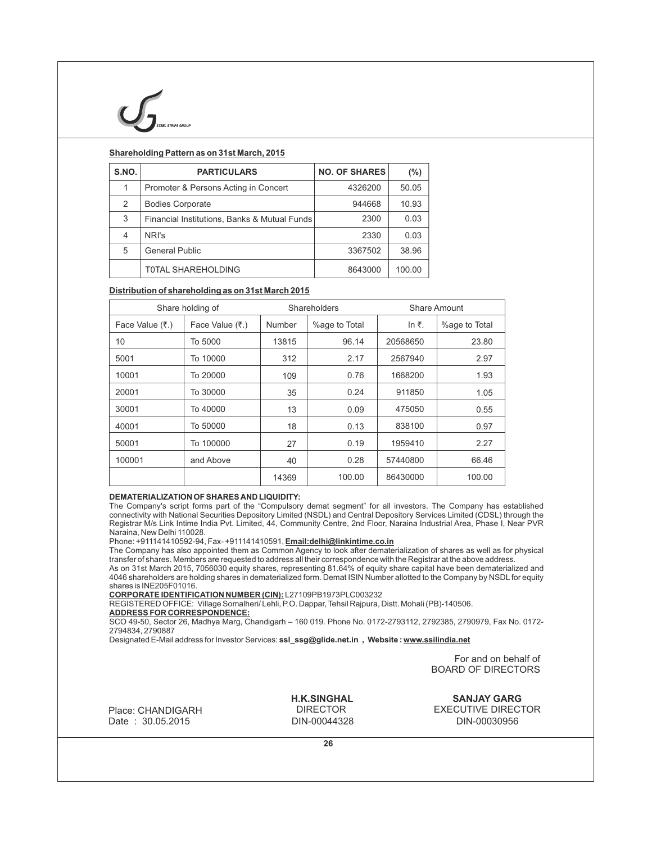

# **Shareholding Pattern as on 31st March, 2015**

| S.NO.         | <b>PARTICULARS</b>                           | <b>NO. OF SHARES</b> | (%)    |
|---------------|----------------------------------------------|----------------------|--------|
|               | Promoter & Persons Acting in Concert         | 4326200              | 50.05  |
| $\mathcal{P}$ | <b>Bodies Corporate</b>                      | 944668               | 10.93  |
| 3             | Financial Institutions, Banks & Mutual Funds | 2300                 | 0.03   |
| 4             | NRI's                                        | 2330                 | 0.03   |
| 5             | <b>General Public</b>                        | 3367502              | 38.96  |
|               | <b>TOTAL SHAREHOLDING</b>                    | 8643000              | 100.00 |

# **Distribution of shareholding as on 31st March 2015**

| Share holding of |                 |        | Shareholders  | Share Amount   |               |  |
|------------------|-----------------|--------|---------------|----------------|---------------|--|
| Face Value (₹.)  | Face Value (₹.) | Number | %age to Total | In $\bar{z}$ . | %age to Total |  |
| 10               | To 5000         | 13815  | 96.14         | 20568650       | 23.80         |  |
| 5001             | To 10000        | 312    | 2.17          | 2567940        | 2.97          |  |
| 10001            | To 20000        | 109    | 0.76          | 1668200        | 1.93          |  |
| 20001            | To 30000        | 35     | 0.24          | 911850         | 1.05          |  |
| 30001            | To 40000        | 13     | 0.09          | 475050         | 0.55          |  |
| 40001            | To 50000        | 18     | 0.13          | 838100         | 0.97          |  |
| 50001            | To 100000       | 27     | 0.19          | 1959410        | 2.27          |  |
| 100001           | and Above       | 40     | 0.28          | 57440800       | 66.46         |  |
|                  |                 | 14369  | 100.00        | 86430000       | 100.00        |  |

# **DEMATERIALIZATION OF SHARES AND LIQUIDITY:**

The Company's script forms part of the "Compulsory demat segment" for all investors. The Company has established connectivity with National Securities Depository Limited (NSDL) and Central Depository Services Limited (CDSL) through the Registrar M/s Link Intime India Pvt. Limited, 44, Community Centre, 2nd Floor, Naraina Industrial Area, Phase I, Near PVR Naraina, New Delhi 110028.

Phone: +911141410592-94, Fax- +911141410591, **Email:delhi@linkintime.co.in**

The Company has also appointed them as Common Agency to look after dematerialization of shares as well as for physical transfer of shares. Members are requested to address all their correspondence with the Registrar at the above address. As on 31st March 2015, 7056030 equity shares, representing 81.64% of equity share capital have been dematerialized and 4046 shareholders are holding shares in dematerialized form. Demat ISIN Number allotted to the Company by NSDL for equity shares is INE205F01016.

**CORPORATE IDENTIFICATION NUMBER (CIN):** L27109PB1973PLC003232

REGISTERED OFFICE: Village Somalheri/ Lehli, P.O. Dappar, Tehsil Rajpura, Distt. Mohali (PB)-140506.

**ADDRESS FOR CORRESPONDENCE:**

SCO 49-50, Sector 26, Madhya Marg, Chandigarh – 160 019. Phone No. 0172-2793112, 2792385, 2790979, Fax No. 0172- 2794834, 2790887

Designated E-Mail address for Investor Services: **ssl\_ssg@glide.net.in , Website : www.ssilindia.net** 

 For and on behalf of BOARD OF DIRECTORS

Place: CHANDIGARH Date : 30.05.2015

 **H.K.SINGHAL** DIRECTOR

**SANJAY GARG** EXECUTIVE DIRECTOR DIN-00044328 DIN-00030956

**26**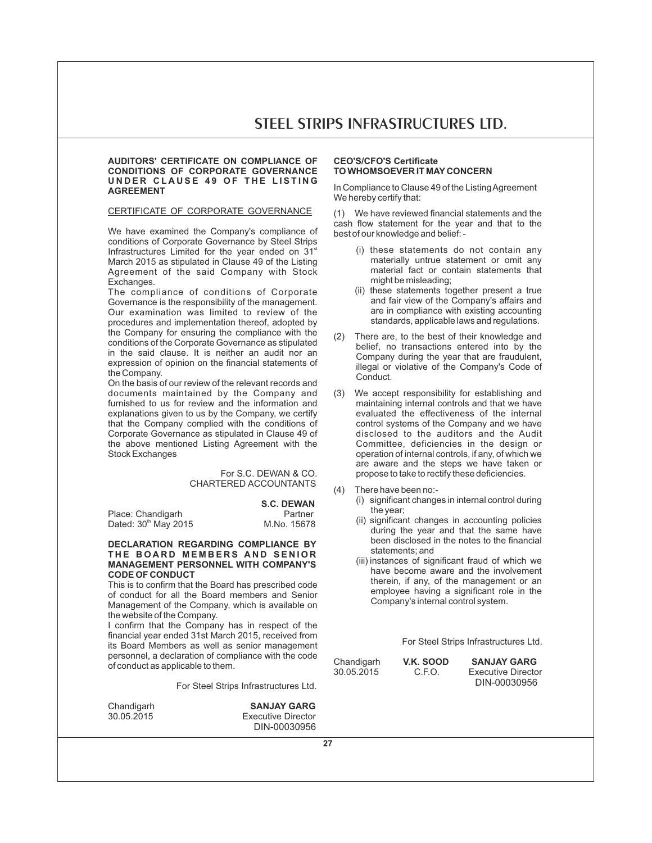# **AUDITORS' CERTIFICATE ON COMPLIANCE OF CONDITIONS OF CORPORATE GOVERNANCE**  UNDER CLAUSE 49 OF THE LISTING **AGREEMENT**

# CERTIFICATE OF CORPORATE GOVERNANCE

We have examined the Company's compliance of conditions of Corporate Governance by Steel Strips Infrastructures Limited for the year ended on  $31^{st}$ March 2015 as stipulated in Clause 49 of the Listing Agreement of the said Company with Stock Exchanges.

The compliance of conditions of Corporate Governance is the responsibility of the management. Our examination was limited to review of the procedures and implementation thereof, adopted by the Company for ensuring the compliance with the conditions of the Corporate Governance as stipulated in the said clause. It is neither an audit nor an expression of opinion on the financial statements of the Company.

On the basis of our review of the relevant records and documents maintained by the Company and furnished to us for review and the information and explanations given to us by the Company, we certify that the Company complied with the conditions of Corporate Governance as stipulated in Clause 49 of the above mentioned Listing Agreement with the Stock Exchanges

# For S.C. DEWAN & CO. CHARTERED ACCOUNTANTS

|                                  | <b>S.C. DEWAN</b> |
|----------------------------------|-------------------|
| Place: Chandigarh                | Partner           |
| Dated: 30 <sup>th</sup> May 2015 | M.No. 15678       |

# **DECLARATION REGARDING COMPLIANCE BY**  $THE$  **BOARD MEMBERS AND SENIOR MANAGEMENT PERSONNEL WITH COMPANY'S CODE OF CONDUCT**

This is to confirm that the Board has prescribed code of conduct for all the Board members and Senior Management of the Company, which is available on the website of the Company.

I confirm that the Company has in respect of the financial year ended 31st March 2015, received from its Board Members as well as senior management personnel, a declaration of compliance with the code of conduct as applicable to them.

For Steel Strips Infrastructures Ltd.

Chandigarh **SANJAY GARG**<br>30.05.2015 **Executive Director Executive Director** DIN-00030956

# **CEO'S/CFO'S Certificate TO WHOMSOEVER IT MAY CONCERN**

In Compliance to Clause 49 of the Listing Agreement We hereby certify that:

(1) We have reviewed financial statements and the cash flow statement for the year and that to the best of our knowledge and belief: -

- (i) these statements do not contain any materially untrue statement or omit any material fact or contain statements that might be misleading;
- (ii) these statements together present a true and fair view of the Company's affairs and are in compliance with existing accounting standards, applicable laws and regulations.
- (2) There are, to the best of their knowledge and belief, no transactions entered into by the Company during the year that are fraudulent, illegal or violative of the Company's Code of Conduct.
- (3) We accept responsibility for establishing and maintaining internal controls and that we have evaluated the effectiveness of the internal control systems of the Company and we have disclosed to the auditors and the Audit Committee, deficiencies in the design or operation of internal controls, if any, of which we are aware and the steps we have taken or propose to take to rectify these deficiencies.
- (4) There have been no:-
	- (i) significant changes in internal control during the year;
	- (ii) significant changes in accounting policies during the year and that the same have been disclosed in the notes to the financial statements; and
	- (iii) instances of significant fraud of which we have become aware and the involvement therein, if any, of the management or an employee having a significant role in the Company's internal control system.

For Steel Strips Infrastructures Ltd.

| Chandigarh |  |
|------------|--|
| 30.05.2015 |  |
|            |  |

**C.F.O. SANJAY GARG**<br>C.F.O. **Executive Directo Executive Director** DIN-00030956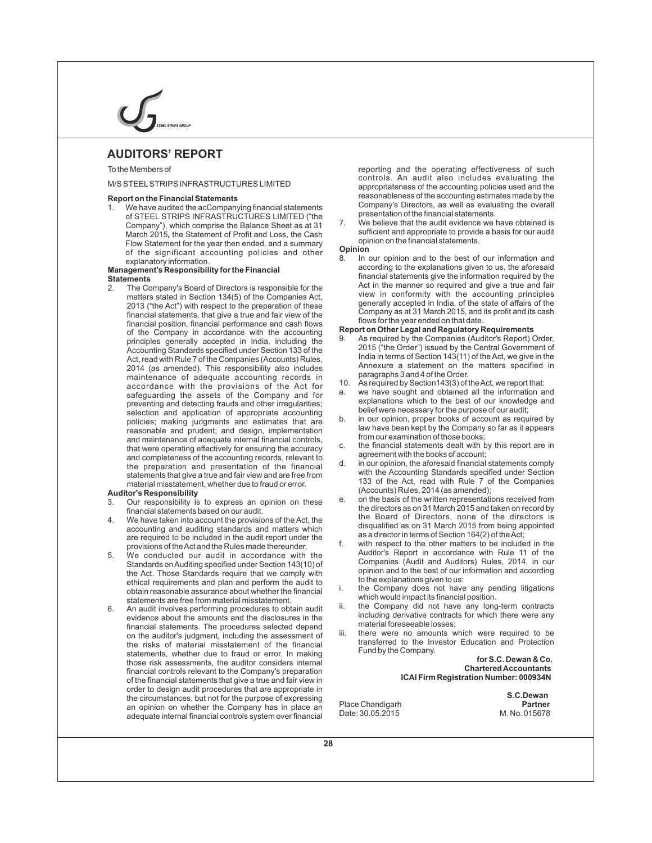# **AUDITORS' REPORT**

# To the Members of

# M/S STEELSTRIPS INFRASTRUCTURES LIMITED

## **Report on the Financial Statements**

1. We have audited the acCompanying financial statements of STEEL STRIPS INFRASTRUCTURES LIMITED ("the Company"), which comprise the Balance Sheet as at 31 March 2015*,* the Statement of Profit and Loss, the Cash Flow Statement for the year then ended, and a summary of the significant accounting policies and other explanatory information.

#### **Management's Responsibility for the Financial Statements**

2. The Company's Board of Directors is responsible for the matters stated in Section 134(5) of the Companies Act, 2013 ("the Act") with respect to the preparation of these financial statements, that give a true and fair view of the financial position, financial performance and cash flows of the Company in accordance with the accounting principles generally accepted in India, including the Accounting Standards specified under Section 133 of the Act, read with Rule 7 of the Companies (Accounts) Rules, 2014 (as amended). This responsibility also includes maintenance of adequate accounting records in accordance with the provisions of the Act for safeguarding the assets of the Company and for preventing and detecting frauds and other irregularities; selection and application of appropriate accounting policies; making judgments and estimates that are reasonable and prudent; and design, implementation and maintenance of adequate internal financial controls, that were operating effectively for ensuring the accuracy and completeness of the accounting records, relevant to the preparation and presentation of the financial statements that give a true and fair view and are free from material misstatement, whether due to fraud or error.

#### **Auditor's Responsibility**

- 3. Our responsibility is to express an opinion on these financial statements based on our audit.
- 4. We have taken into account the provisions of the Act, the accounting and auditing standards and matters which are required to be included in the audit report under the provisions of the Act and the Rules made thereunder.
- 5. We conducted our audit in accordance with the Standards on Auditing specified under Section 143(10) of the Act. Those Standards require that we comply with ethical requirements and plan and perform the audit to obtain reasonable assurance about whether the financial statements are free from material misstatement.
- 6. An audit involves performing procedures to obtain audit evidence about the amounts and the disclosures in the financial statements. The procedures selected depend on the auditor's judgment, including the assessment of the risks of material misstatement of the financial statements, whether due to fraud or error. In making those risk assessments, the auditor considers internal financial controls relevant to the Company's preparation of the financial statements that give a true and fair view in order to design audit procedures that are appropriate in the circumstances, but not for the purpose of expressing an opinion on whether the Company has in place an adequate internal financial controls system over financial

reporting and the operating effectiveness of such controls. An audit also includes evaluating the appropriateness of the accounting policies used and the reasonableness of the accounting estimates made by the Company's Directors, as well as evaluating the overall presentation of the financial statements.

7. We believe that the audit evidence we have obtained is sufficient and appropriate to provide a basis for our audit opinion on the financial statements.

# **Opinion**<br>8 In

In our opinion and to the best of our information and according to the explanations given to us, the aforesaid financial statements give the information required by the Act in the manner so required and give a true and fair view in conformity with the accounting principles generally accepted in India, of the state of affairs of the Company as at 31 March 2015, and its profit and its cash flows for the year ended on that date.

#### **Report on Other Legal and Regulatory Requirements**

- 9. As required by the Companies (Auditor's Report) Order, 2015 ("the Order") issued by the Central Government of India in terms of Section 143(11) of the Act, we give in the Annexure a statement on the matters specified in paragraphs 3 and 4 of the Order.
- 10. As required by Section143(3) of the Act, we report that:
- a. we have sought and obtained all the information and explanations which to the best of our knowledge and belief were necessary for the purpose of our audit;
- b. in our opinion, proper books of account as required by law have been kept by the Company so far as it appears from our examination of those books;
- c. the financial statements dealt with by this report are in agreement with the books of account;
- d. in our opinion, the aforesaid financial statements comply with the Accounting Standards specified under Section 133 of the Act, read with Rule 7 of the Companies (Accounts) Rules, 2014 (as amended);
- on the basis of the written representations received from the directors as on 31 March 2015 and taken on record by the Board of Directors, none of the directors is disqualified as on 31 March 2015 from being appointed as a director in terms of Section 164(2) of the Act;
- f. with respect to the other matters to be included in the Auditor's Report in accordance with Rule 11 of the Companies (Audit and Auditors) Rules, 2014, in our opinion and to the best of our information and according to the explanations given to us:
- the Company does not have any pending litigations which would impact its financial position.
- the Company did not have any long-term contracts including derivative contracts for which there were any material foreseeable losses;
- iii. there were no amounts which were required to be transferred to the Investor Education and Protection Fund by the Company.

 **for S.C. Dewan & Co. Chartered Accountants ICAI Firm Registration Number: 000934N**

Place Chandigarh **Partner**<br>
Date: 30.05.2015 **Partner** M. No. 015678 Date: 30.05.2015

 **S.C.Dewan**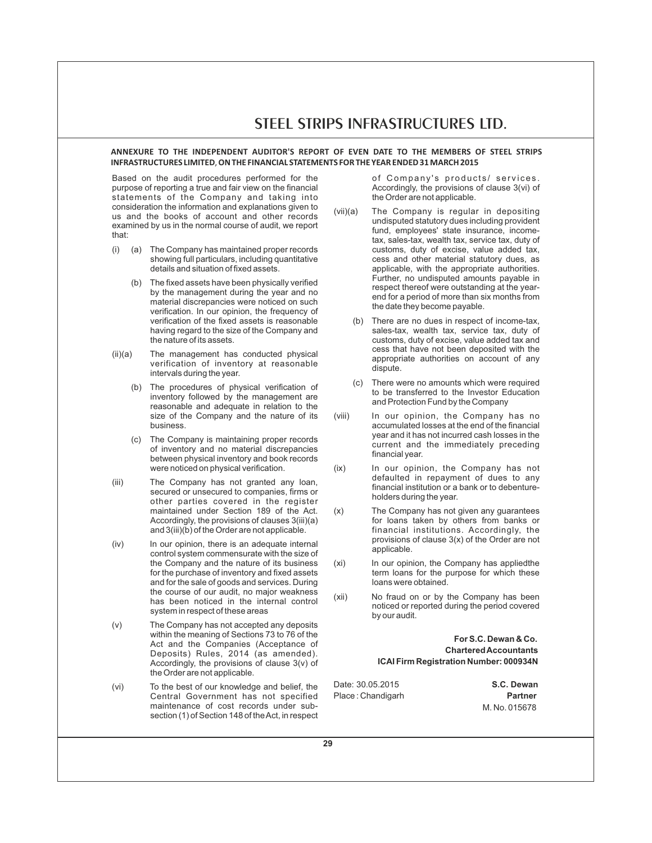# **ANNEXURE TO THE INDEPENDENT AUDITOR'S REPORT OF EVEN DATE TO THE MEMBERS OF STEEL STRIPS INFRASTRUCTURES LIMITED**,**ON THE FINANCIAL STATEMENTS FOR THE YEAR ENDED 31 MARCH 2015**

Based on the audit procedures performed for the purpose of reporting a true and fair view on the financial statements of the Company and taking into consideration the information and explanations given to us and the books of account and other records examined by us in the normal course of audit, we report that:

- (i) (a) The Company has maintained proper records showing full particulars, including quantitative details and situation of fixed assets.
	- (b) The fixed assets have been physically verified by the management during the year and no material discrepancies were noticed on such verification. In our opinion, the frequency of verification of the fixed assets is reasonable having regard to the size of the Company and the nature of its assets.
- $(ii)(a)$  The management has conducted physical verification of inventory at reasonable intervals during the year.
	- (b) The procedures of physical verification of inventory followed by the management are reasonable and adequate in relation to the size of the Company and the nature of its business.
	- (c) The Company is maintaining proper records of inventory and no material discrepancies between physical inventory and book records were noticed on physical verification.
- (iii) The Company has not granted any loan, secured or unsecured to companies, firms or other parties covered in the register maintained under Section 189 of the Act. Accordingly, the provisions of clauses 3(iii)(a) and 3(iii)(b) of the Order are not applicable.
- (iv) In our opinion, there is an adequate internal control system commensurate with the size of the Company and the nature of its business for the purchase of inventory and fixed assets and for the sale of goods and services. During the course of our audit, no major weakness has been noticed in the internal control system in respect of these areas
- (v) The Company has not accepted any deposits within the meaning of Sections 73 to 76 of the Act and the Companies (Acceptance of Deposits) Rules, 2014 (as amended). Accordingly, the provisions of clause 3(v) of the Order are not applicable.
- (vi) To the best of our knowledge and belief, the Central Government has not specified maintenance of cost records under subsection (1) of Section 148 of the Act, in respect

of Company's products/ services. Accordingly, the provisions of clause 3(vi) of the Order are not applicable.

- (vii)(a) The Company is regular in depositing undisputed statutory dues including provident fund, employees' state insurance, incometax, sales-tax, wealth tax, service tax, duty of customs, duty of excise, value added tax, cess and other material statutory dues, as applicable, with the appropriate authorities. Further, no undisputed amounts payable in respect thereof were outstanding at the yearend for a period of more than six months from the date they become payable.
	- (b) There are no dues in respect of income-tax, sales-tax, wealth tax, service tax, duty of customs, duty of excise, value added tax and cess that have not been deposited with the appropriate authorities on account of any dispute.
	- (c) There were no amounts which were required to be transferred to the Investor Education and Protection Fund by the Company
- (viii) In our opinion, the Company has no accumulated losses at the end of the financial year and it has not incurred cash losses in the current and the immediately preceding financial year.
- (ix) In our opinion, the Company has not defaulted in repayment of dues to any financial institution or a bank or to debentureholders during the year.
- (x) The Company has not given any guarantees for loans taken by others from banks or financial institutions. Accordingly, the provisions of clause 3(x) of the Order are not applicable.
- (xi) In our opinion, the Company has applied the term loans for the purpose for which these loans were obtained.
- (xii) No fraud on or by the Company has been noticed or reported during the period covered by our audit.

# **For S.C. Dewan & Co. Chartered Accountants ICAI Firm Registration Number: 000934N**

Date: 30.05.2015 **S.C. Dewan** Place : Chandigarh **Place : Chandigarh Partner** 

M. No. 015678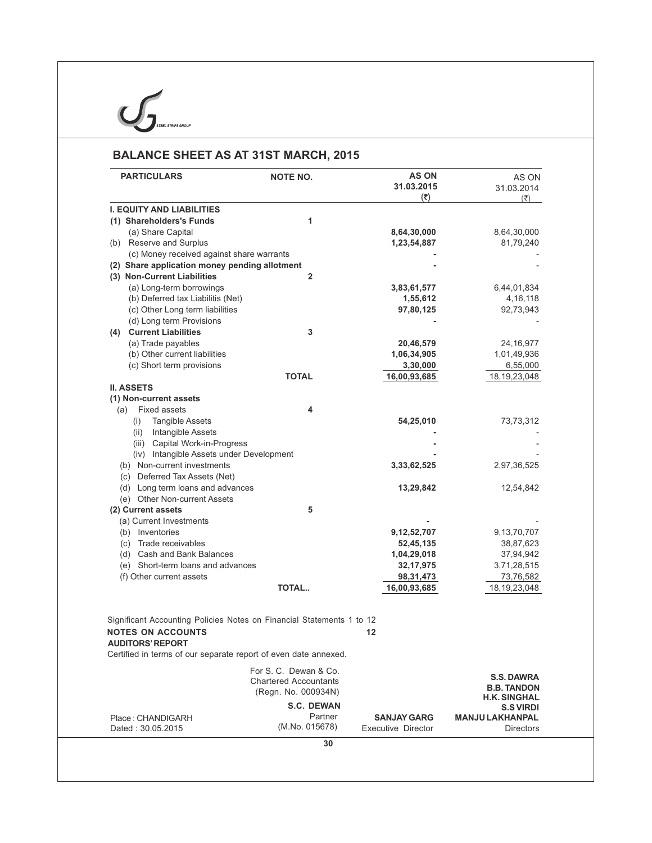**BALANCE SHEET AS AT 31ST MARCH, 2015**

 $\overline{U}$ 

**IPS GROUP** 

| <b>PARTICULARS</b>                                                    | <b>NOTE NO.</b>              | <b>AS ON</b><br>31.03.2015<br>(5) | AS ON<br>31.03.2014<br>$(\overline{\xi})$ |
|-----------------------------------------------------------------------|------------------------------|-----------------------------------|-------------------------------------------|
| <b>I. EQUITY AND LIABILITIES</b>                                      |                              |                                   |                                           |
| (1) Shareholders's Funds                                              | 1                            |                                   |                                           |
| (a) Share Capital                                                     |                              | 8,64,30,000                       | 8,64,30,000                               |
| (b) Reserve and Surplus                                               |                              | 1,23,54,887                       | 81,79,240                                 |
| (c) Money received against share warrants                             |                              |                                   |                                           |
| (2) Share application money pending allotment                         |                              |                                   |                                           |
| (3) Non-Current Liabilities                                           | $\overline{2}$               |                                   |                                           |
| (a) Long-term borrowings                                              |                              | 3,83,61,577                       | 6,44,01,834                               |
| (b) Deferred tax Liabilitis (Net)                                     |                              | 1,55,612                          | 4, 16, 118                                |
| (c) Other Long term liabilities                                       |                              | 97,80,125                         | 92,73,943                                 |
| (d) Long term Provisions                                              |                              |                                   |                                           |
| (4) Current Liabilities                                               | 3                            |                                   |                                           |
| (a) Trade payables                                                    |                              | 20,46,579                         | 24,16,977                                 |
| (b) Other current liabilities                                         |                              | 1,06,34,905                       | 1,01,49,936                               |
| (c) Short term provisions                                             |                              | 3,30,000                          | 6,55,000                                  |
|                                                                       | <b>TOTAL</b>                 | 16,00,93,685                      | 18, 19, 23, 048                           |
| <b>II. ASSETS</b>                                                     |                              |                                   |                                           |
| (1) Non-current assets                                                |                              |                                   |                                           |
| <b>Fixed assets</b><br>(a)                                            | 4                            |                                   |                                           |
| Tangible Assets<br>(i)                                                |                              | 54,25,010                         | 73,73,312                                 |
| (ii) Intangible Assets                                                |                              |                                   |                                           |
| (iii) Capital Work-in-Progress                                        |                              |                                   |                                           |
| (iv) Intangible Assets under Development                              |                              |                                   |                                           |
| (b) Non-current investments                                           |                              | 3,33,62,525                       | 2,97,36,525                               |
| (c) Deferred Tax Assets (Net)                                         |                              |                                   |                                           |
| (d) Long term loans and advances                                      |                              | 13,29,842                         | 12,54,842                                 |
| (e) Other Non-current Assets                                          |                              |                                   |                                           |
| (2) Current assets                                                    | 5                            |                                   |                                           |
| (a) Current Investments                                               |                              |                                   |                                           |
| (b) Inventories                                                       |                              | 9,12,52,707                       | 9,13,70,707                               |
| (c) Trade receivables                                                 |                              | 52,45,135                         | 38,87,623                                 |
| (d) Cash and Bank Balances                                            |                              | 1,04,29,018                       | 37,94,942                                 |
| (e) Short-term loans and advances                                     |                              | 32, 17, 975                       | 3,71,28,515                               |
| (f) Other current assets                                              |                              | 98, 31, 473                       | 73,76,582                                 |
|                                                                       | <b>TOTAL</b>                 | 16,00,93,685                      | 18, 19, 23, 048                           |
|                                                                       |                              |                                   |                                           |
| Significant Accounting Policies Notes on Financial Statements 1 to 12 |                              |                                   |                                           |
| <b>NOTES ON ACCOUNTS</b><br><b>AUDITORS' REPORT</b>                   |                              | $12 \,$                           |                                           |
| Certified in terms of our separate report of even date annexed.       |                              |                                   |                                           |
|                                                                       | For S. C. Dewan & Co.        |                                   |                                           |
|                                                                       | <b>Chartered Accountants</b> |                                   | <b>S.S. DAWRA</b>                         |
|                                                                       | (Regn. No. 000934N)          |                                   | <b>B.B. TANDON</b>                        |
|                                                                       | <b>S.C. DEWAN</b>            |                                   | <b>H.K. SINGHAL</b>                       |
|                                                                       | Partner                      | <b>SANJAY GARG</b>                | <b>S.S VIRDI</b>                          |
| Place: CHANDIGARH                                                     | (M.No. 015678)               |                                   | <b>MANJU LAKHANPAL</b>                    |
| Dated: 30.05.2015                                                     |                              | <b>Executive Director</b>         | <b>Directors</b>                          |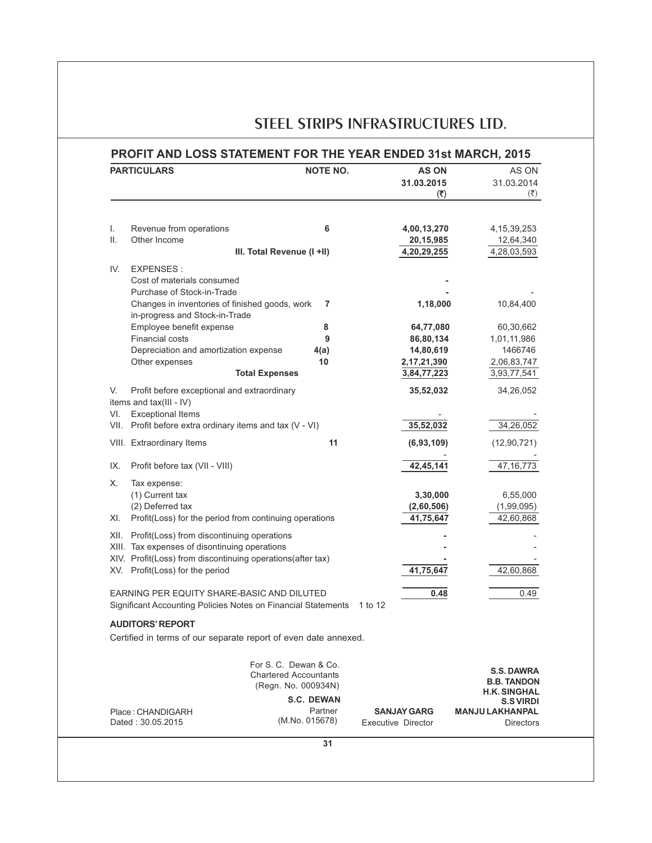|          | <b>PARTICULARS</b>                                                                                          | <b>NOTE NO.</b>                                                              | <b>AS ON</b><br>31.03.2015<br>(3)               | AS ON<br>31.03.2014<br>$(\overline{\xi})$                      |
|----------|-------------------------------------------------------------------------------------------------------------|------------------------------------------------------------------------------|-------------------------------------------------|----------------------------------------------------------------|
|          |                                                                                                             |                                                                              |                                                 |                                                                |
| I.<br>Ш. | Revenue from operations<br>Other Income                                                                     | 6<br>III. Total Revenue (I +II)                                              | 4,00,13,270<br>20,15,985<br>4,20,29,255         | 4, 15, 39, 253<br>12,64,340<br>4,28,03,593                     |
| IV.      | <b>EXPENSES:</b>                                                                                            |                                                                              |                                                 |                                                                |
|          | Cost of materials consumed                                                                                  |                                                                              |                                                 |                                                                |
|          | Purchase of Stock-in-Trade                                                                                  |                                                                              |                                                 |                                                                |
|          | Changes in inventories of finished goods, work<br>in-progress and Stock-in-Trade                            | 7                                                                            | 1,18,000                                        | 10,84,400                                                      |
|          | Employee benefit expense                                                                                    | 8                                                                            | 64,77,080                                       | 60,30,662                                                      |
|          | <b>Financial costs</b>                                                                                      | 9                                                                            | 86,80,134                                       | 1,01,11,986                                                    |
|          | Depreciation and amortization expense<br>Other expenses                                                     | 4(a)<br>10                                                                   | 14,80,619                                       | 1466746                                                        |
|          |                                                                                                             | <b>Total Expenses</b>                                                        | 2,17,21,390<br>3,84,77,223                      | 2,06,83,747<br>3,93,77,541                                     |
| V.       | Profit before exceptional and extraordinary<br>items and tax(III - IV)                                      |                                                                              | 35,52,032                                       | 34,26,052                                                      |
| VI.      | <b>Exceptional Items</b><br>VII. Profit before extra ordinary items and tax (V - VI)                        |                                                                              | 35,52,032                                       | 34,26,052                                                      |
|          | VIII. Extraordinary Items                                                                                   | 11                                                                           | (6,93,109)                                      | (12, 90, 721)                                                  |
| IX.      | Profit before tax (VII - VIII)                                                                              |                                                                              | 42,45,141                                       | 47, 16, 773                                                    |
| Х.       | Tax expense:                                                                                                |                                                                              |                                                 |                                                                |
|          | (1) Current tax                                                                                             |                                                                              | 3,30,000                                        | 6,55,000                                                       |
| XI.      | (2) Deferred tax<br>Profit(Loss) for the period from continuing operations                                  |                                                                              | (2,60,506)<br>41,75,647                         | (1,99,095)<br>42,60,868                                        |
| XII.     | Profit(Loss) from discontinuing operations                                                                  |                                                                              |                                                 |                                                                |
|          | XIII. Tax expenses of disontinuing operations                                                               |                                                                              |                                                 |                                                                |
|          | XIV. Profit(Loss) from discontinuing operations(after tax)                                                  |                                                                              |                                                 |                                                                |
|          | XV. Profit(Loss) for the period                                                                             |                                                                              | 41,75,647                                       | 42,60,868                                                      |
|          | EARNING PER EQUITY SHARE-BASIC AND DILUTED<br>Significant Accounting Policies Notes on Financial Statements |                                                                              | 0.48<br>1 to 12                                 | 0.49                                                           |
|          |                                                                                                             |                                                                              |                                                 |                                                                |
|          | <b>AUDITORS' REPORT</b><br>Certified in terms of our separate report of even date annexed.                  |                                                                              |                                                 |                                                                |
|          |                                                                                                             | For S. C. Dewan & Co.<br><b>Chartered Accountants</b><br>(Regn. No. 000934N) |                                                 | <b>S.S. DAWRA</b><br><b>B.B. TANDON</b><br><b>H.K. SINGHAL</b> |
|          |                                                                                                             | <b>S.C. DEWAN</b>                                                            |                                                 | <b>S.S VIRDI</b>                                               |
|          | Place: CHANDIGARH<br>Dated: 30.05.2015                                                                      | Partner<br>(M.No. 015678)                                                    | <b>SANJAY GARG</b><br><b>Executive Director</b> | <b>MANJU LAKHANPAL</b><br><b>Directors</b>                     |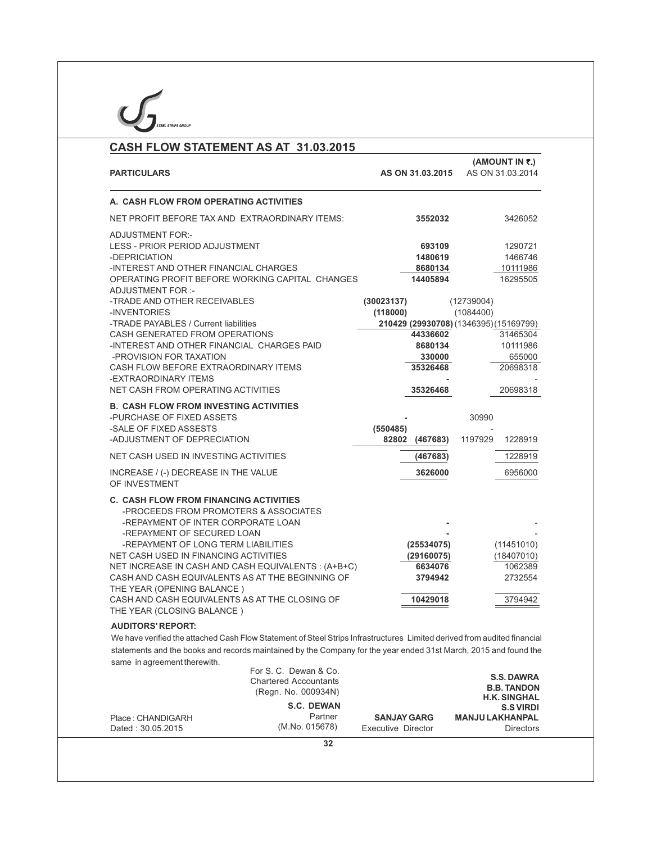| CASH FLOW STATEMENT AS AT 31.03.2015                                                                                                                                                                                                                                                                                                                                                                                                                                |                                                                                                   |                                          |                                                            |                                                                   |                                                                                    |
|---------------------------------------------------------------------------------------------------------------------------------------------------------------------------------------------------------------------------------------------------------------------------------------------------------------------------------------------------------------------------------------------------------------------------------------------------------------------|---------------------------------------------------------------------------------------------------|------------------------------------------|------------------------------------------------------------|-------------------------------------------------------------------|------------------------------------------------------------------------------------|
| <b>PARTICULARS</b>                                                                                                                                                                                                                                                                                                                                                                                                                                                  |                                                                                                   |                                          | AS ON 31.03.2015                                           |                                                                   | (AMOUNT IN ₹.)<br>AS ON 31.03.2014                                                 |
| A. CASH FLOW FROM OPERATING ACTIVITIES                                                                                                                                                                                                                                                                                                                                                                                                                              |                                                                                                   |                                          |                                                            |                                                                   |                                                                                    |
| NET PROFIT BEFORE TAX AND EXTRAORDINARY ITEMS:                                                                                                                                                                                                                                                                                                                                                                                                                      |                                                                                                   |                                          | 3552032                                                    |                                                                   | 3426052                                                                            |
| <b>ADJUSTMENT FOR:-</b><br><b>LESS - PRIOR PERIOD ADJUSTMENT</b><br>-DEPRICIATION<br>-INTEREST AND OTHER FINANCIAL CHARGES<br>OPERATING PROFIT BEFORE WORKING CAPITAL CHANGES<br><b>ADJUSTMENT FOR :-</b>                                                                                                                                                                                                                                                           |                                                                                                   |                                          | 693109<br>1480619<br>8680134<br>14405894                   |                                                                   | 1290721<br>1466746<br>10111986<br>16295505                                         |
| -TRADE AND OTHER RECEIVABLES<br>-INVENTORIES<br>-TRADE PAYABLES / Current liabilities<br>CASH GENERATED FROM OPERATIONS<br>-INTEREST AND OTHER FINANCIAL CHARGES PAID<br>-PROVISION FOR TAXATION<br>CASH FLOW BEFORE EXTRAORDINARY ITEMS<br>-EXTRAORDINARY ITEMS                                                                                                                                                                                                    |                                                                                                   | (30023137)<br>(118000)                   | 44336602<br>8680134<br>330000<br>35326468                  | (12739004)<br>(1084400)<br>210429 (29930708) (1346395) (15169799) | 31465304<br>10111986<br>655000<br>20698318                                         |
| NET CASH FROM OPERATING ACTIVITIES                                                                                                                                                                                                                                                                                                                                                                                                                                  |                                                                                                   |                                          | 35326468                                                   |                                                                   | 20698318                                                                           |
| <b>B. CASH FLOW FROM INVESTING ACTIVITIES</b><br>-PURCHASE OF FIXED ASSETS<br>-SALE OF FIXED ASSESTS<br>-ADJUSTMENT OF DEPRECIATION                                                                                                                                                                                                                                                                                                                                 |                                                                                                   | (550485)                                 | 82802 (467683)                                             | 30990<br>1197929                                                  | 1228919                                                                            |
| NET CASH USED IN INVESTING ACTIVITIES                                                                                                                                                                                                                                                                                                                                                                                                                               |                                                                                                   |                                          | (467683)                                                   |                                                                   | 1228919                                                                            |
| INCREASE / (-) DECREASE IN THE VALUE<br>OF INVESTMENT                                                                                                                                                                                                                                                                                                                                                                                                               |                                                                                                   |                                          | 3626000                                                    |                                                                   | 6956000                                                                            |
| <b>C. CASH FLOW FROM FINANCING ACTIVITIES</b><br>-PROCEEDS FROM PROMOTERS & ASSOCIATES<br>-REPAYMENT OF INTER CORPORATE LOAN<br>-REPAYMENT OF SECURED LOAN<br>-REPAYMENT OF LONG TERM LIABILITIES<br>NET CASH USED IN FINANCING ACTIVITIES<br>NET INCREASE IN CASH AND CASH EQUIVALENTS : (A+B+C)<br>CASH AND CASH EQUIVALENTS AS AT THE BEGINNING OF<br>THE YEAR (OPENING BALANCE)<br>CASH AND CASH EQUIVALENTS AS AT THE CLOSING OF<br>THE YEAR (CLOSING BALANCE) |                                                                                                   |                                          | (25534075)<br>(29160075)<br>6634076<br>3794942<br>10429018 |                                                                   | (11451010)<br>(18407010)<br>1062389<br>2732554<br>3794942                          |
| <b>AUDITORS' REPORT:</b>                                                                                                                                                                                                                                                                                                                                                                                                                                            |                                                                                                   |                                          |                                                            |                                                                   |                                                                                    |
| We have verified the attached Cash Flow Statement of Steel Strips Infrastructures Limited derived from audited financial<br>statements and the books and records maintained by the Company for the year ended 31st March, 2015 and found the<br>same in agreement therewith.                                                                                                                                                                                        |                                                                                                   |                                          |                                                            |                                                                   |                                                                                    |
|                                                                                                                                                                                                                                                                                                                                                                                                                                                                     | For S. C. Dewan & Co.<br><b>Chartered Accountants</b><br>(Regn. No. 000934N)<br><b>S.C. DEWAN</b> |                                          |                                                            |                                                                   | <b>S.S. DAWRA</b><br><b>B.B. TANDON</b><br><b>H.K. SINGHAL</b><br><b>S.S VIRDI</b> |
| Place: CHANDIGARH<br>Dated: 30.05.2015                                                                                                                                                                                                                                                                                                                                                                                                                              | Partner<br>(M.No. 015678)                                                                         | <b>SANJAY GARG</b><br>Executive Director |                                                            | <b>MANJU LAKHANPAL</b>                                            | <b>Directors</b>                                                                   |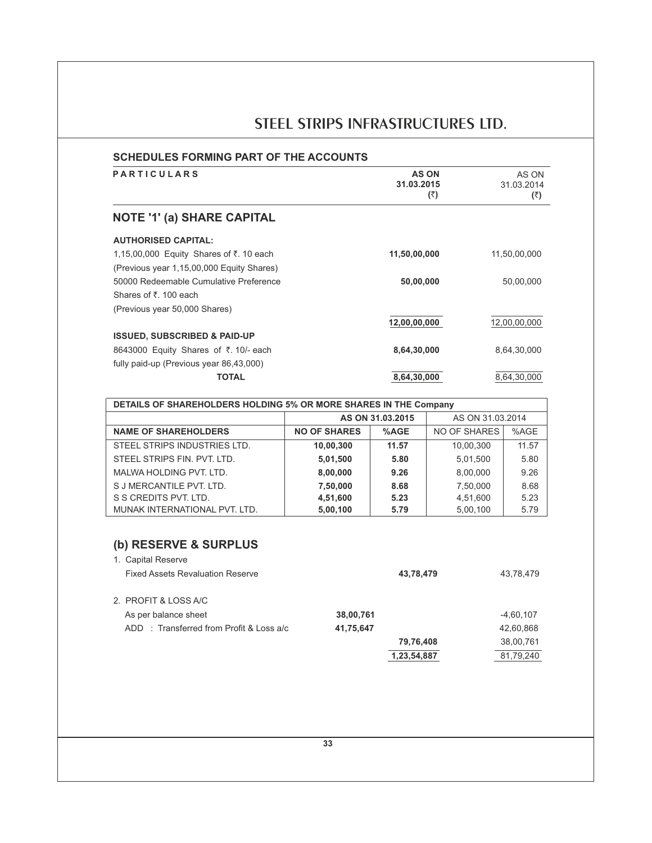| <b>AS ON</b><br>31.03.2015<br>(₹) | AS ON<br>31.03.2014<br>(3) |
|-----------------------------------|----------------------------|
|                                   |                            |
|                                   |                            |
| 11,50,00,000                      | 11,50,00,000               |
|                                   |                            |
| 50,00,000                         | 50,00,000                  |
|                                   |                            |
|                                   |                            |
| 12,00,00,000                      | 12,00,00,000               |
|                                   |                            |
| 8,64,30,000                       | 8,64,30,000                |
|                                   |                            |
| 8,64,30,000                       | 8.64.30.000                |
|                                   |                            |

| <b>DETAILS OF SHAREHOLDERS HOLDING 5% OR MORE SHARES IN THE Company</b> |                     |                  |                  |       |
|-------------------------------------------------------------------------|---------------------|------------------|------------------|-------|
|                                                                         |                     | AS ON 31.03.2015 | AS ON 31.03.2014 |       |
| <b>NAME OF SHAREHOLDERS</b>                                             | <b>NO OF SHARES</b> | %AGE             | NO OF SHARES     | %AGE  |
| STEEL STRIPS INDUSTRIES LTD.                                            | 10,00,300           | 11.57            | 10.00.300        | 11.57 |
| STEEL STRIPS FIN. PVT. LTD.                                             | 5,01,500            | 5.80             | 5,01,500         | 5.80  |
| MALWA HOLDING PVT. LTD.                                                 | 8,00,000            | 9.26             | 8,00,000         | 9.26  |
| S J MERCANTILE PVT. LTD.                                                | 7,50,000            | 8.68             | 7,50,000         | 8.68  |
| S S CREDITS PVT. LTD.                                                   | 4,51,600            | 5.23             | 4,51,600         | 5.23  |
| MUNAK INTERNATIONAL PVT. LTD.                                           | 5,00,100            | 5.79             | 5,00,100         | 5.79  |

# **(b) RESERVE & SURPLUS**

| 1. Capital Reserve                      |                                         |           |             |             |
|-----------------------------------------|-----------------------------------------|-----------|-------------|-------------|
| <b>Fixed Assets Revaluation Reserve</b> |                                         |           | 43,78,479   | 43,78,479   |
|                                         |                                         |           |             |             |
| 2. PROFIT & LOSS A/C                    |                                         |           |             |             |
| As per balance sheet                    |                                         | 38,00,761 |             | $-4,60,107$ |
|                                         | ADD: Transferred from Profit & Loss a/c | 41,75,647 |             | 42,60,868   |
|                                         |                                         |           | 79,76,408   | 38,00,761   |
|                                         |                                         |           | 1,23,54,887 | 81,79,240   |
|                                         |                                         |           |             |             |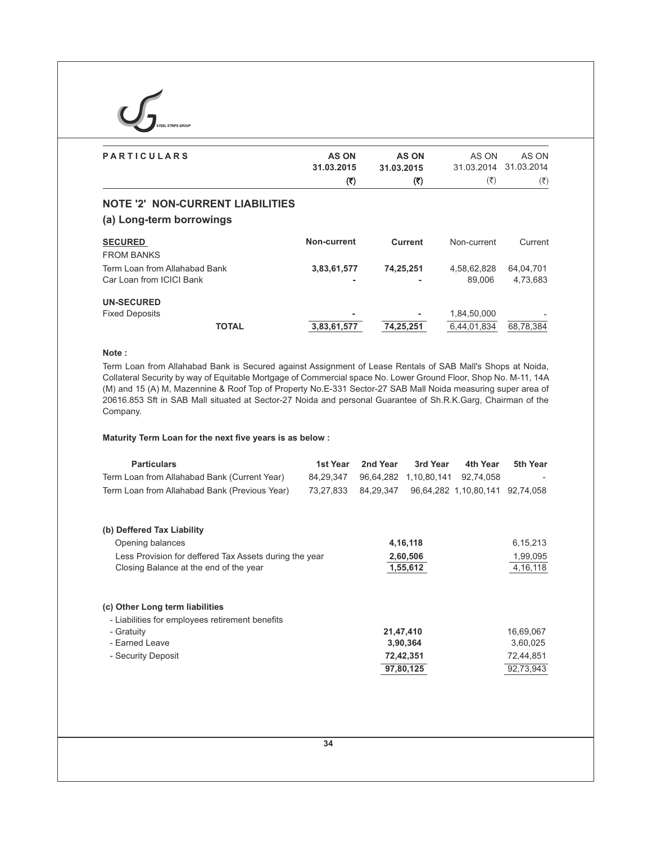| <b>STEEL STRIPS GROUP</b>     |              |                |                           |                           |
|-------------------------------|--------------|----------------|---------------------------|---------------------------|
| <b>PARTICULARS</b>            | <b>AS ON</b> | <b>AS ON</b>   | AS ON                     | AS ON                     |
|                               | 31.03.2015   | 31.03.2015     | 31.03.2014                | 31.03.2014                |
|                               | (₹)          | (3)            | $(\overline{\mathbf{z}})$ | $(\overline{\mathbf{x}})$ |
| <b>SECURED</b>                | Non-current  | <b>Current</b> | Non-current               | Current                   |
| <b>FROM BANKS</b>             |              |                |                           |                           |
| Term Loan from Allahabad Bank | 3,83,61,577  | 74,25,251      | 4,58,62,828               | 64,04,701                 |
| Car Loan from ICICI Bank      |              |                | 89,006                    | 4,73,683                  |
| <b>UN-SECURED</b>             |              |                |                           |                           |
| <b>Fixed Deposits</b>         |              |                | 1,84,50,000               |                           |
| <b>TOTAL</b>                  | 3,83,61,577  | 74,25,251      | 6,44,01,834               | 68,78,384                 |

# **Note :**

Term Loan from Allahabad Bank is Secured against Assignment of Lease Rentals of SAB Mall's Shops at Noida, Collateral Security by way of Equitable Mortgage of Commercial space No. Lower Ground Floor, Shop No. M-11, 14A (M) and 15 (A) M, Mazennine & Roof Top of Property No.E-331 Sector-27 SAB Mall Noida measuring super area of 20616.853 Sft in SAB Mall situated at Sector-27 Noida and personal Guarantee of Sh.R.K.Garg, Chairman of the Company.

# **Maturity Term Loan for the next five years is as below :**

| <b>Particulars</b><br>Term Loan from Allahabad Bank (Current Year) | 1st Year<br>84,29,347 | 2nd Year<br>96,64,282 | 3rd Year<br>1,10,80,141 | 4th Year<br>92,74,058           | 5th Year   |
|--------------------------------------------------------------------|-----------------------|-----------------------|-------------------------|---------------------------------|------------|
| Term Loan from Allahabad Bank (Previous Year)                      | 73,27,833             | 84,29,347             |                         | 96,64,282 1,10,80,141 92,74,058 |            |
|                                                                    |                       |                       |                         |                                 |            |
| (b) Deffered Tax Liability                                         |                       |                       |                         |                                 |            |
| Opening balances                                                   |                       |                       | 4, 16, 118              |                                 | 6, 15, 213 |
| Less Provision for deffered Tax Assets during the year             |                       |                       | 2,60,506                |                                 | 1,99,095   |
| Closing Balance at the end of the year                             |                       |                       | 1,55,612                |                                 | 4, 16, 118 |
|                                                                    |                       |                       |                         |                                 |            |
| (c) Other Long term liabilities                                    |                       |                       |                         |                                 |            |
| - Liabilities for employees retirement benefits                    |                       |                       |                         |                                 |            |
| - Gratuity                                                         |                       | 21,47,410             |                         |                                 | 16,69,067  |
| - Earned Leave                                                     |                       |                       | 3,90,364                |                                 | 3,60,025   |
| - Security Deposit                                                 |                       |                       | 72,42,351               |                                 | 72,44,851  |
|                                                                    |                       |                       | 97,80,125               |                                 | 92,73,943  |
|                                                                    |                       |                       |                         |                                 |            |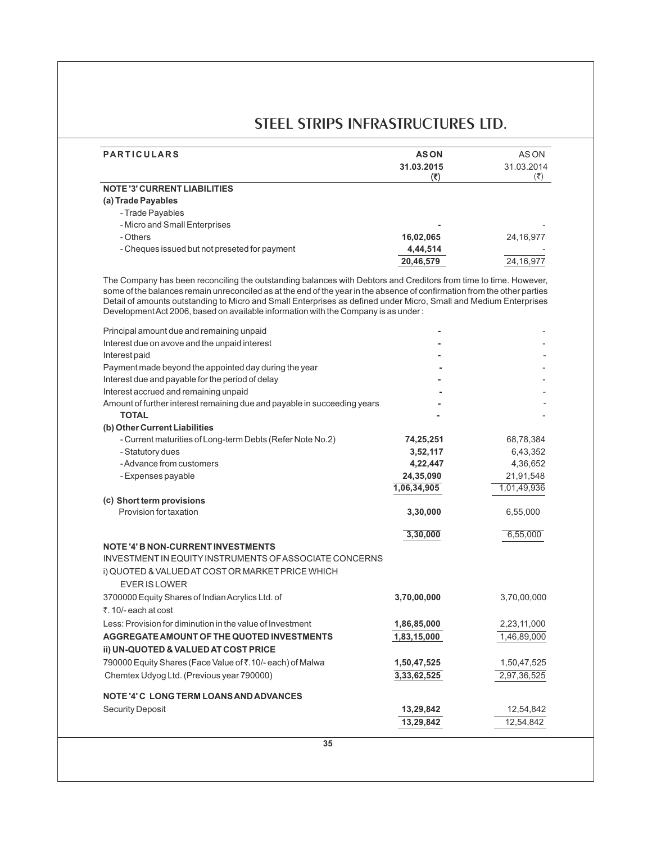| <b>PARTICULARS</b>                                                                                                       | <b>ASON</b>   | AS ON                     |
|--------------------------------------------------------------------------------------------------------------------------|---------------|---------------------------|
|                                                                                                                          | 31.03.2015    | 31.03.2014                |
| <b>NOTE '3' CURRENT LIABILITIES</b>                                                                                      | (₹)           | $(\overline{\mathbf{z}})$ |
| (a) Trade Payables                                                                                                       |               |                           |
| - Trade Payables                                                                                                         |               |                           |
| - Micro and Small Enterprises                                                                                            |               |                           |
| - Others                                                                                                                 | 16,02,065     | 24, 16, 977               |
| - Cheques issued but not preseted for payment                                                                            | 4,44,514      |                           |
|                                                                                                                          | 20,46,579     | 24, 16, 977               |
| The Company has been reconciling the outstanding balances with Debtors and Creditors from time to time. However,         |               |                           |
| some of the balances remain unreconciled as at the end of the year in the absence of confirmation from the other parties |               |                           |
| Detail of amounts outstanding to Micro and Small Enterprises as defined under Micro, Small and Medium Enterprises        |               |                           |
| Development Act 2006, based on available information with the Company is as under:                                       |               |                           |
| Principal amount due and remaining unpaid                                                                                |               |                           |
| Interest due on avove and the unpaid interest                                                                            |               |                           |
| Interest paid                                                                                                            |               |                           |
| Payment made beyond the appointed day during the year                                                                    |               |                           |
| Interest due and payable for the period of delay                                                                         |               |                           |
| Interest accrued and remaining unpaid                                                                                    |               |                           |
| Amount of further interest remaining due and payable in succeeding years                                                 |               |                           |
| <b>TOTAL</b>                                                                                                             |               |                           |
| (b) Other Current Liabilities                                                                                            |               |                           |
| - Current maturities of Long-term Debts (Refer Note No.2)                                                                | 74,25,251     | 68,78,384                 |
| - Statutory dues                                                                                                         | 3,52,117      | 6,43,352                  |
| - Advance from customers                                                                                                 | 4,22,447      | 4,36,652                  |
| - Expenses payable                                                                                                       | 24,35,090     | 21,91,548                 |
|                                                                                                                          | 1,06,34,905   | 1,01,49,936               |
| (c) Short term provisions                                                                                                |               |                           |
| Provision for taxation                                                                                                   | 3,30,000      | 6,55,000                  |
|                                                                                                                          | 3,30,000      | 6,55,000                  |
| <b>NOTE '4' B NON-CURRENT INVESTMENTS</b>                                                                                |               |                           |
| INVESTMENT IN EQUITY INSTRUMENTS OF ASSOCIATE CONCERNS                                                                   |               |                           |
| i) QUOTED & VALUED AT COST OR MARKET PRICE WHICH                                                                         |               |                           |
| <b>EVER IS LOWER</b>                                                                                                     |               |                           |
| 3700000 Equity Shares of Indian Acrylics Ltd. of                                                                         | 3,70,00,000   | 3,70,00,000               |
| ₹. 10/- each at cost                                                                                                     |               |                           |
| Less: Provision for diminution in the value of Investment                                                                | 1,86,85,000   | 2,23,11,000               |
| AGGREGATE AMOUNT OF THE QUOTED INVESTMENTS                                                                               | 1,83,15,000   | 1,46,89,000               |
| ii) UN-QUOTED & VALUED AT COST PRICE                                                                                     |               |                           |
|                                                                                                                          |               |                           |
| 790000 Equity Shares (Face Value of ₹.10/- each) of Malwa                                                                | 1,50,47,525   | 1,50,47,525               |
| Chemtex Udyog Ltd. (Previous year 790000)                                                                                | 3, 3, 62, 525 | 2,97,36,525               |
| <b>NOTE '4' C LONG TERM LOANS AND ADVANCES</b>                                                                           |               |                           |
| <b>Security Deposit</b>                                                                                                  | 13,29,842     | 12,54,842                 |
|                                                                                                                          |               |                           |
|                                                                                                                          | 13,29,842     | 12,54,842                 |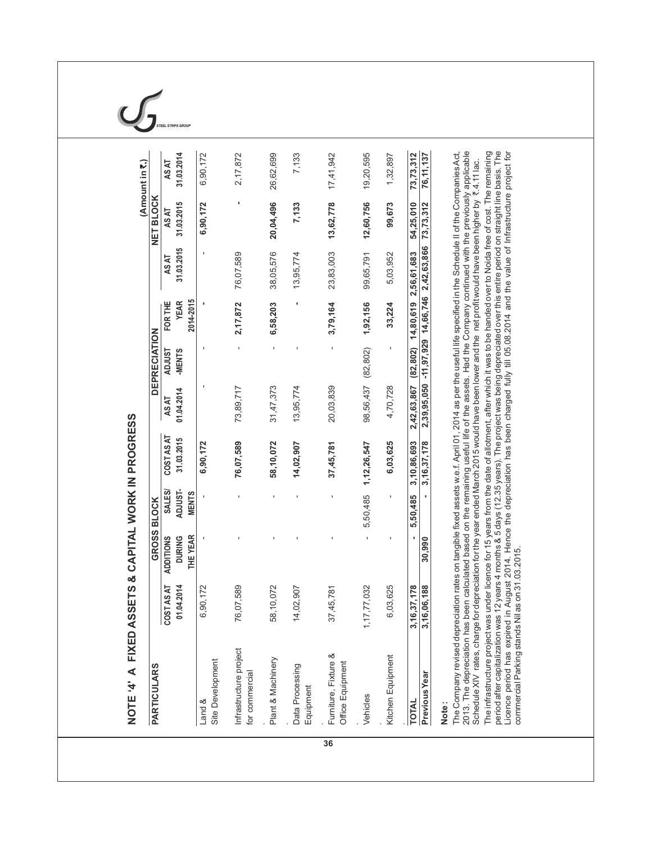| <b>PARTICULARS</b>                       |                               | GROSS BLOCK                                   |                                   |                            |                      | <b>DEPRECIATION</b>     |                                     |                                              | NET BLOCK              | (Amount in ₹.)         |
|------------------------------------------|-------------------------------|-----------------------------------------------|-----------------------------------|----------------------------|----------------------|-------------------------|-------------------------------------|----------------------------------------------|------------------------|------------------------|
|                                          |                               |                                               |                                   |                            |                      |                         |                                     |                                              |                        |                        |
|                                          | 01.04.2014<br>COSTAS AT       | THE YEAR<br><b>ADDITIONS</b><br><b>DURING</b> | ADJUST-<br>SALES/<br><b>MENTS</b> | COSTAS AT<br>31.03.2015    | 01.04.2014<br>AS AT  | <b>TSNUGA</b><br>-MENTS | 2014-2015<br>FOR THE<br><b>YEAR</b> | 31.03.2015<br><b>ASAT</b>                    | 31.03.2015<br>AS AT    | 31.03.2014<br>AS AT    |
| Land &                                   | 6,90,172                      |                                               |                                   | 6,90,172                   |                      |                         |                                     | $\blacksquare$                               | 6,90,172               | 6,90,172               |
| Site Development                         |                               |                                               |                                   |                            |                      |                         |                                     |                                              |                        |                        |
| Infrastructure project<br>for commercial | 76,07,589                     |                                               |                                   | 76,07,589                  | 73,89,717            | $\mathbf I$             | 2,17,872                            | 76,07,589                                    |                        | 2,17,872               |
| Plant & Machinery                        | 58,10,072                     |                                               | ×.                                | 58,10,072                  | 31,47,373            | $\mathbf I$             | 6,58,203                            | 38,05,576                                    | 20,04,496              | 26,62,699              |
| Data Processing<br>Equipment             | 14,02,907                     |                                               |                                   | 14,02,907                  | 13,95,774            |                         |                                     | 13,95,774                                    | 7,133                  | 7,133                  |
| Furniture, Fixture &<br>Office Equipment | 37,45,781                     |                                               | 1                                 | 37,45,781                  | 20,03,839            | 1                       | 3,79,164                            | 23,83,003                                    | 13,62,778              | 17,41,942              |
| Vehicles                                 | 1, 17, 77, 032                |                                               | 5,50,485                          | 1,12,26,547                | 98,56,437            | (82, 802)               | 1,92,156                            | 99,65,791                                    | 12,60,756              | 19,20,595              |
| Kitchen Equipment                        | 6,03,625                      |                                               | $\blacksquare$                    | 6,03,625                   | 4,70,728             | $\blacksquare$          | 33,224                              | 5,03,952                                     | 99,673                 | 1,32,897               |
| Previous Year<br><b>TOTAL</b>            | 3, 16, 37, 178<br>3,16,06,188 | $\blacksquare$<br>30,990                      | 5,50,485                          | 3,10,86,693<br>3,16,37,178 | 2,42,63,867 (82,802) |                         | 14,80,619 2,56,61,683               | 2,39,95,050 -11,97,929 14,66,746 2,42,63,866 | 54,25,010<br>73,73,312 | 73,73,312<br>76,11,137 |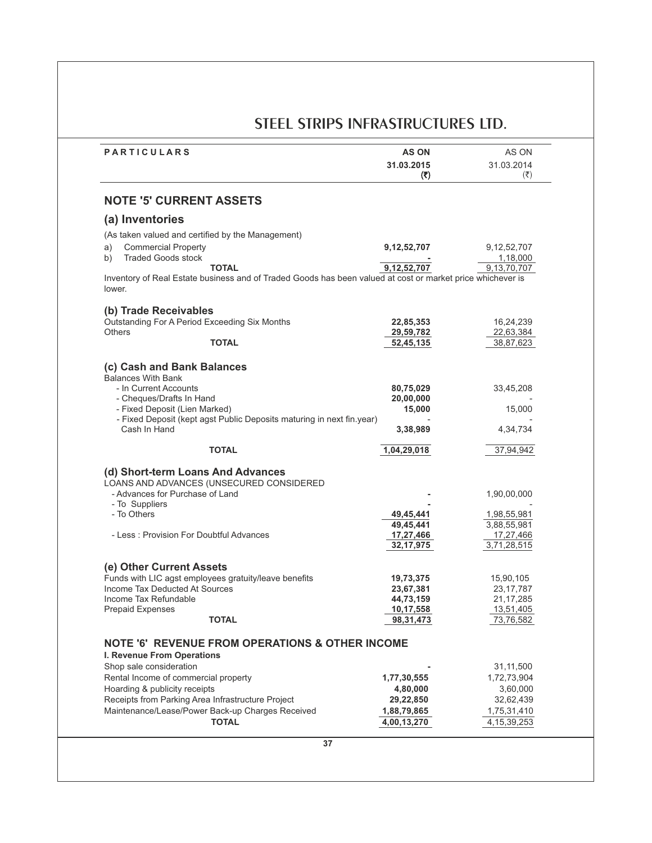| <b>PARTICULARS</b>                                                                                                   | <b>AS ON</b><br>31.03.2015<br>(3) | AS ON<br>31.03.2014<br>$(\overline{\mathbf{x}})$ |
|----------------------------------------------------------------------------------------------------------------------|-----------------------------------|--------------------------------------------------|
| <b>NOTE '5' CURRENT ASSETS</b>                                                                                       |                                   |                                                  |
| (a) Inventories                                                                                                      |                                   |                                                  |
| (As taken valued and certified by the Management)                                                                    |                                   |                                                  |
| <b>Commercial Property</b><br>a)                                                                                     | 9, 12, 52, 707                    | 9, 12, 52, 707                                   |
| <b>Traded Goods stock</b><br>b)                                                                                      |                                   | 1,18,000                                         |
| <b>TOTAL</b>                                                                                                         | 9,12,52,707                       | 9,13,70,707                                      |
| Inventory of Real Estate business and of Traded Goods has been valued at cost or market price whichever is<br>lower. |                                   |                                                  |
| (b) Trade Receivables                                                                                                |                                   |                                                  |
| Outstanding For A Period Exceeding Six Months                                                                        | 22,85,353                         | 16,24,239                                        |
| <b>Others</b>                                                                                                        | 29,59,782                         | 22,63,384                                        |
| <b>TOTAL</b>                                                                                                         | 52,45,135                         | 38,87,623                                        |
|                                                                                                                      |                                   |                                                  |
| (c) Cash and Bank Balances                                                                                           |                                   |                                                  |
| <b>Balances With Bank</b><br>- In Current Accounts                                                                   | 80,75,029                         | 33,45,208                                        |
| - Cheques/Drafts In Hand                                                                                             | 20,00,000                         |                                                  |
| - Fixed Deposit (Lien Marked)                                                                                        | 15,000                            | 15,000                                           |
| - Fixed Deposit (kept agst Public Deposits maturing in next fin.year)                                                |                                   |                                                  |
| Cash In Hand                                                                                                         | 3,38,989                          | 4,34,734                                         |
| <b>TOTAL</b>                                                                                                         | 1,04,29,018                       | 37,94,942                                        |
| (d) Short-term Loans And Advances                                                                                    |                                   |                                                  |
| LOANS AND ADVANCES (UNSECURED CONSIDERED                                                                             |                                   |                                                  |
| - Advances for Purchase of Land                                                                                      |                                   | 1,90,00,000                                      |
| - To Suppliers                                                                                                       |                                   |                                                  |
| - To Others                                                                                                          | 49,45,441                         | 1,98,55,981                                      |
|                                                                                                                      | 49,45,441                         | 3,88,55,981                                      |
| - Less: Provision For Doubtful Advances                                                                              | 17,27,466                         | 17,27,466                                        |
|                                                                                                                      | 32, 17, 975                       | 3,71,28,515                                      |
| (e) Other Current Assets                                                                                             |                                   |                                                  |
| Funds with LIC agst employees gratuity/leave benefits                                                                | 19,73,375                         | 15,90,105                                        |
| Income Tax Deducted At Sources                                                                                       | 23,67,381                         | 23, 17, 787                                      |
| Income Tax Refundable                                                                                                | 44,73,159                         | 21, 17, 285                                      |
| <b>Prepaid Expenses</b><br><b>TOTAL</b>                                                                              | 10,17,558                         | 13,51,405                                        |
|                                                                                                                      | 98, 31, 473                       | 73,76,582                                        |
| <b>NOTE '6' REVENUE FROM OPERATIONS &amp; OTHER INCOME</b>                                                           |                                   |                                                  |
| I. Revenue From Operations                                                                                           |                                   |                                                  |
| Shop sale consideration                                                                                              |                                   | 31,11,500                                        |
| Rental Income of commercial property                                                                                 | 1,77,30,555                       | 1,72,73,904                                      |
| Hoarding & publicity receipts                                                                                        | 4,80,000                          | 3,60,000                                         |
| Receipts from Parking Area Infrastructure Project                                                                    | 29,22,850                         | 32,62,439                                        |
| Maintenance/Lease/Power Back-up Charges Received                                                                     | 1,88,79,865                       | 1,75,31,410                                      |
| <b>TOTAL</b>                                                                                                         | 4,00,13,270                       | 4, 15, 39, 253                                   |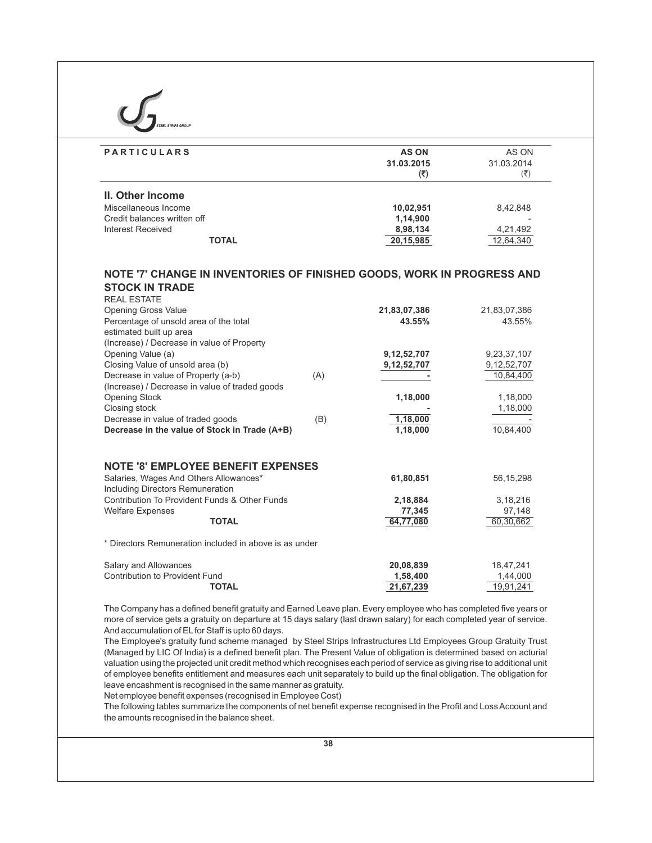| <b>PARTICULARS</b>                                                                                                                                                                                                                                                                                                                                                                                                                                                                                                                                                | <b>AS ON</b>              | AS ON                |
|-------------------------------------------------------------------------------------------------------------------------------------------------------------------------------------------------------------------------------------------------------------------------------------------------------------------------------------------------------------------------------------------------------------------------------------------------------------------------------------------------------------------------------------------------------------------|---------------------------|----------------------|
|                                                                                                                                                                                                                                                                                                                                                                                                                                                                                                                                                                   | 31.03.2015                | 31.03.2014           |
|                                                                                                                                                                                                                                                                                                                                                                                                                                                                                                                                                                   | $(\overline{\mathbf{c}})$ | $(\overline{\zeta})$ |
| II. Other Income                                                                                                                                                                                                                                                                                                                                                                                                                                                                                                                                                  |                           |                      |
| Miscellaneous Income                                                                                                                                                                                                                                                                                                                                                                                                                                                                                                                                              | 10,02,951                 | 8,42,848             |
| Credit balances written off                                                                                                                                                                                                                                                                                                                                                                                                                                                                                                                                       | 1,14,900                  |                      |
| <b>Interest Received</b>                                                                                                                                                                                                                                                                                                                                                                                                                                                                                                                                          | 8,98,134                  | 4,21,492             |
| <b>TOTAL</b>                                                                                                                                                                                                                                                                                                                                                                                                                                                                                                                                                      | 20,15,985                 | 12,64,340            |
| NOTE '7' CHANGE IN INVENTORIES OF FINISHED GOODS, WORK IN PROGRESS AND<br><b>STOCK IN TRADE</b><br><b>REAL ESTATE</b>                                                                                                                                                                                                                                                                                                                                                                                                                                             |                           |                      |
| <b>Opening Gross Value</b>                                                                                                                                                                                                                                                                                                                                                                                                                                                                                                                                        | 21,83,07,386              | 21,83,07,386         |
| Percentage of unsold area of the total                                                                                                                                                                                                                                                                                                                                                                                                                                                                                                                            | 43.55%                    | 43.55%               |
| estimated built up area<br>(Increase) / Decrease in value of Property                                                                                                                                                                                                                                                                                                                                                                                                                                                                                             |                           |                      |
| Opening Value (a)                                                                                                                                                                                                                                                                                                                                                                                                                                                                                                                                                 | 9, 12, 52, 707            | 9,23,37,107          |
| Closing Value of unsold area (b)                                                                                                                                                                                                                                                                                                                                                                                                                                                                                                                                  | 9, 12, 52, 707            | 9,12,52,707          |
| Decrease in value of Property (a-b)<br>(A)                                                                                                                                                                                                                                                                                                                                                                                                                                                                                                                        |                           | 10,84,400            |
| (Increase) / Decrease in value of traded goods                                                                                                                                                                                                                                                                                                                                                                                                                                                                                                                    |                           |                      |
| Opening Stock                                                                                                                                                                                                                                                                                                                                                                                                                                                                                                                                                     | 1,18,000                  | 1,18,000             |
| Closing stock                                                                                                                                                                                                                                                                                                                                                                                                                                                                                                                                                     |                           | 1,18,000             |
| Decrease in value of traded goods<br>(B)                                                                                                                                                                                                                                                                                                                                                                                                                                                                                                                          | 1,18,000                  |                      |
| Decrease in the value of Stock in Trade (A+B)                                                                                                                                                                                                                                                                                                                                                                                                                                                                                                                     | 1,18,000                  | 10,84,400            |
| <b>NOTE '8' EMPLOYEE BENEFIT EXPENSES</b>                                                                                                                                                                                                                                                                                                                                                                                                                                                                                                                         |                           |                      |
| Salaries, Wages And Others Allowances*                                                                                                                                                                                                                                                                                                                                                                                                                                                                                                                            | 61,80,851                 | 56, 15, 298          |
| Including Directors Remuneration                                                                                                                                                                                                                                                                                                                                                                                                                                                                                                                                  |                           |                      |
| Contribution To Provident Funds & Other Funds                                                                                                                                                                                                                                                                                                                                                                                                                                                                                                                     | 2,18,884                  | 3,18,216             |
| <b>Welfare Expenses</b>                                                                                                                                                                                                                                                                                                                                                                                                                                                                                                                                           | 77,345                    | 97,148               |
| <b>TOTAL</b>                                                                                                                                                                                                                                                                                                                                                                                                                                                                                                                                                      | 64,77,080                 | 60,30,662            |
| * Directors Remuneration included in above is as under                                                                                                                                                                                                                                                                                                                                                                                                                                                                                                            |                           |                      |
| Salary and Allowances                                                                                                                                                                                                                                                                                                                                                                                                                                                                                                                                             | 20,08,839                 | 18,47,241            |
| Contribution to Provident Fund                                                                                                                                                                                                                                                                                                                                                                                                                                                                                                                                    | 1,58,400                  | 1,44,000             |
| <b>TOTAL</b>                                                                                                                                                                                                                                                                                                                                                                                                                                                                                                                                                      | 21,67,239                 | 19,91,241            |
| The Company has a defined benefit gratuity and Earned Leave plan. Every employee who has completed five years or<br>more of service gets a gratuity on departure at 15 days salary (last drawn salary) for each completed year of service.<br>And accumulation of EL for Staff is upto 60 days.                                                                                                                                                                                                                                                                   |                           |                      |
| The Employee's gratuity fund scheme managed by Steel Strips Infrastructures Ltd Employees Group Gratuity Trust<br>(Managed by LIC Of India) is a defined benefit plan. The Present Value of obligation is determined based on acturial<br>valuation using the projected unit credit method which recognises each period of service as giving rise to additional unit<br>of employee benefits entitlement and measures each unit separately to build up the final obligation. The obligation for<br>leave encashment is recognised in the same manner as gratuity. |                           |                      |
| Net employee benefit expenses (recognised in Employee Cost)<br>The following tables summarize the components of net benefit expense recognised in the Profit and Loss Account and                                                                                                                                                                                                                                                                                                                                                                                 |                           |                      |

the amounts recognised in the balance sheet.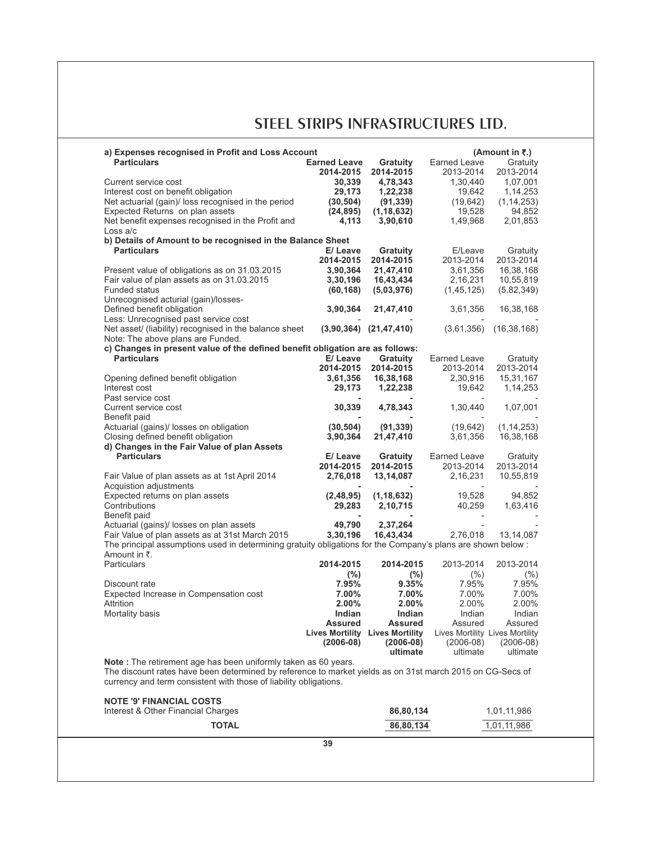| a) Expenses recognised in Profit and Loss Account<br><b>Particulars</b>                                                                                                                                                                          | <b>Earned Leave</b> |                                        | Earned Leave                    | (Amount in $\overline{5}$ .) |
|--------------------------------------------------------------------------------------------------------------------------------------------------------------------------------------------------------------------------------------------------|---------------------|----------------------------------------|---------------------------------|------------------------------|
|                                                                                                                                                                                                                                                  |                     | Gratuity                               |                                 | Gratuity                     |
|                                                                                                                                                                                                                                                  | 2014-2015           | 2014-2015                              | 2013-2014                       | 2013-2014                    |
| Current service cost                                                                                                                                                                                                                             | 30,339              | 4,78,343                               | 1,30,440                        | 1,07,001                     |
| Interest cost on benefit obligation                                                                                                                                                                                                              | 29,173              | 1,22,238                               | 19,642                          | 1,14,253                     |
| Net actuarial (gain)/ loss recognised in the period                                                                                                                                                                                              | (30, 504)           | (91, 339)                              | (19, 642)                       | (1, 14, 253)                 |
| Expected Returns on plan assets                                                                                                                                                                                                                  | (24,895)            | (1, 18, 632)                           | 19,528                          | 94,852                       |
| Net benefit expenses recognised in the Profit and                                                                                                                                                                                                | 4.113               | 3,90,610                               | 1,49,968                        | 2,01,853                     |
| Loss $a/c$                                                                                                                                                                                                                                       |                     |                                        |                                 |                              |
| b) Details of Amount to be recognised in the Balance Sheet                                                                                                                                                                                       |                     |                                        |                                 |                              |
| <b>Particulars</b>                                                                                                                                                                                                                               | E/Leave             | Gratuity                               | E/Leave                         | Gratuity                     |
|                                                                                                                                                                                                                                                  | 2014-2015           | 2014-2015                              | 2013-2014                       | 2013-2014                    |
| Present value of obligations as on 31.03.2015                                                                                                                                                                                                    | 3,90,364            | 21,47,410                              | 3,61,356                        | 16,38,168                    |
| Fair value of plan assets as on 31.03.2015                                                                                                                                                                                                       | 3,30,196            | 16,43,434                              | 2,16,231                        | 10,55,819                    |
| <b>Funded status</b>                                                                                                                                                                                                                             | (60, 168)           | (5,03,976)                             | (1,45,125)                      | (5,82,349)                   |
| Unrecognised acturial (gain)/losses-                                                                                                                                                                                                             |                     |                                        |                                 |                              |
| Defined benefit obligation                                                                                                                                                                                                                       | 3,90,364            | 21,47,410                              | 3,61,356                        | 16,38,168                    |
| Less: Unrecognised past service cost                                                                                                                                                                                                             |                     |                                        |                                 |                              |
| Net asset/ (liability) recognised in the balance sheet<br>Note: The above plans are Funded.                                                                                                                                                      |                     | $(3,90,364)$ $(21,47,410)$             | (3,61,356)                      | (16, 38, 168)                |
| c) Changes in present value of the defined benefit obligation are as follows:                                                                                                                                                                    |                     |                                        |                                 |                              |
| <b>Particulars</b>                                                                                                                                                                                                                               | E/Leave             | <b>Gratuity</b>                        | Earned Leave                    | Gratuity                     |
|                                                                                                                                                                                                                                                  | 2014-2015           | 2014-2015                              | 2013-2014                       | 2013-2014                    |
| Opening defined benefit obligation                                                                                                                                                                                                               | 3,61,356            | 16,38,168                              | 2,30,916                        | 15,31,167                    |
| Interest cost                                                                                                                                                                                                                                    | 29,173              | 1,22,238                               | 19,642                          | 1,14,253                     |
| Past service cost                                                                                                                                                                                                                                |                     |                                        |                                 |                              |
| Current service cost                                                                                                                                                                                                                             | 30,339              | 4,78,343                               | 1,30,440                        | 1,07,001                     |
| Benefit paid                                                                                                                                                                                                                                     |                     |                                        |                                 |                              |
| Actuarial (gains)/ losses on obligation                                                                                                                                                                                                          | (30, 504)           | (91, 339)                              | (19, 642)                       | (1, 14, 253)                 |
| Closing defined benefit obligation                                                                                                                                                                                                               | 3,90,364            | 21,47,410                              | 3,61,356                        | 16,38,168                    |
| d) Changes in the Fair Value of plan Assets                                                                                                                                                                                                      |                     |                                        |                                 |                              |
| <b>Particulars</b>                                                                                                                                                                                                                               | E/ Leave            | Gratuity                               | Earned Leave                    | Gratuity                     |
|                                                                                                                                                                                                                                                  | 2014-2015           | 2014-2015                              | 2013-2014                       | 2013-2014                    |
| Fair Value of plan assets as at 1st April 2014                                                                                                                                                                                                   | 2,76,018            | 13,14,087                              | 2,16,231                        | 10,55,819                    |
| Acquistion adjustments                                                                                                                                                                                                                           |                     |                                        |                                 |                              |
| Expected returns on plan assets                                                                                                                                                                                                                  | (2, 48, 95)         |                                        | 19,528                          | 94,852                       |
| Contributions                                                                                                                                                                                                                                    |                     | (1, 18, 632)<br>2,10,715               | 40,259                          | 1,63,416                     |
|                                                                                                                                                                                                                                                  | 29,283              |                                        |                                 |                              |
| Benefit paid                                                                                                                                                                                                                                     |                     |                                        | $\overline{\phantom{a}}$        |                              |
| Actuarial (gains)/ losses on plan assets                                                                                                                                                                                                         | 49,790              | 2,37,264                               |                                 |                              |
| Fair Value of plan assets as at 31st March 2015                                                                                                                                                                                                  | 3,30,196            | 16,43,434                              | 2,76,018                        | 13,14,087                    |
| The principal assumptions used in determining gratuity obligations for the Company's plans are shown below :<br>Amount in ₹.                                                                                                                     |                     |                                        |                                 |                              |
|                                                                                                                                                                                                                                                  |                     |                                        | 2013-2014                       |                              |
| <b>Particulars</b>                                                                                                                                                                                                                               | 2014-2015           | 2014-2015                              |                                 | 2013-2014                    |
|                                                                                                                                                                                                                                                  | $(\%)$              | $(\%)$                                 | $(\% )$                         | $(\% )$                      |
| Discount rate                                                                                                                                                                                                                                    | 7.95%               | 9.35%                                  | 7.95%                           | 7.95%                        |
| Expected Increase in Compensation cost                                                                                                                                                                                                           | 7.00%               | 7.00%                                  | 7.00%                           | 7.00%                        |
| Attrition                                                                                                                                                                                                                                        | 2.00%               | $2.00\%$                               | 2.00%                           | 2.00%                        |
| Mortality basis                                                                                                                                                                                                                                  | Indian              | <b>Indian</b>                          | Indian                          | Indian                       |
|                                                                                                                                                                                                                                                  | <b>Assured</b>      | <b>Assured</b>                         | Assured                         | Assured                      |
|                                                                                                                                                                                                                                                  |                     | <b>Lives Mortility Lives Mortility</b> | Lives Mortility Lives Mortility |                              |
|                                                                                                                                                                                                                                                  | $(2006-08)$         | $(2006-08)$                            | $(2006-08)$                     | $(2006-08)$                  |
|                                                                                                                                                                                                                                                  |                     | ultimate                               | ultimate                        | ultimate                     |
| Note: The retirement age has been uniformly taken as 60 years.<br>The discount rates have been determined by reference to market yields as on 31st march 2015 on CG-Secs of<br>currency and term consistent with those of liability obligations. |                     |                                        |                                 |                              |
| <b>NOTE '9' FINANCIAL COSTS</b>                                                                                                                                                                                                                  |                     |                                        |                                 |                              |
| Interest & Other Financial Charges                                                                                                                                                                                                               |                     | 86,80,134                              |                                 | 1,01,11,986                  |
|                                                                                                                                                                                                                                                  |                     |                                        |                                 | 1,01,11,986                  |
| <b>TOTAL</b>                                                                                                                                                                                                                                     |                     | 86,80,134                              |                                 |                              |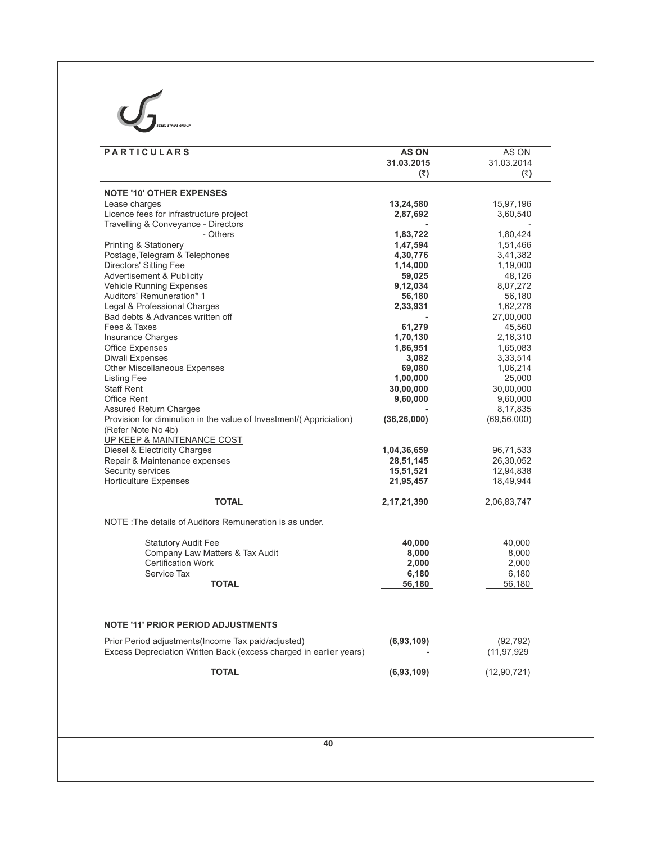# $\sum_{\text{Sree. SINPS CROV}}$

| <b>PARTICULARS</b>                                                 | <b>AS ON</b><br>31.03.2015 | AS ON<br>31.03.2014 |
|--------------------------------------------------------------------|----------------------------|---------------------|
|                                                                    | (5)                        | (5)                 |
| <b>NOTE '10' OTHER EXPENSES</b>                                    |                            |                     |
| Lease charges                                                      | 13,24,580                  | 15,97,196           |
| Licence fees for infrastructure project                            | 2,87,692                   | 3,60,540            |
| Travelling & Conveyance - Directors                                |                            |                     |
| - Others                                                           | 1,83,722                   | 1,80,424            |
| <b>Printing &amp; Stationery</b>                                   | 1,47,594                   | 1,51,466            |
| Postage, Telegram & Telephones                                     | 4,30,776                   | 3,41,382            |
| Directors' Sitting Fee                                             | 1,14,000                   | 1,19,000            |
| Advertisement & Publicity                                          | 59,025                     | 48,126              |
| Vehicle Running Expenses                                           | 9,12,034                   | 8,07,272            |
| Auditors' Remuneration* 1                                          | 56,180                     | 56,180              |
| Legal & Professional Charges                                       | 2,33,931                   | 1,62,278            |
| Bad debts & Advances written off                                   |                            |                     |
| Fees & Taxes                                                       |                            | 27,00,000           |
|                                                                    | 61,279                     | 45,560              |
| Insurance Charges                                                  | 1,70,130                   | 2,16,310            |
| <b>Office Expenses</b>                                             | 1,86,951                   | 1,65,083            |
| <b>Diwali Expenses</b>                                             | 3,082                      | 3,33,514            |
| Other Miscellaneous Expenses                                       | 69,080                     | 1,06,214            |
| <b>Listing Fee</b>                                                 | 1,00,000                   | 25,000              |
| <b>Staff Rent</b>                                                  | 30,00,000                  | 30,00,000           |
| <b>Office Rent</b>                                                 | 9,60,000                   | 9,60,000            |
| <b>Assured Return Charges</b>                                      |                            | 8,17,835            |
| Provision for diminution in the value of Investment/(Appriciation) | (36, 26, 000)              | (69, 56, 000)       |
| (Refer Note No 4b)<br>UP KEEP & MAINTENANCE COST                   |                            |                     |
| Diesel & Electricity Charges                                       | 1,04,36,659                | 96,71,533           |
| Repair & Maintenance expenses                                      | 28,51,145                  | 26,30,052           |
| Security services                                                  |                            |                     |
|                                                                    | 15,51,521                  | 12,94,838           |
| <b>Horticulture Expenses</b>                                       | 21,95,457                  | 18,49,944           |
| <b>TOTAL</b>                                                       | 2,17,21,390                | 2,06,83,747         |
| NOTE: The details of Auditors Remuneration is as under.            |                            |                     |
| <b>Statutory Audit Fee</b>                                         | 40,000                     | 40,000              |
| Company Law Matters & Tax Audit                                    | 8,000                      | 8,000               |
| <b>Certification Work</b>                                          | 2,000                      | 2,000               |
| Service Tax                                                        | 6,180                      | 6,180               |
| <b>TOTAL</b>                                                       | 56,180                     | 56,180              |
|                                                                    |                            |                     |
| <b>NOTE '11' PRIOR PERIOD ADJUSTMENTS</b>                          |                            |                     |
| Prior Period adjustments (Income Tax paid/adjusted)                | (6,93,109)                 | (92, 792)           |
| Excess Depreciation Written Back (excess charged in earlier years) |                            | (11, 97, 929)       |
| <b>TOTAL</b>                                                       | (6,93,109)                 | (12, 90, 721)       |
|                                                                    |                            |                     |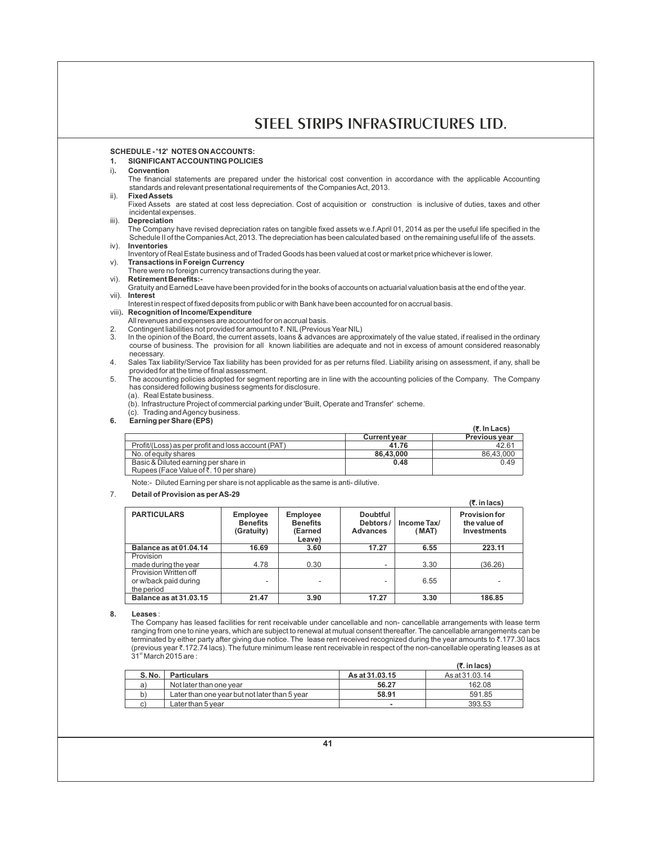**(**`**. In Lacs)**

# **SCHEDULE - '12' NOTES ON ACCOUNTS:**

# **1. SIGNIFICANT ACCOUNTING POLICIES**

#### i)**. Convention**

The financial statements are prepared under the historical cost convention in accordance with the applicable Accounting standards and relevant presentational requirements of the Companies Act, 2013.

# ii). **Fixed Assets**

Fixed Assets are stated at cost less depreciation. Cost of acquisition or construction is inclusive of duties, taxes and other incidental expenses.

iii). **Depreciation**

The Company have revised depreciation rates on tangible fixed assets w.e.f.April 01, 2014 as per the useful life specified in the Schedule II of the Companies Act, 2013. The depreciation has been calculated based on the remaining useful life of the assets. iv). **Inventories**

- 
- Inventory of Real Estate business and of Traded Goods has been valued at cost or market price whichever is lower.
- v). **Transactions in Foreign Currency**
- There were no foreign currency transactions during the year. vi). **Retirement Benefits:-**
- Gratuity and Earned Leave have been provided for in the books of accounts on actuarial valuation basis at the end of the year. vii). **Interest**
- Interest in respect of fixed deposits from public or with Bank have been accounted for on accrual basis.
- viii)**. Recognition of Income/Expenditure**
- All revenues and expenses are accounted for on accrual basis.
- 2. Contingent liabilities not provided for amount to  $\bar{\ell}$ . NIL (Previous Year NIL)<br>3. In the opinion of the Board, the current assets, Joans & advances are appr
- In the opinion of the Board, the current assets, loans & advances are approximately of the value stated, if realised in the ordinary course of business. The provision for all known liabilities are adequate and not in excess of amount considered reasonably necessary.
- 4. Sales Tax liability/Service Tax liability has been provided for as per returns filed. Liability arising on assessment, if any, shall be provided for at the time of final assessment.
- 5. The accounting policies adopted for segment reporting are in line with the accounting policies of the Company. The Company has considered following business segments for disclosure.
	- (a). Real Estate business.
	- (b). Infrastructure Project of commercial parking under 'Built, Operate and Transfer' scheme.
	- (c). Trading and Agency business.
- **6. Earning per Share (EPS)**

|                                                    |                     | (र. In Lacs)         |
|----------------------------------------------------|---------------------|----------------------|
|                                                    | <b>Current vear</b> | <b>Previous year</b> |
| Profit/(Loss) as per profit and loss account (PAT) | 41.76               | 42.61                |
| No. of equity shares                               | 86.43.000           | 86.43.000            |
| Basic & Diluted earning per share in               | 0.48                | 0.49                 |
| Rupees (Face Value of ₹, 10 per share)             |                     |                      |

Note:- Diluted Earning per share is not applicable as the same is anti- dilutive.

#### 7. **Detail of Provision as per AS-29**

|                                                              |                                                  |                                                         |                                                |                      | (₹. in lacs)                                               |
|--------------------------------------------------------------|--------------------------------------------------|---------------------------------------------------------|------------------------------------------------|----------------------|------------------------------------------------------------|
| <b>PARTICULARS</b>                                           | <b>Employee</b><br><b>Benefits</b><br>(Gratuity) | <b>Employee</b><br><b>Benefits</b><br>(Earned<br>Leave) | <b>Doubtful</b><br>Debtors/<br><b>Advances</b> | Income Tax/<br>(MAT) | <b>Provision for</b><br>the value of<br><b>Investments</b> |
| Balance as at 01.04.14                                       | 16.69                                            | 3.60                                                    | 17.27                                          | 6.55                 | 223.11                                                     |
| Provision                                                    |                                                  |                                                         |                                                |                      |                                                            |
| made during the year                                         | 4.78                                             | 0.30                                                    | ۰.                                             | 3.30                 | (36.26)                                                    |
| Provision Written off<br>or w/back paid during<br>the period | ۰                                                |                                                         |                                                | 6.55                 |                                                            |
| Balance as at 31.03.15                                       | 21.47                                            | 3.90                                                    | 17.27                                          | 3.30                 | 186.85                                                     |

**8. Leases** :

The Company has leased facilities for rent receivable under cancellable and non- cancellable arrangements with lease term ranging from one to nine years, which are subject to renewal at mutual consent thereafter. The cancellable arrangements can be terminated by either party after giving due notice. The lease rent received recognized during the year amounts to ₹.177.30 lacs (previous year `.172.74 lacs). The future minimum lease rent receivable in respect of the non-cancellable operating leases as at  $31<sup>st</sup>$  March 2015 are :

|       |                                               |                | $(5$ , in lacs) |
|-------|-----------------------------------------------|----------------|-----------------|
| S.No. | <b>Particulars</b>                            | As at 31.03.15 | As at 31.03.14  |
| a)    | Not later than one year                       | 56.27          | 162.08          |
| b)    | Later than one year but not later than 5 year | 58.91          | 591.85          |
| C)    | Later than 5 year                             |                | 393.53          |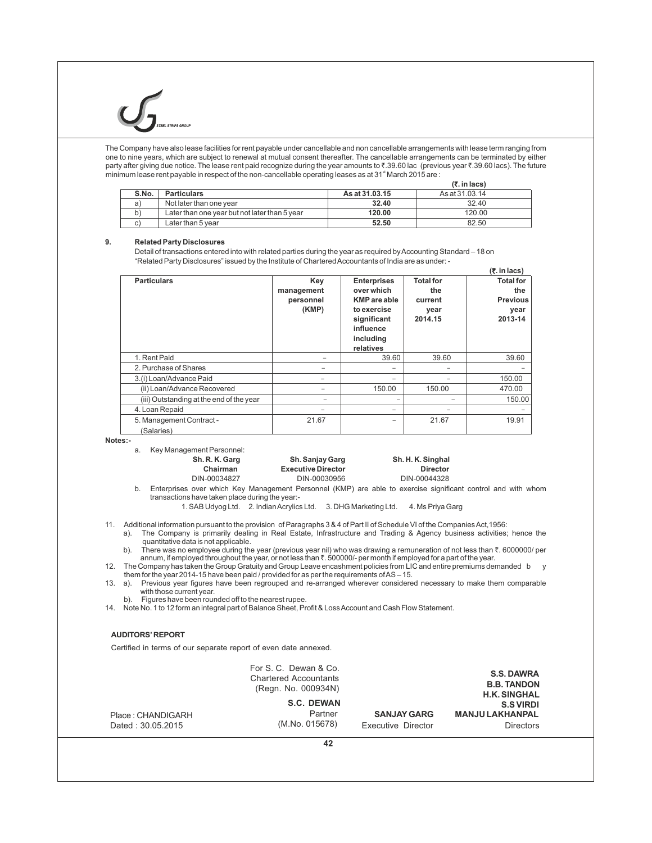The Company have also lease facilities for rent payable under cancellable and non cancellable arrangements with lease term ranging from one to nine years, which are subject to renewal at mutual consent thereafter. The cancellable arrangements can be terminated by either party after giving due notice. The lease rent paid recognize during the year amounts to ₹.39.60 lac (previous year ₹.39.60 lacs). The future minimum lease rent payable in respect of the non-cancellable operating leases as at 31<sup><sup>t</sup></sup> March 2015 are :

|       |                                               |                | $(5$ , in lacs) |
|-------|-----------------------------------------------|----------------|-----------------|
| S.No. | <b>Particulars</b>                            | As at 31.03.15 | As at 31.03.14  |
| a)    | Not later than one year                       | 32.40          | 32.40           |
| b١    | Later than one year but not later than 5 year | 120.00         | 120.00          |
|       | Later than 5 year                             | 52.50          | 82.50           |

#### **9. Related Party Disclosures**

Detail of transactions entered into with related parties during the year as required by Accounting Standard – 18 on "Related Party Disclosures" issued by the Institute of Chartered Accountants of India are as under: -  **(**`**. in lacs)**

|                                          |            |                          |                  | ,,,……            |
|------------------------------------------|------------|--------------------------|------------------|------------------|
| <b>Particulars</b>                       | Key        | <b>Enterprises</b>       | <b>Total for</b> | <b>Total for</b> |
|                                          | management | over which               | the              | the              |
|                                          | personnel  | <b>KMP</b> are able      | current          | <b>Previous</b>  |
|                                          | (KMP)      | to exercise              | year             | year             |
|                                          |            | significant              | 2014.15          | 2013-14          |
|                                          |            | influence                |                  |                  |
|                                          |            | including                |                  |                  |
|                                          |            | relatives                |                  |                  |
| 1. Rent Paid                             |            | 39.60                    | 39.60            | 39.60            |
| 2. Purchase of Shares                    |            | $\overline{\phantom{0}}$ |                  |                  |
| 3.(i) Loan/Advance Paid                  |            | $\overline{\phantom{0}}$ |                  | 150.00           |
| (ii) Loan/Advance Recovered              |            | 150.00                   | 150.00           | 470.00           |
| (iii) Outstanding at the end of the year |            |                          |                  | 150.00           |
| 4. Loan Repaid                           |            | -                        |                  |                  |
| 5. Management Contract -                 | 21.67      | -                        | 21.67            | 19.91            |
| (Salaries)                               |            |                          |                  |                  |

**Notes:-** 

- a. Key Management Personnel:
	- **Sh. R. K. Garg Sh. Sanjay Garg Sh. R. K. Singhal**<br>Chairman **Sh. Executive Director** Director **Sh. H. K. Singhal Chairman Executive Director Director Director**<br>DIN-00034827 DIN-00030956 DIN-00044328 DIN-00030956

b. Enterprises over which Key Management Personnel (KMP) are able to exercise significant control and with whom transactions have taken place during the year:-

1. SAB Udyog Ltd. 2. Indian Acrylics Ltd. 3. DHG Marketing Ltd. 4. Ms Priya Garg

 11. Additional information pursuant to the provision of Paragraphs 3 & 4 of Part II of Schedule VI of the Companies Act,1956: a). The Company is primarily dealing in Real Estate, Infrastructure and Trading & Agency business activities; hence the

quantitative data is not applicable. b). There was no employee during the year (previous year nil) who was drawing a remuneration of not less than  $\bar{\tau}$ . 6000000/ per annum, if employed throughout the year, or not less than  $\bar{\tau}$ . 500000/- per month if employed for a part of the year.

12. The Company has taken the Group Gratuity and Group Leave encashment policies from LIC and entire premiums demanded b y them for the year 2014-15 have been paid / provided for as per the requirements of AS – 15.

13. a). Previous year figures have been regrouped and re-arranged wherever considered necessary to make them comparable with those current year.

b). Figures have been rounded off to the nearest rupee.

14. Note No. 1 to 12 form an integral part of Balance Sheet, Profit & Loss Account and Cash Flow Statement.

#### **AUDITORS'REPORT**

Certified in terms of our separate report of even date annexed.

|                   | For S. C. Dewan & Co.<br><b>Chartered Accountants</b><br>(Regn. No. 000934N) |                    | <b>S.S. DAWRA</b><br><b>B.B. TANDON</b><br><b>H.K. SINGHAL</b> |
|-------------------|------------------------------------------------------------------------------|--------------------|----------------------------------------------------------------|
|                   | S.C. DEWAN                                                                   |                    | <b>S.S VIRDI</b>                                               |
| Place: CHANDIGARH | Partner                                                                      | <b>SANJAY GARG</b> | <b>MANJU LAKHANPAL</b>                                         |
| Dated: 30.05.2015 | (M.No. 015678)                                                               | Executive Director | <b>Directors</b>                                               |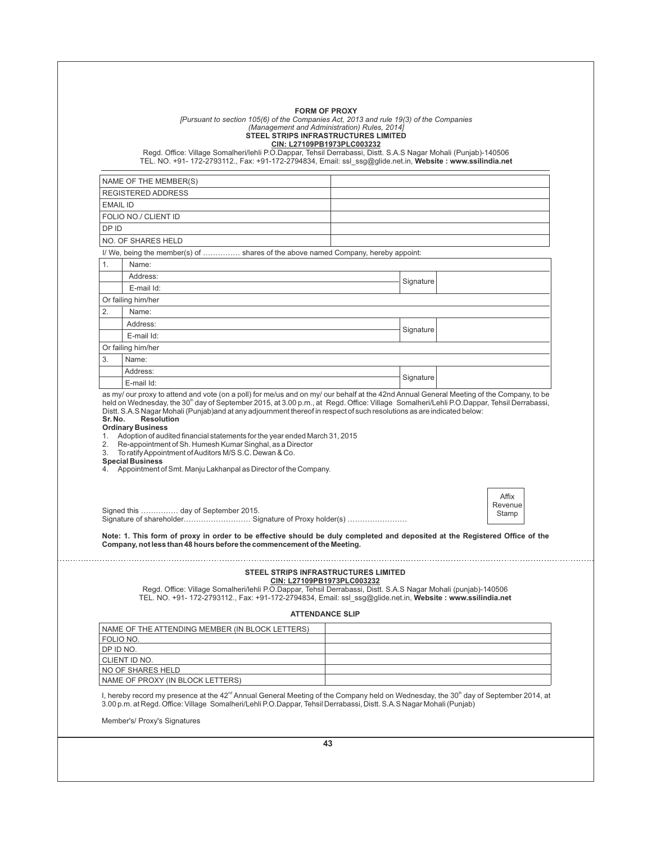|         | [Pursuant to section 105(6) of the Companies Act, 2013 and rule 19(3) of the Companies<br>(Management and Administration) Rules, 2014]<br>STEEL STRIPS INFRASTRUCTURES LIMITED<br>Regd. Office: Village Somalheri/lehli P.O.Dappar, Tehsil Derrabassi, Distt. S.A.S Nagar Mohali (Punjab)-140506<br>TEL. NO. +91- 172-2793112., Fax: +91-172-2794834, Email: ssl ssg@glide.net.in, Website: www.ssilindia.net | <b>FORM OF PROXY</b><br>CIN: L27109PB1973PLC003232                                                                      |           |                           |
|---------|---------------------------------------------------------------------------------------------------------------------------------------------------------------------------------------------------------------------------------------------------------------------------------------------------------------------------------------------------------------------------------------------------------------|-------------------------------------------------------------------------------------------------------------------------|-----------|---------------------------|
|         |                                                                                                                                                                                                                                                                                                                                                                                                               |                                                                                                                         |           |                           |
|         | NAME OF THE MEMBER(S)<br><b>REGISTERED ADDRESS</b>                                                                                                                                                                                                                                                                                                                                                            |                                                                                                                         |           |                           |
|         | EMAIL ID                                                                                                                                                                                                                                                                                                                                                                                                      |                                                                                                                         |           |                           |
|         | FOLIO NO./ CLIENT ID                                                                                                                                                                                                                                                                                                                                                                                          |                                                                                                                         |           |                           |
| DP ID   |                                                                                                                                                                                                                                                                                                                                                                                                               |                                                                                                                         |           |                           |
|         | NO. OF SHARES HELD                                                                                                                                                                                                                                                                                                                                                                                            |                                                                                                                         |           |                           |
|         | I/ We, being the member(s) of  shares of the above named Company, hereby appoint:                                                                                                                                                                                                                                                                                                                             |                                                                                                                         |           |                           |
| 1.      | Name:                                                                                                                                                                                                                                                                                                                                                                                                         |                                                                                                                         |           |                           |
|         | Address:                                                                                                                                                                                                                                                                                                                                                                                                      |                                                                                                                         |           |                           |
|         | E-mail Id:                                                                                                                                                                                                                                                                                                                                                                                                    |                                                                                                                         | Signature |                           |
|         | Or failing him/her                                                                                                                                                                                                                                                                                                                                                                                            |                                                                                                                         |           |                           |
| 2.      | Name:                                                                                                                                                                                                                                                                                                                                                                                                         |                                                                                                                         |           |                           |
|         | Address:                                                                                                                                                                                                                                                                                                                                                                                                      |                                                                                                                         | Signature |                           |
|         | E-mail Id:                                                                                                                                                                                                                                                                                                                                                                                                    |                                                                                                                         |           |                           |
|         | Or failing him/her                                                                                                                                                                                                                                                                                                                                                                                            |                                                                                                                         |           |                           |
| 3.      | Name:                                                                                                                                                                                                                                                                                                                                                                                                         |                                                                                                                         |           |                           |
|         | Address:                                                                                                                                                                                                                                                                                                                                                                                                      |                                                                                                                         | Signature |                           |
|         | E-mail Id:                                                                                                                                                                                                                                                                                                                                                                                                    |                                                                                                                         |           |                           |
|         | <b>Resolution</b><br><b>Ordinary Business</b><br>1. Adoption of audited financial statements for the year ended March 31, 2015<br>2. Re-appointment of Sh. Humesh Kumar Singhal, as a Director<br>3. To ratify Appointment of Auditors M/S S.C. Dewan & Co.                                                                                                                                                   | Distt. S.A.S Nagar Mohali (Punjab)and at any adjournment thereof in respect of such resolutions as are indicated below: |           |                           |
| Sr. No. | <b>Special Business</b><br>4. Appointment of Smt. Manju Lakhanpal as Director of the Company.<br>Signed this  day of September 2015.                                                                                                                                                                                                                                                                          |                                                                                                                         |           | Affix<br>Revenue<br>Stamp |
|         | Note: 1. This form of proxy in order to be effective should be duly completed and deposited at the Registered Office of the<br>Company, not less than 48 hours before the commencement of the Meeting.                                                                                                                                                                                                        |                                                                                                                         |           |                           |
|         | STEEL STRIPS INFRASTRUCTURES LIMITED<br>Regd. Office: Village Somalheri/lehli P.O.Dappar, Tehsil Derrabassi, Distt. S.A.S Nagar Mohali (punjab)-140506<br>TEL. NO. +91- 172-2793112., Fax: +91-172-2794834, Email: ssl_ssg@glide.net.in, Website : www.ssilindia.net                                                                                                                                          | CIN: L27109PB1973PLC003232<br><b>ATTENDANCE SLIP</b>                                                                    |           |                           |
|         |                                                                                                                                                                                                                                                                                                                                                                                                               |                                                                                                                         |           |                           |
|         | NAME OF THE ATTENDING MEMBER (IN BLOCK LETTERS)                                                                                                                                                                                                                                                                                                                                                               |                                                                                                                         |           |                           |
|         | FOLIO NO.<br>DP ID NO.                                                                                                                                                                                                                                                                                                                                                                                        |                                                                                                                         |           |                           |
|         | CLIENT ID NO.                                                                                                                                                                                                                                                                                                                                                                                                 |                                                                                                                         |           |                           |
|         | NO OF SHARES HELD                                                                                                                                                                                                                                                                                                                                                                                             |                                                                                                                         |           |                           |
|         | NAME OF PROXY (IN BLOCK LETTERS)<br>I, hereby record my presence at the 42 <sup>nd</sup> Annual General Meeting of the Company held on Wednesday, the 30 <sup>th</sup> day of September 2014, at<br>3.00 p.m. at Regd. Office: Village Somalheri/Lehli P.O.Dappar, Tehsil Derrabassi, Distt. S.A.S Nagar Mohali (Punjab)                                                                                      |                                                                                                                         |           |                           |